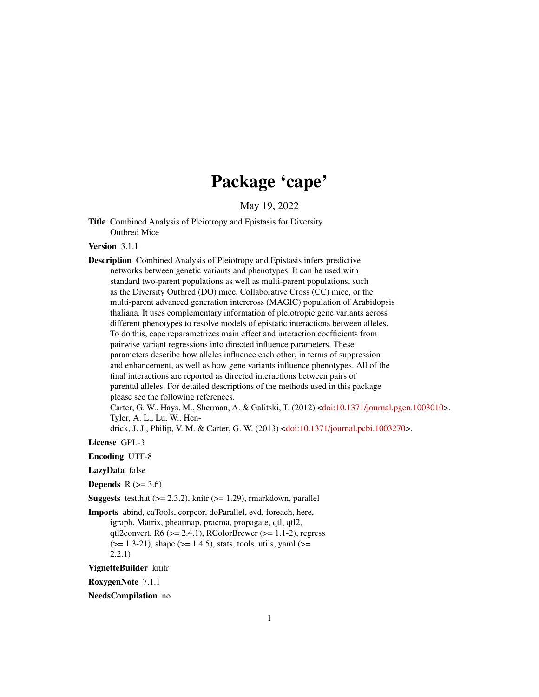# Package 'cape'

May 19, 2022

<span id="page-0-0"></span>Title Combined Analysis of Pleiotropy and Epistasis for Diversity Outbred Mice

Version 3.1.1

Description Combined Analysis of Pleiotropy and Epistasis infers predictive networks between genetic variants and phenotypes. It can be used with standard two-parent populations as well as multi-parent populations, such as the Diversity Outbred (DO) mice, Collaborative Cross (CC) mice, or the multi-parent advanced generation intercross (MAGIC) population of Arabidopsis thaliana. It uses complementary information of pleiotropic gene variants across different phenotypes to resolve models of epistatic interactions between alleles. To do this, cape reparametrizes main effect and interaction coefficients from pairwise variant regressions into directed influence parameters. These parameters describe how alleles influence each other, in terms of suppression and enhancement, as well as how gene variants influence phenotypes. All of the final interactions are reported as directed interactions between pairs of parental alleles. For detailed descriptions of the methods used in this package please see the following references. Carter, G. W., Hays, M., Sherman, A. & Galitski, T. (2012) [<doi:10.1371/journal.pgen.1003010>](https://doi.org/10.1371/journal.pgen.1003010). Tyler, A. L., Lu, W., Hendrick, J. J., Philip, V. M. & Carter, G. W. (2013) [<doi:10.1371/journal.pcbi.1003270>](https://doi.org/10.1371/journal.pcbi.1003270).

License GPL-3

Encoding UTF-8

LazyData false

Depends  $R$  ( $>= 3.6$ )

**Suggests** test that  $(>= 2.3.2)$ , knitr  $(>= 1.29)$ , rmarkdown, parallel

Imports abind, caTools, corpcor, doParallel, evd, foreach, here, igraph, Matrix, pheatmap, pracma, propagate, qtl, qtl2, qtl2convert,  $R6$  ( $>= 2.4.1$ ),  $RColorBrewer$  ( $>= 1.1-2$ ), regress  $(>= 1.3-21)$ , shape  $(>= 1.4.5)$ , stats, tools, utils, yaml  $(>= 1.4.5)$ 2.2.1)

VignetteBuilder knitr

RoxygenNote 7.1.1

NeedsCompilation no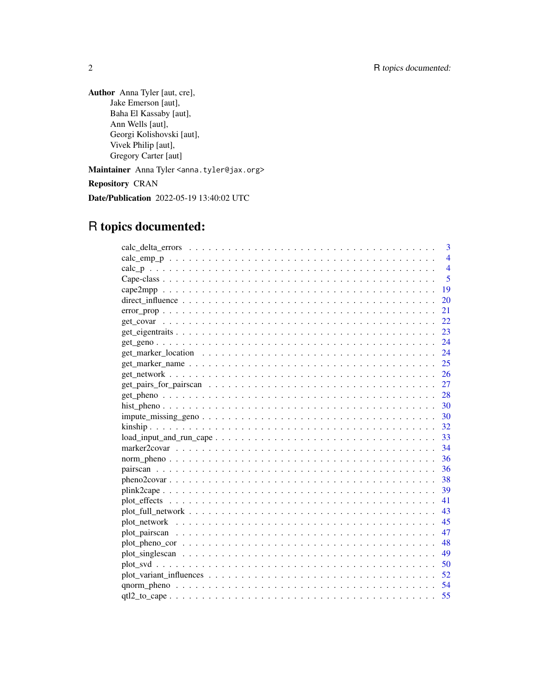Author Anna Tyler [aut, cre], Jake Emerson [aut], Baha El Kassaby [aut], Ann Wells [aut], Georgi Kolishovski [aut], Vivek Philip [aut], Gregory Carter [aut]

Maintainer Anna Tyler <anna.tyler@jax.org>

Repository CRAN

Date/Publication 2022-05-19 13:40:02 UTC

## R topics documented:

|                                                                                                       | 3              |
|-------------------------------------------------------------------------------------------------------|----------------|
|                                                                                                       | $\overline{4}$ |
|                                                                                                       | $\overline{4}$ |
|                                                                                                       | $\overline{5}$ |
|                                                                                                       | 19             |
|                                                                                                       | 20             |
|                                                                                                       | 21             |
|                                                                                                       | 22             |
|                                                                                                       | 23             |
|                                                                                                       | 24             |
|                                                                                                       | 24             |
|                                                                                                       | 25             |
|                                                                                                       |                |
|                                                                                                       |                |
|                                                                                                       |                |
|                                                                                                       |                |
|                                                                                                       |                |
|                                                                                                       | -32            |
| $load\_input\_and\_run\_cape \dots \dots \dots \dots \dots \dots \dots \dots \dots \dots \dots \dots$ | 33             |
|                                                                                                       | - 34           |
|                                                                                                       | -36            |
|                                                                                                       | - 36           |
|                                                                                                       |                |
|                                                                                                       |                |
|                                                                                                       | 41             |
|                                                                                                       |                |
|                                                                                                       |                |
|                                                                                                       | 47             |
|                                                                                                       | 48             |
|                                                                                                       |                |
|                                                                                                       |                |
|                                                                                                       |                |
|                                                                                                       |                |
|                                                                                                       | 55             |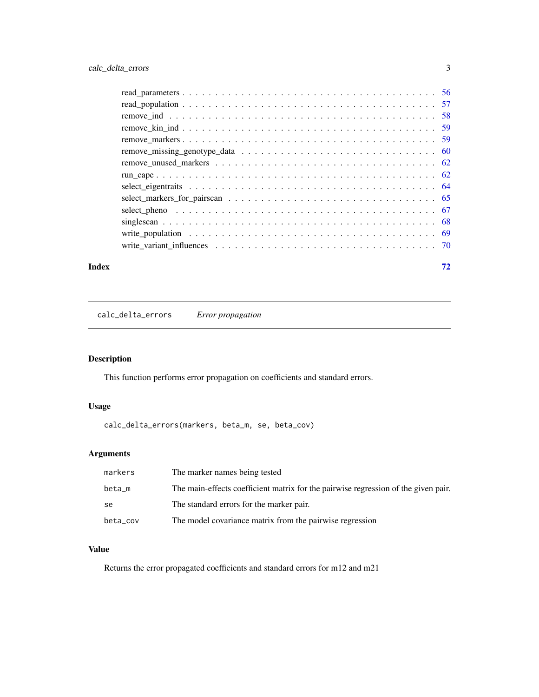<span id="page-2-0"></span>

#### **Index** [72](#page-71-0)

calc\_delta\_errors *Error propagation*

## Description

This function performs error propagation on coefficients and standard errors.

## Usage

calc\_delta\_errors(markers, beta\_m, se, beta\_cov)

## Arguments

| markers  | The marker names being tested                                                      |
|----------|------------------------------------------------------------------------------------|
| beta_m   | The main-effects coefficient matrix for the pairwise regression of the given pair. |
| se       | The standard errors for the marker pair.                                           |
| beta_cov | The model covariance matrix from the pairwise regression                           |

## Value

Returns the error propagated coefficients and standard errors for m12 and m21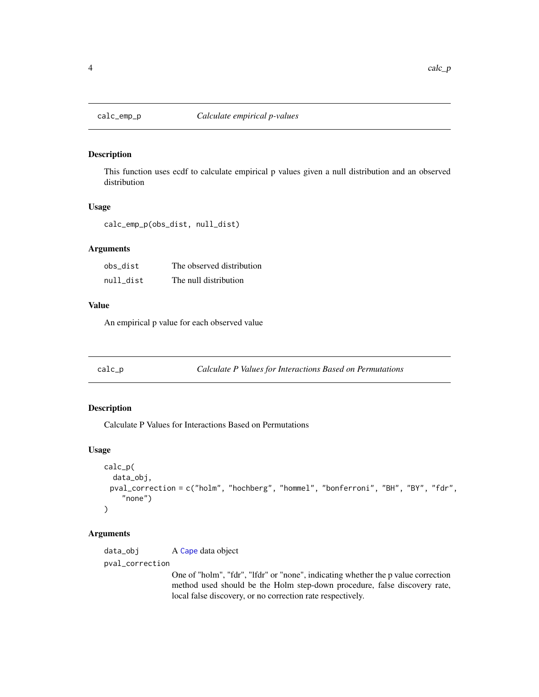<span id="page-3-0"></span>

## Description

This function uses ecdf to calculate empirical p values given a null distribution and an observed distribution

## Usage

calc\_emp\_p(obs\_dist, null\_dist)

## Arguments

| obs dist  | The observed distribution |
|-----------|---------------------------|
| null dist | The null distribution     |

## Value

An empirical p value for each observed value

<span id="page-3-1"></span>calc\_p *Calculate P Values for Interactions Based on Permutations*

## Description

Calculate P Values for Interactions Based on Permutations

## Usage

```
calc_p(
  data_obj,
 pval_correction = c("holm", "hochberg", "hommel", "bonferroni", "BH", "BY", "fdr",
    "none")
)
```
#### Arguments

data\_obj A [Cape](#page-4-1) data object pval\_correction

> One of "holm", "fdr", "lfdr" or "none", indicating whether the p value correction method used should be the Holm step-down procedure, false discovery rate, local false discovery, or no correction rate respectively.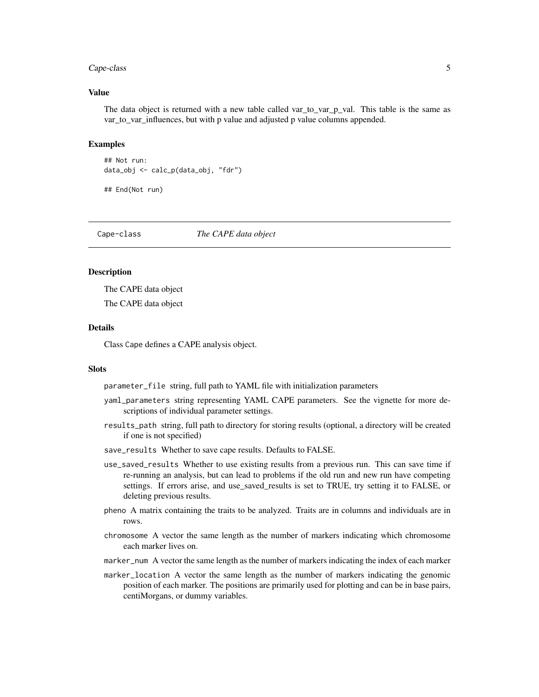#### <span id="page-4-0"></span>Cape-class 5

#### Value

The data object is returned with a new table called var\_to\_var\_p\_val. This table is the same as var\_to\_var\_influences, but with p value and adjusted p value columns appended.

#### Examples

```
## Not run:
data_obj <- calc_p(data_obj, "fdr")
```
## End(Not run)

Cape-class *The CAPE data object*

#### <span id="page-4-1"></span>Description

The CAPE data object The CAPE data object

#### Details

Class Cape defines a CAPE analysis object.

#### **Slots**

parameter\_file string, full path to YAML file with initialization parameters

- yaml\_parameters string representing YAML CAPE parameters. See the vignette for more descriptions of individual parameter settings.
- results\_path string, full path to directory for storing results (optional, a directory will be created if one is not specified)
- save\_results Whether to save cape results. Defaults to FALSE.
- use\_saved\_results Whether to use existing results from a previous run. This can save time if re-running an analysis, but can lead to problems if the old run and new run have competing settings. If errors arise, and use\_saved\_results is set to TRUE, try setting it to FALSE, or deleting previous results.
- pheno A matrix containing the traits to be analyzed. Traits are in columns and individuals are in rows.
- chromosome A vector the same length as the number of markers indicating which chromosome each marker lives on.
- marker\_num A vector the same length as the number of markers indicating the index of each marker
- marker\_location A vector the same length as the number of markers indicating the genomic position of each marker. The positions are primarily used for plotting and can be in base pairs, centiMorgans, or dummy variables.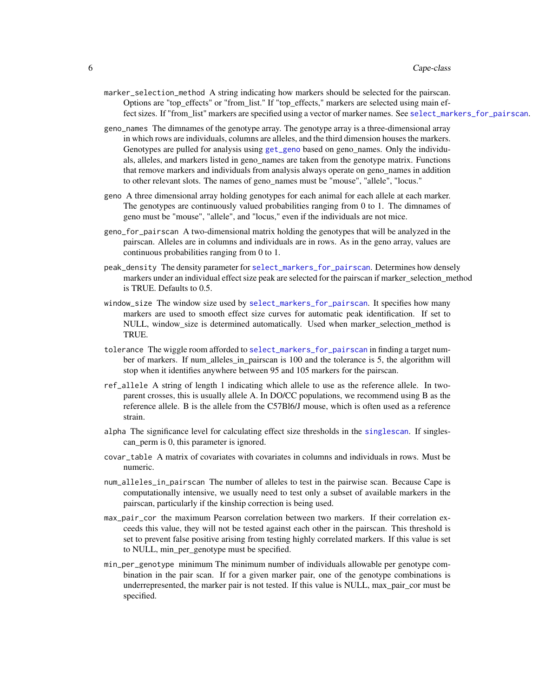- marker\_selection\_method A string indicating how markers should be selected for the pairscan. Options are "top\_effects" or "from\_list." If "top\_effects," markers are selected using main effect sizes. If "from list" markers are specified using a vector of marker names. See [select\\_markers\\_for\\_pairscan](#page-64-1).
- geno\_names The dimnames of the genotype array. The genotype array is a three-dimensional array in which rows are individuals, columns are alleles, and the third dimension houses the markers. Genotypes are pulled for analysis using [get\\_geno](#page-23-1) based on geno\_names. Only the individuals, alleles, and markers listed in geno\_names are taken from the genotype matrix. Functions that remove markers and individuals from analysis always operate on geno\_names in addition to other relevant slots. The names of geno\_names must be "mouse", "allele", "locus."
- geno A three dimensional array holding genotypes for each animal for each allele at each marker. The genotypes are continuously valued probabilities ranging from 0 to 1. The dimnames of geno must be "mouse", "allele", and "locus," even if the individuals are not mice.
- geno\_for\_pairscan A two-dimensional matrix holding the genotypes that will be analyzed in the pairscan. Alleles are in columns and individuals are in rows. As in the geno array, values are continuous probabilities ranging from 0 to 1.
- peak\_density The density parameter for [select\\_markers\\_for\\_pairscan](#page-64-1). Determines how densely markers under an individual effect size peak are selected for the pairscan if marker selection method is TRUE. Defaults to 0.5.
- window\_size The window size used by [select\\_markers\\_for\\_pairscan](#page-64-1). It specifies how many markers are used to smooth effect size curves for automatic peak identification. If set to NULL, window\_size is determined automatically. Used when marker\_selection\_method is TRUE.
- tolerance The wiggle room afforded to [select\\_markers\\_for\\_pairscan](#page-64-1) in finding a target number of markers. If num\_alleles\_in\_pairscan is 100 and the tolerance is 5, the algorithm will stop when it identifies anywhere between 95 and 105 markers for the pairscan.
- ref\_allele A string of length 1 indicating which allele to use as the reference allele. In twoparent crosses, this is usually allele A. In DO/CC populations, we recommend using B as the reference allele. B is the allele from the C57Bl6/J mouse, which is often used as a reference strain.
- alpha The significance level for calculating effect size thresholds in the [singlescan](#page-67-1). If singlescan perm is 0, this parameter is ignored.
- covar\_table A matrix of covariates with covariates in columns and individuals in rows. Must be numeric.
- num\_alleles\_in\_pairscan The number of alleles to test in the pairwise scan. Because Cape is computationally intensive, we usually need to test only a subset of available markers in the pairscan, particularly if the kinship correction is being used.
- max\_pair\_cor the maximum Pearson correlation between two markers. If their correlation exceeds this value, they will not be tested against each other in the pairscan. This threshold is set to prevent false positive arising from testing highly correlated markers. If this value is set to NULL, min\_per\_genotype must be specified.
- min\_per\_genotype minimum The minimum number of individuals allowable per genotype combination in the pair scan. If for a given marker pair, one of the genotype combinations is underrepresented, the marker pair is not tested. If this value is NULL, max\_pair\_cor must be specified.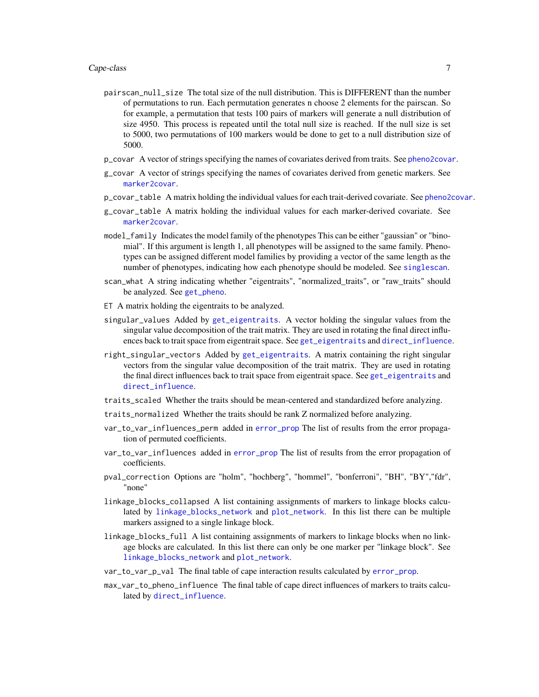- pairscan\_null\_size The total size of the null distribution. This is DIFFERENT than the number of permutations to run. Each permutation generates n choose 2 elements for the pairscan. So for example, a permutation that tests 100 pairs of markers will generate a null distribution of size 4950. This process is repeated until the total null size is reached. If the null size is set to 5000, two permutations of 100 markers would be done to get to a null distribution size of 5000.
- p\_covar A vector of strings specifying the names of covariates derived from traits. See [pheno2covar](#page-37-1).
- g\_covar A vector of strings specifying the names of covariates derived from genetic markers. See [marker2covar](#page-33-1).
- p\_covar\_table A matrix holding the individual values for each trait-derived covariate. See [pheno2covar](#page-37-1).
- g\_covar\_table A matrix holding the individual values for each marker-derived covariate. See [marker2covar](#page-33-1).
- model\_family Indicates the model family of the phenotypes This can be either "gaussian" or "binomial". If this argument is length 1, all phenotypes will be assigned to the same family. Phenotypes can be assigned different model families by providing a vector of the same length as the number of phenotypes, indicating how each phenotype should be modeled. See [singlescan](#page-67-1).
- scan\_what A string indicating whether "eigentraits", "normalized\_traits", or "raw\_traits" should be analyzed. See [get\\_pheno](#page-27-1).
- ET A matrix holding the eigentraits to be analyzed.
- singular\_values Added by [get\\_eigentraits](#page-22-1). A vector holding the singular values from the singular value decomposition of the trait matrix. They are used in rotating the final direct influences back to trait space from eigentrait space. See [get\\_eigentraits](#page-22-1) and [direct\\_influence](#page-19-1).
- right\_singular\_vectors Added by [get\\_eigentraits](#page-22-1). A matrix containing the right singular vectors from the singular value decomposition of the trait matrix. They are used in rotating the final direct influences back to trait space from eigentrait space. See [get\\_eigentraits](#page-22-1) and [direct\\_influence](#page-19-1).
- traits\_scaled Whether the traits should be mean-centered and standardized before analyzing.
- traits\_normalized Whether the traits should be rank Z normalized before analyzing.
- var\_to\_var\_influences\_perm added in [error\\_prop](#page-20-1) The list of results from the error propagation of permuted coefficients.
- var\_to\_var\_influences added in [error\\_prop](#page-20-1) The list of results from the error propagation of coefficients.
- pval\_correction Options are "holm", "hochberg", "hommel", "bonferroni", "BH", "BY","fdr", "none"
- linkage\_blocks\_collapsed A list containing assignments of markers to linkage blocks calculated by [linkage\\_blocks\\_network](#page-0-0) and [plot\\_network](#page-44-1). In this list there can be multiple markers assigned to a single linkage block.
- linkage\_blocks\_full A list containing assignments of markers to linkage blocks when no linkage blocks are calculated. In this list there can only be one marker per "linkage block". See [linkage\\_blocks\\_network](#page-0-0) and [plot\\_network](#page-44-1).
- var\_to\_var\_p\_val The final table of cape interaction results calculated by [error\\_prop](#page-20-1).
- max\_var\_to\_pheno\_influence The final table of cape direct influences of markers to traits calculated by [direct\\_influence](#page-19-1).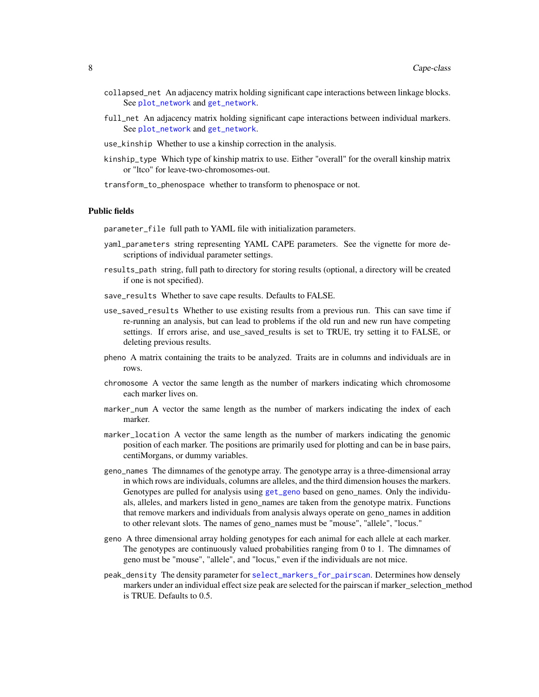- collapsed\_net An adjacency matrix holding significant cape interactions between linkage blocks. See [plot\\_network](#page-44-1) and [get\\_network](#page-25-1).
- full\_net An adjacency matrix holding significant cape interactions between individual markers. See [plot\\_network](#page-44-1) and [get\\_network](#page-25-1).
- use\_kinship Whether to use a kinship correction in the analysis.
- kinship\_type Which type of kinship matrix to use. Either "overall" for the overall kinship matrix or "ltco" for leave-two-chromosomes-out.
- transform\_to\_phenospace whether to transform to phenospace or not.

#### Public fields

parameter\_file full path to YAML file with initialization parameters.

- yaml\_parameters string representing YAML CAPE parameters. See the vignette for more descriptions of individual parameter settings.
- results\_path string, full path to directory for storing results (optional, a directory will be created if one is not specified).
- save\_results Whether to save cape results. Defaults to FALSE.
- use\_saved\_results Whether to use existing results from a previous run. This can save time if re-running an analysis, but can lead to problems if the old run and new run have competing settings. If errors arise, and use\_saved\_results is set to TRUE, try setting it to FALSE, or deleting previous results.
- pheno A matrix containing the traits to be analyzed. Traits are in columns and individuals are in rows.
- chromosome A vector the same length as the number of markers indicating which chromosome each marker lives on.
- marker\_num A vector the same length as the number of markers indicating the index of each marker.
- marker\_location A vector the same length as the number of markers indicating the genomic position of each marker. The positions are primarily used for plotting and can be in base pairs, centiMorgans, or dummy variables.
- geno\_names The dimnames of the genotype array. The genotype array is a three-dimensional array in which rows are individuals, columns are alleles, and the third dimension houses the markers. Genotypes are pulled for analysis using [get\\_geno](#page-23-1) based on geno\_names. Only the individuals, alleles, and markers listed in geno\_names are taken from the genotype matrix. Functions that remove markers and individuals from analysis always operate on geno\_names in addition to other relevant slots. The names of geno\_names must be "mouse", "allele", "locus."
- geno A three dimensional array holding genotypes for each animal for each allele at each marker. The genotypes are continuously valued probabilities ranging from 0 to 1. The dimnames of geno must be "mouse", "allele", and "locus," even if the individuals are not mice.
- peak\_density The density parameter for [select\\_markers\\_for\\_pairscan](#page-64-1). Determines how densely markers under an individual effect size peak are selected for the pairscan if marker\_selection\_method is TRUE. Defaults to 0.5.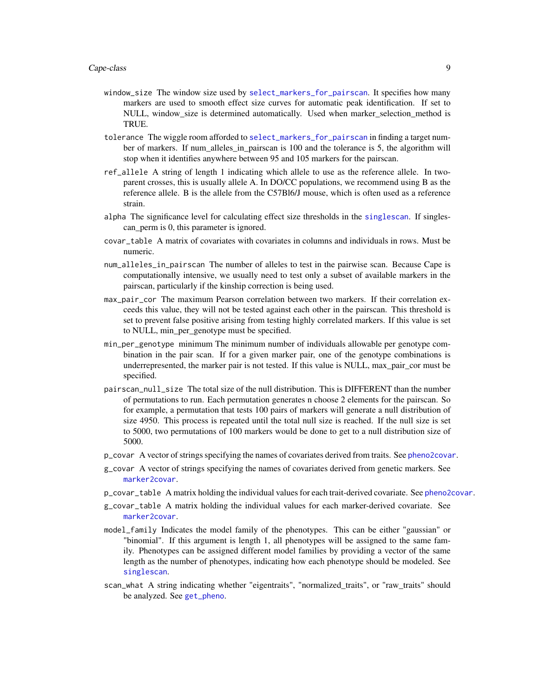- window\_size The window size used by [select\\_markers\\_for\\_pairscan](#page-64-1). It specifies how many markers are used to smooth effect size curves for automatic peak identification. If set to NULL, window size is determined automatically. Used when marker selection method is TRUE.
- tolerance The wiggle room afforded to [select\\_markers\\_for\\_pairscan](#page-64-1) in finding a target number of markers. If num\_alleles\_in\_pairscan is 100 and the tolerance is 5, the algorithm will stop when it identifies anywhere between 95 and 105 markers for the pairscan.
- ref\_allele A string of length 1 indicating which allele to use as the reference allele. In twoparent crosses, this is usually allele A. In DO/CC populations, we recommend using B as the reference allele. B is the allele from the C57Bl6/J mouse, which is often used as a reference strain.
- alpha The significance level for calculating effect size thresholds in the [singlescan](#page-67-1). If singlescan\_perm is 0, this parameter is ignored.
- covar\_table A matrix of covariates with covariates in columns and individuals in rows. Must be numeric.
- num\_alleles\_in\_pairscan The number of alleles to test in the pairwise scan. Because Cape is computationally intensive, we usually need to test only a subset of available markers in the pairscan, particularly if the kinship correction is being used.
- max\_pair\_cor The maximum Pearson correlation between two markers. If their correlation exceeds this value, they will not be tested against each other in the pairscan. This threshold is set to prevent false positive arising from testing highly correlated markers. If this value is set to NULL, min\_per\_genotype must be specified.
- min\_per\_genotype minimum The minimum number of individuals allowable per genotype combination in the pair scan. If for a given marker pair, one of the genotype combinations is underrepresented, the marker pair is not tested. If this value is NULL, max\_pair\_cor must be specified.
- pairscan\_null\_size The total size of the null distribution. This is DIFFERENT than the number of permutations to run. Each permutation generates n choose 2 elements for the pairscan. So for example, a permutation that tests 100 pairs of markers will generate a null distribution of size 4950. This process is repeated until the total null size is reached. If the null size is set to 5000, two permutations of 100 markers would be done to get to a null distribution size of 5000.
- p\_covar A vector of strings specifying the names of covariates derived from traits. See [pheno2covar](#page-37-1).
- g\_covar A vector of strings specifying the names of covariates derived from genetic markers. See [marker2covar](#page-33-1).
- p\_covar\_table A matrix holding the individual values for each trait-derived covariate. See [pheno2covar](#page-37-1).
- g\_covar\_table A matrix holding the individual values for each marker-derived covariate. See [marker2covar](#page-33-1).
- model\_family Indicates the model family of the phenotypes. This can be either "gaussian" or "binomial". If this argument is length 1, all phenotypes will be assigned to the same family. Phenotypes can be assigned different model families by providing a vector of the same length as the number of phenotypes, indicating how each phenotype should be modeled. See [singlescan](#page-67-1).
- scan\_what A string indicating whether "eigentraits", "normalized\_traits", or "raw\_traits" should be analyzed. See [get\\_pheno](#page-27-1).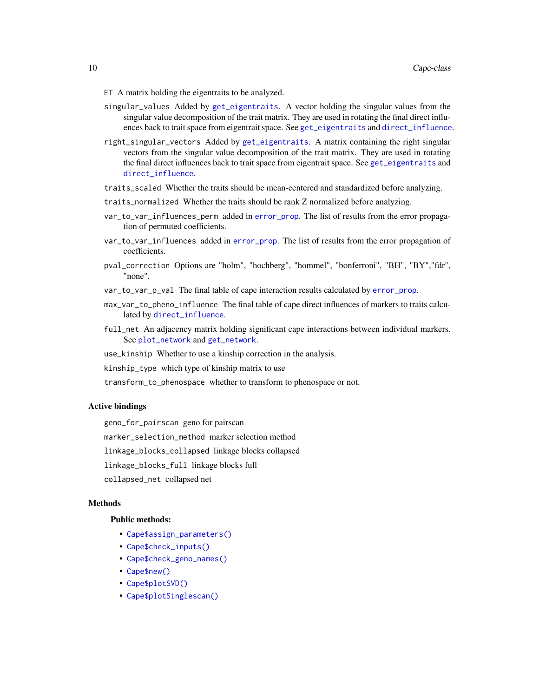- ET A matrix holding the eigentraits to be analyzed.
- singular\_values Added by [get\\_eigentraits](#page-22-1). A vector holding the singular values from the singular value decomposition of the trait matrix. They are used in rotating the final direct influences back to trait space from eigentrait space. See [get\\_eigentraits](#page-22-1) and [direct\\_influence](#page-19-1).
- right\_singular\_vectors Added by [get\\_eigentraits](#page-22-1). A matrix containing the right singular vectors from the singular value decomposition of the trait matrix. They are used in rotating the final direct influences back to trait space from eigentrait space. See [get\\_eigentraits](#page-22-1) and [direct\\_influence](#page-19-1).
- traits\_scaled Whether the traits should be mean-centered and standardized before analyzing.
- traits\_normalized Whether the traits should be rank Z normalized before analyzing.
- var\_to\_var\_influences\_perm added in [error\\_prop](#page-20-1). The list of results from the error propagation of permuted coefficients.
- var\_to\_var\_influences added in [error\\_prop](#page-20-1). The list of results from the error propagation of coefficients.
- pval\_correction Options are "holm", "hochberg", "hommel", "bonferroni", "BH", "BY","fdr", "none".
- var\_to\_var\_p\_val The final table of cape interaction results calculated by [error\\_prop](#page-20-1).
- max\_var\_to\_pheno\_influence The final table of cape direct influences of markers to traits calculated by [direct\\_influence](#page-19-1).
- full\_net An adjacency matrix holding significant cape interactions between individual markers. See [plot\\_network](#page-44-1) and [get\\_network](#page-25-1).
- use\_kinship Whether to use a kinship correction in the analysis.
- kinship\_type which type of kinship matrix to use
- transform\_to\_phenospace whether to transform to phenospace or not.

#### Active bindings

geno\_for\_pairscan geno for pairscan

marker\_selection\_method marker selection method

linkage\_blocks\_collapsed linkage blocks collapsed

linkage\_blocks\_full linkage blocks full

collapsed\_net collapsed net

## Methods

#### Public methods:

- [Cape\\$assign\\_parameters\(\)](#page-10-0)
- [Cape\\$check\\_inputs\(\)](#page-10-1)
- [Cape\\$check\\_geno\\_names\(\)](#page-10-2)
- [Cape\\$new\(\)](#page-10-3)
- [Cape\\$plotSVD\(\)](#page-13-0)
- [Cape\\$plotSinglescan\(\)](#page-14-0)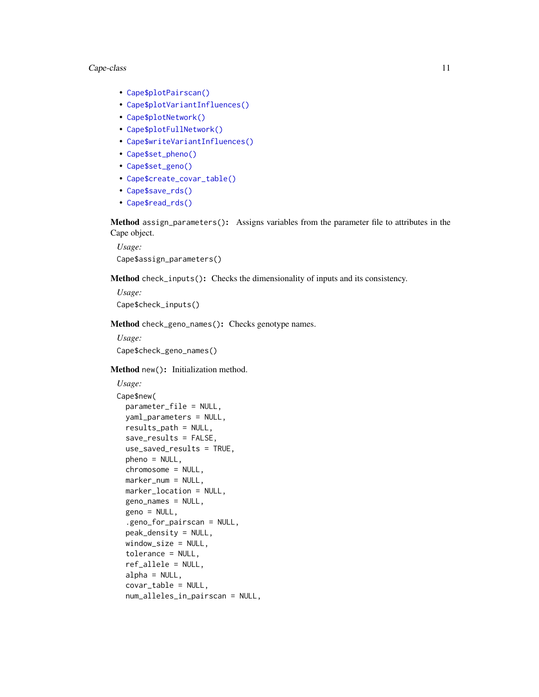#### Cape-class 11

- [Cape\\$plotPairscan\(\)](#page-14-1)
- [Cape\\$plotVariantInfluences\(\)](#page-15-0)
- [Cape\\$plotNetwork\(\)](#page-15-1)
- [Cape\\$plotFullNetwork\(\)](#page-16-0)
- [Cape\\$writeVariantInfluences\(\)](#page-17-0)
- [Cape\\$set\\_pheno\(\)](#page-17-1)
- [Cape\\$set\\_geno\(\)](#page-17-2)
- [Cape\\$create\\_covar\\_table\(\)](#page-17-3)
- [Cape\\$save\\_rds\(\)](#page-17-4)
- [Cape\\$read\\_rds\(\)](#page-18-1)

<span id="page-10-0"></span>Method assign\_parameters(): Assigns variables from the parameter file to attributes in the Cape object.

*Usage:* Cape\$assign\_parameters()

<span id="page-10-1"></span>Method check\_inputs(): Checks the dimensionality of inputs and its consistency.

*Usage:* Cape\$check\_inputs()

<span id="page-10-2"></span>Method check\_geno\_names(): Checks genotype names.

*Usage:* Cape\$check\_geno\_names()

<span id="page-10-3"></span>Method new(): Initialization method.

```
Usage:
Cape$new(
 parameter_file = NULL,
 yaml_parameters = NULL,
  results_path = NULL,
  save_results = FALSE,
 use_saved_results = TRUE,
 pheno = NULL,
 chromosome = NULL,
 marker_num = NULL,
 marker_location = NULL,
  geno_names = NULL,
 geno = NULL,
  .geno_for_pairscan = NULL,
 peak_density = NULL,
 window_size = NULL,
  tolerance = NULL,
  ref_allele = NULL,
  alpha = NULL,covar_table = NULL,
 num_alleles_in_pairscan = NULL,
```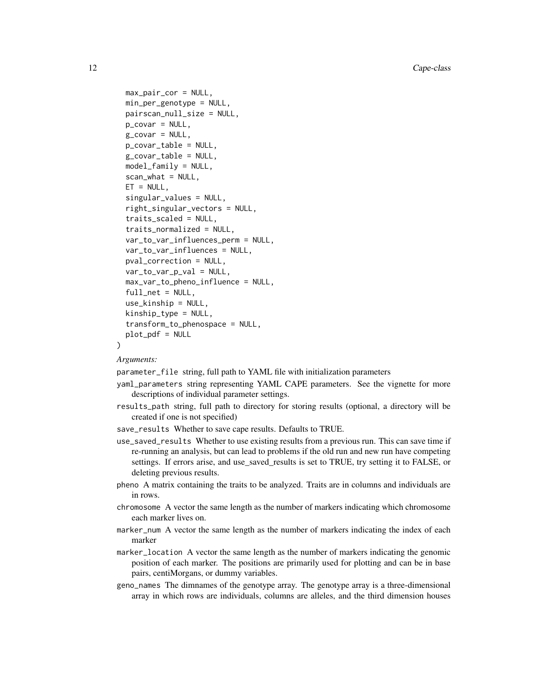```
max_pair_cor = NULL,
min_per_genotype = NULL,
pairscan_null_size = NULL,
p_covar = NULL,
g_covar = NULL,
p_covar_table = NULL,
g_covar_table = NULL,
model_family = NULL,
scan_what = NULL,
ET = NULL,singular_values = NULL,
right_singular_vectors = NULL,
traits_scaled = NULL,
traits_normalized = NULL,
var_to_var_influences_perm = NULL,
var_to_var_influences = NULL,
pval_correction = NULL,
var_to_var_p_val = NULL,
max_var_to_pheno_influence = NULL,
full_net = NULL,use_kinship = NULL,
kinship_type = NULL,
transform_to_phenospace = NULL,
plot_pdf = NULL
```
*Arguments:*

)

parameter\_file string, full path to YAML file with initialization parameters

- yaml\_parameters string representing YAML CAPE parameters. See the vignette for more descriptions of individual parameter settings.
- results\_path string, full path to directory for storing results (optional, a directory will be created if one is not specified)
- save\_results Whether to save cape results. Defaults to TRUE.
- use\_saved\_results Whether to use existing results from a previous run. This can save time if re-running an analysis, but can lead to problems if the old run and new run have competing settings. If errors arise, and use\_saved\_results is set to TRUE, try setting it to FALSE, or deleting previous results.
- pheno A matrix containing the traits to be analyzed. Traits are in columns and individuals are in rows.
- chromosome A vector the same length as the number of markers indicating which chromosome each marker lives on.
- marker\_num A vector the same length as the number of markers indicating the index of each marker
- marker\_location A vector the same length as the number of markers indicating the genomic position of each marker. The positions are primarily used for plotting and can be in base pairs, centiMorgans, or dummy variables.
- geno\_names The dimnames of the genotype array. The genotype array is a three-dimensional array in which rows are individuals, columns are alleles, and the third dimension houses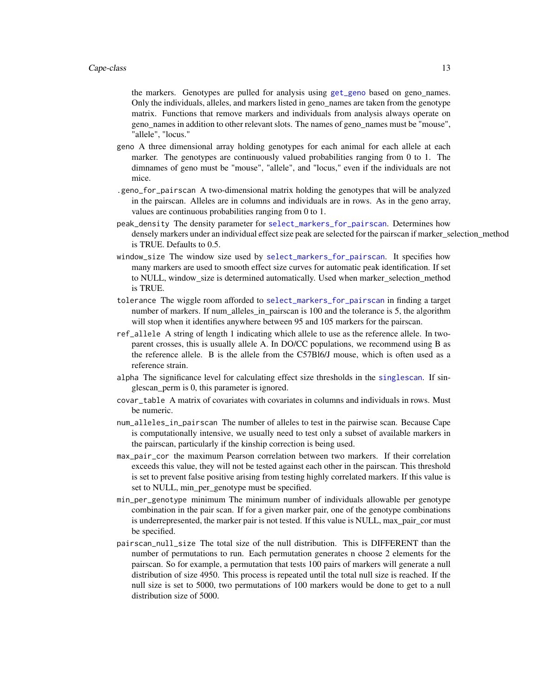the markers. Genotypes are pulled for analysis using [get\\_geno](#page-23-1) based on geno\_names. Only the individuals, alleles, and markers listed in geno\_names are taken from the genotype matrix. Functions that remove markers and individuals from analysis always operate on geno\_names in addition to other relevant slots. The names of geno\_names must be "mouse", "allele", "locus."

- geno A three dimensional array holding genotypes for each animal for each allele at each marker. The genotypes are continuously valued probabilities ranging from 0 to 1. The dimnames of geno must be "mouse", "allele", and "locus," even if the individuals are not mice.
- .geno\_for\_pairscan A two-dimensional matrix holding the genotypes that will be analyzed in the pairscan. Alleles are in columns and individuals are in rows. As in the geno array, values are continuous probabilities ranging from 0 to 1.
- peak\_density The density parameter for [select\\_markers\\_for\\_pairscan](#page-64-1). Determines how densely markers under an individual effect size peak are selected for the pairscan if marker\_selection\_method is TRUE. Defaults to 0.5.
- window\_size The window size used by [select\\_markers\\_for\\_pairscan](#page-64-1). It specifies how many markers are used to smooth effect size curves for automatic peak identification. If set to NULL, window\_size is determined automatically. Used when marker\_selection\_method is TRUE.
- tolerance The wiggle room afforded to [select\\_markers\\_for\\_pairscan](#page-64-1) in finding a target number of markers. If num\_alleles\_in\_pairscan is 100 and the tolerance is 5, the algorithm will stop when it identifies anywhere between 95 and 105 markers for the pairscan.
- ref\_allele A string of length 1 indicating which allele to use as the reference allele. In twoparent crosses, this is usually allele A. In DO/CC populations, we recommend using B as the reference allele. B is the allele from the C57Bl6/J mouse, which is often used as a reference strain.
- alpha The significance level for calculating effect size thresholds in the [singlescan](#page-67-1). If singlescan\_perm is 0, this parameter is ignored.
- covar\_table A matrix of covariates with covariates in columns and individuals in rows. Must be numeric.
- num\_alleles\_in\_pairscan The number of alleles to test in the pairwise scan. Because Cape is computationally intensive, we usually need to test only a subset of available markers in the pairscan, particularly if the kinship correction is being used.
- max\_pair\_cor the maximum Pearson correlation between two markers. If their correlation exceeds this value, they will not be tested against each other in the pairscan. This threshold is set to prevent false positive arising from testing highly correlated markers. If this value is set to NULL, min\_per\_genotype must be specified.
- min\_per\_genotype minimum The minimum number of individuals allowable per genotype combination in the pair scan. If for a given marker pair, one of the genotype combinations is underrepresented, the marker pair is not tested. If this value is NULL, max pair cor must be specified.
- pairscan\_null\_size The total size of the null distribution. This is DIFFERENT than the number of permutations to run. Each permutation generates n choose 2 elements for the pairscan. So for example, a permutation that tests 100 pairs of markers will generate a null distribution of size 4950. This process is repeated until the total null size is reached. If the null size is set to 5000, two permutations of 100 markers would be done to get to a null distribution size of 5000.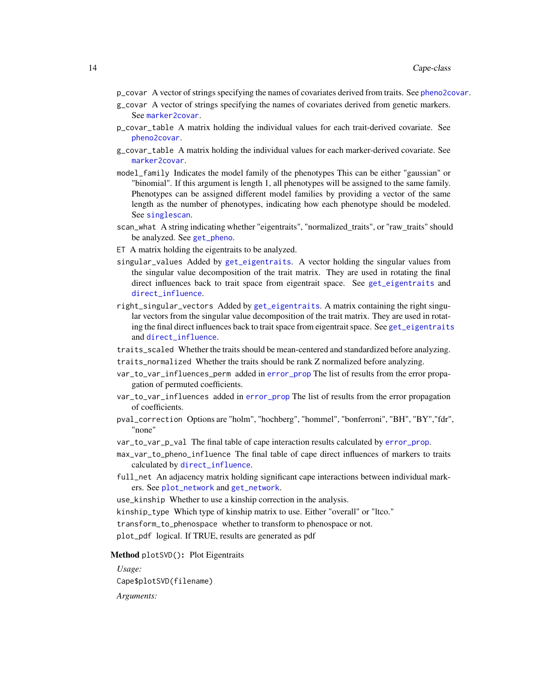- p\_covar A vector of strings specifying the names of covariates derived from traits. See [pheno2covar](#page-37-1).
- g\_covar A vector of strings specifying the names of covariates derived from genetic markers. See [marker2covar](#page-33-1).
- p\_covar\_table A matrix holding the individual values for each trait-derived covariate. See [pheno2covar](#page-37-1).
- g\_covar\_table A matrix holding the individual values for each marker-derived covariate. See [marker2covar](#page-33-1).
- model\_family Indicates the model family of the phenotypes This can be either "gaussian" or "binomial". If this argument is length 1, all phenotypes will be assigned to the same family. Phenotypes can be assigned different model families by providing a vector of the same length as the number of phenotypes, indicating how each phenotype should be modeled. See [singlescan](#page-67-1).
- scan\_what A string indicating whether "eigentraits", "normalized\_traits", or "raw\_traits" should be analyzed. See [get\\_pheno](#page-27-1).
- ET A matrix holding the eigentraits to be analyzed.
- singular\_values Added by [get\\_eigentraits](#page-22-1). A vector holding the singular values from the singular value decomposition of the trait matrix. They are used in rotating the final direct influences back to trait space from eigentrait space. See [get\\_eigentraits](#page-22-1) and [direct\\_influence](#page-19-1).
- right\_singular\_vectors Added by [get\\_eigentraits](#page-22-1). A matrix containing the right singular vectors from the singular value decomposition of the trait matrix. They are used in rotating the final direct influences back to trait space from eigentrait space. See [get\\_eigentraits](#page-22-1) and [direct\\_influence](#page-19-1).
- traits\_scaled Whether the traits should be mean-centered and standardized before analyzing.
- traits\_normalized Whether the traits should be rank Z normalized before analyzing.
- var\_to\_var\_influences\_perm added in [error\\_prop](#page-20-1) The list of results from the error propagation of permuted coefficients.
- var\_to\_var\_influences added in [error\\_prop](#page-20-1) The list of results from the error propagation of coefficients.
- pval\_correction Options are "holm", "hochberg", "hommel", "bonferroni", "BH", "BY","fdr", "none"
- var\_to\_var\_p\_val The final table of cape interaction results calculated by [error\\_prop](#page-20-1).
- max\_var\_to\_pheno\_influence The final table of cape direct influences of markers to traits calculated by [direct\\_influence](#page-19-1).
- full\_net An adjacency matrix holding significant cape interactions between individual markers. See [plot\\_network](#page-44-1) and [get\\_network](#page-25-1).

use\_kinship Whether to use a kinship correction in the analysis.

kinship\_type Which type of kinship matrix to use. Either "overall" or "ltco."

transform\_to\_phenospace whether to transform to phenospace or not.

plot\_pdf logical. If TRUE, results are generated as pdf

#### <span id="page-13-0"></span>Method plotSVD(): Plot Eigentraits

*Usage:*

Cape\$plotSVD(filename)

*Arguments:*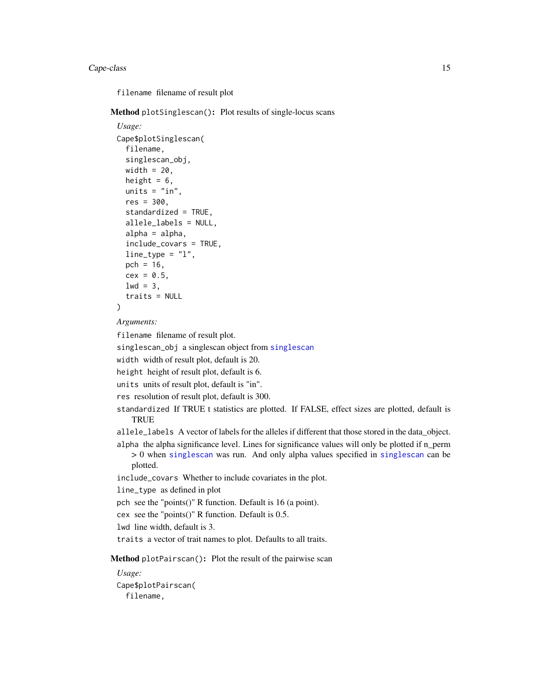#### Cape-class 15

filename filename of result plot

<span id="page-14-0"></span>Method plotSinglescan(): Plot results of single-locus scans

```
Usage:
Cape$plotSinglescan(
  filename,
  singlescan_obj,
 width = 20,
 height = 6,
 units = "in",res = 300,
  standardized = TRUE,
  allele_labels = NULL,
  alpha = alpha,
  include_covars = TRUE,
  line_type = "l",
 pch = 16,
  cex = 0.5,
  1wd = 3,
  traits = NULL
```

```
)
```
*Arguments:*

filename filename of result plot.

singlescan\_obj a singlescan object from [singlescan](#page-67-1)

width width of result plot, default is 20.

height height of result plot, default is 6.

units units of result plot, default is "in".

res resolution of result plot, default is 300.

standardized If TRUE t statistics are plotted. If FALSE, effect sizes are plotted, default is **TRUE** 

allele\_labels A vector of labels for the alleles if different that those stored in the data\_object. alpha the alpha significance level. Lines for significance values will only be plotted if n\_perm

> 0 when [singlescan](#page-67-1) was run. And only alpha values specified in [singlescan](#page-67-1) can be plotted.

include\_covars Whether to include covariates in the plot.

line\_type as defined in plot

pch see the "points()" R function. Default is 16 (a point).

cex see the "points()" R function. Default is 0.5.

lwd line width, default is 3.

traits a vector of trait names to plot. Defaults to all traits.

<span id="page-14-1"></span>Method plotPairscan(): Plot the result of the pairwise scan

*Usage:*

Cape\$plotPairscan( filename,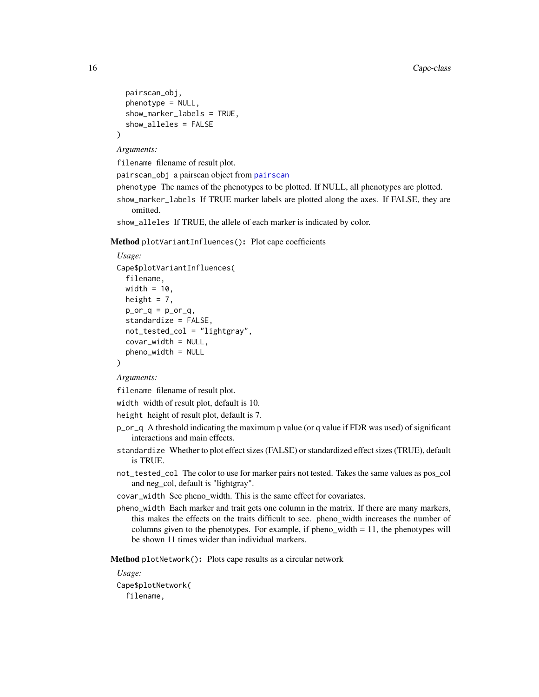```
pairscan_obj,
 phenotype = NULL,
  show_marker_labels = TRUE,
  show_alleles = FALSE
)
```
*Arguments:*

filename filename of result plot.

pairscan\_obj a pairscan object from [pairscan](#page-35-1)

phenotype The names of the phenotypes to be plotted. If NULL, all phenotypes are plotted.

show\_marker\_labels If TRUE marker labels are plotted along the axes. If FALSE, they are omitted.

show\_alleles If TRUE, the allele of each marker is indicated by color.

<span id="page-15-0"></span>Method plotVariantInfluences(): Plot cape coefficients

```
Usage:
Cape$plotVariantInfluences(
  filename,
 width = 10,
 height = 7,
 p\_or_q = p\_or_q,
  standardize = FALSE,
 not_tested_col = "lightgray",
  covar_width = NULL,pheno_width = NULL
)
```
*Arguments:*

filename filename of result plot.

width width of result plot, default is 10.

height height of result plot, default is 7.

- p\_or\_q A threshold indicating the maximum p value (or q value if FDR was used) of significant interactions and main effects.
- standardize Whether to plot effect sizes (FALSE) or standardized effect sizes (TRUE), default is TRUE.
- not\_tested\_col The color to use for marker pairs not tested. Takes the same values as pos\_col and neg\_col, default is "lightgray".

covar\_width See pheno\_width. This is the same effect for covariates.

pheno\_width Each marker and trait gets one column in the matrix. If there are many markers, this makes the effects on the traits difficult to see. pheno\_width increases the number of columns given to the phenotypes. For example, if pheno width  $= 11$ , the phenotypes will be shown 11 times wider than individual markers.

<span id="page-15-1"></span>Method plotNetwork(): Plots cape results as a circular network

*Usage:*

Cape\$plotNetwork( filename,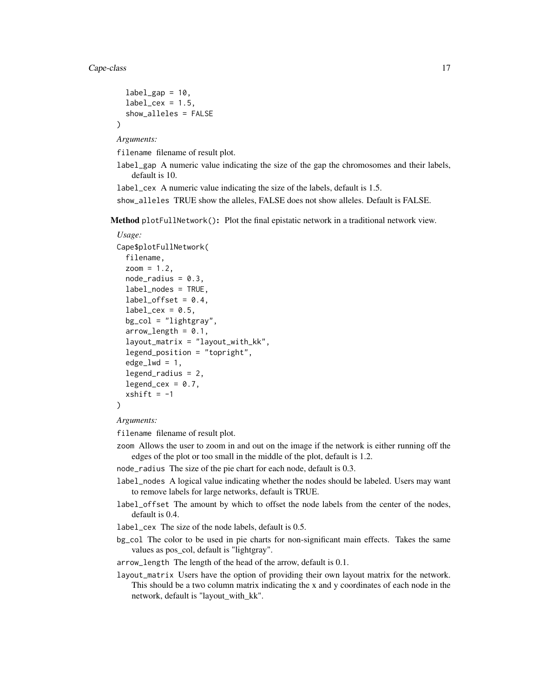)

```
label\_gap = 10,label\_cex = 1.5,
show_alleles = FALSE
```
*Arguments:*

filename filename of result plot.

label\_gap A numeric value indicating the size of the gap the chromosomes and their labels, default is 10.

label\_cex A numeric value indicating the size of the labels, default is 1.5.

show\_alleles TRUE show the alleles, FALSE does not show alleles. Default is FALSE.

<span id="page-16-0"></span>Method plotFullNetwork(): Plot the final epistatic network in a traditional network view.

```
Usage:
Cape$plotFullNetwork(
  filename,
  zoom = 1.2,
  node\_radius = 0.3,
  label_nodes = TRUE,
  label_ofset = 0.4,label_cex = 0.5,
  bg_col = "lightgray",
  arrow length = 0.1,
  layout_matrix = "layout_with_kk",
  legend_position = "topright",
  edge\_lwd = 1,
  legend_radius = 2,
  legend_cex = 0.7,
  xshift = -1)
```


filename filename of result plot.

zoom Allows the user to zoom in and out on the image if the network is either running off the edges of the plot or too small in the middle of the plot, default is 1.2.

node\_radius The size of the pie chart for each node, default is 0.3.

- label\_nodes A logical value indicating whether the nodes should be labeled. Users may want to remove labels for large networks, default is TRUE.
- label\_offset The amount by which to offset the node labels from the center of the nodes, default is 0.4.
- label\_cex The size of the node labels, default is 0.5.
- bg\_col The color to be used in pie charts for non-significant main effects. Takes the same values as pos\_col, default is "lightgray".

arrow\_length The length of the head of the arrow, default is 0.1.

layout\_matrix Users have the option of providing their own layout matrix for the network. This should be a two column matrix indicating the x and y coordinates of each node in the network, default is "layout\_with\_kk".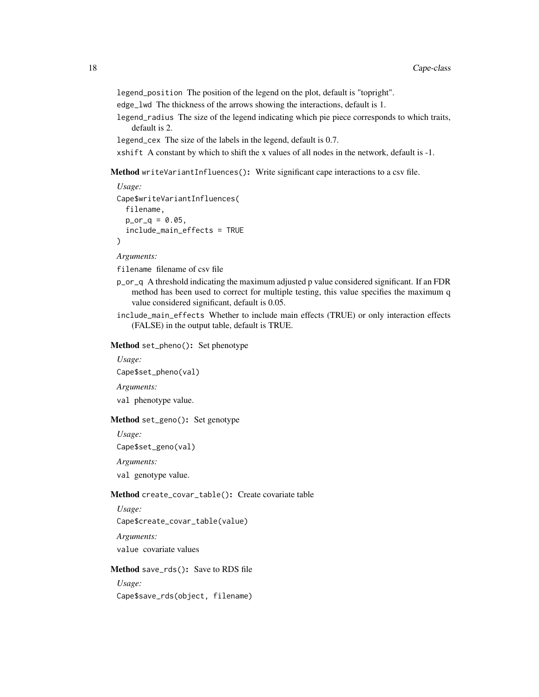legend\_position The position of the legend on the plot, default is "topright".

edge\_lwd The thickness of the arrows showing the interactions, default is 1.

legend\_radius The size of the legend indicating which pie piece corresponds to which traits, default is 2.

legend\_cex The size of the labels in the legend, default is 0.7.

xshift A constant by which to shift the x values of all nodes in the network, default is -1.

<span id="page-17-0"></span>Method writeVariantInfluences(): Write significant cape interactions to a csv file.

```
Usage:
Cape$writeVariantInfluences(
  filename,
  p_{0}r_{q} = 0.05,
  include_main_effects = TRUE
\lambda
```
*Arguments:*

filename filename of csv file

- p\_or\_q A threshold indicating the maximum adjusted p value considered significant. If an FDR method has been used to correct for multiple testing, this value specifies the maximum q value considered significant, default is 0.05.
- include\_main\_effects Whether to include main effects (TRUE) or only interaction effects (FALSE) in the output table, default is TRUE.

<span id="page-17-1"></span>Method set\_pheno(): Set phenotype

*Usage:* Cape\$set\_pheno(val)

*Arguments:*

val phenotype value.

<span id="page-17-2"></span>Method set\_geno(): Set genotype

*Usage:*

Cape\$set\_geno(val)

*Arguments:*

val genotype value.

<span id="page-17-3"></span>Method create\_covar\_table(): Create covariate table

*Usage:*

Cape\$create\_covar\_table(value)

*Arguments:*

value covariate values

<span id="page-17-4"></span>Method save\_rds(): Save to RDS file

*Usage:*

Cape\$save\_rds(object, filename)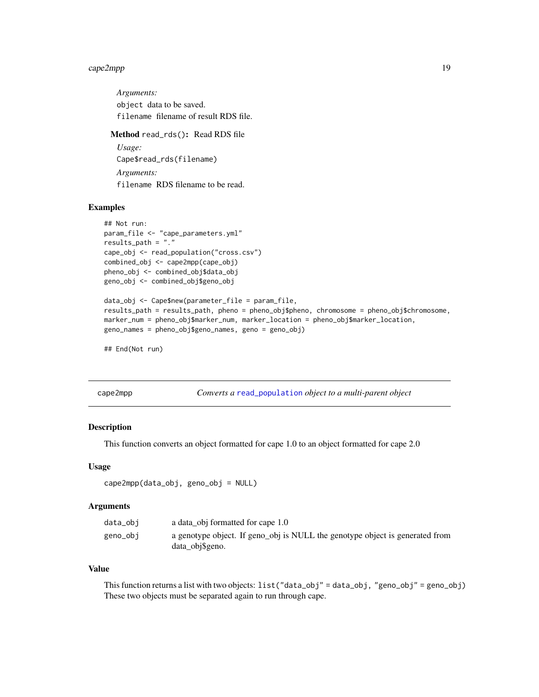## <span id="page-18-0"></span>cape2mpp 19

*Arguments:* object data to be saved. filename filename of result RDS file. Method read\_rds(): Read RDS file *Usage:*

<span id="page-18-1"></span>Cape\$read\_rds(filename) *Arguments:* filename RDS filename to be read.

## Examples

```
## Not run:
param_file <- "cape_parameters.yml"
results_path = "."
cape_obj <- read_population("cross.csv")
combined_obj <- cape2mpp(cape_obj)
pheno_obj <- combined_obj$data_obj
geno_obj <- combined_obj$geno_obj
data_obj <- Cape$new(parameter_file = param_file,
results_path = results_path, pheno = pheno_obj$pheno, chromosome = pheno_obj$chromosome,
marker_num = pheno_obj$marker_num, marker_location = pheno_obj$marker_location,
geno_names = pheno_obj$geno_names, geno = geno_obj)
```
## End(Not run)

cape2mpp *Converts a* [read\\_population](#page-56-1) *object to a multi-parent object*

#### Description

This function converts an object formatted for cape 1.0 to an object formatted for cape 2.0

#### Usage

```
cape2mpp(data_obj, geno_obj = NULL)
```
#### Arguments

| data_obi | a data obj formatted for cape 1.0                                                               |
|----------|-------------------------------------------------------------------------------------------------|
| geno_obj | a genotype object. If geno_obj is NULL the genotype object is generated from<br>data obj\$geno. |

#### Value

This function returns a list with two objects: list("data\_obj" = data\_obj, "geno\_obj" = geno\_obj) These two objects must be separated again to run through cape.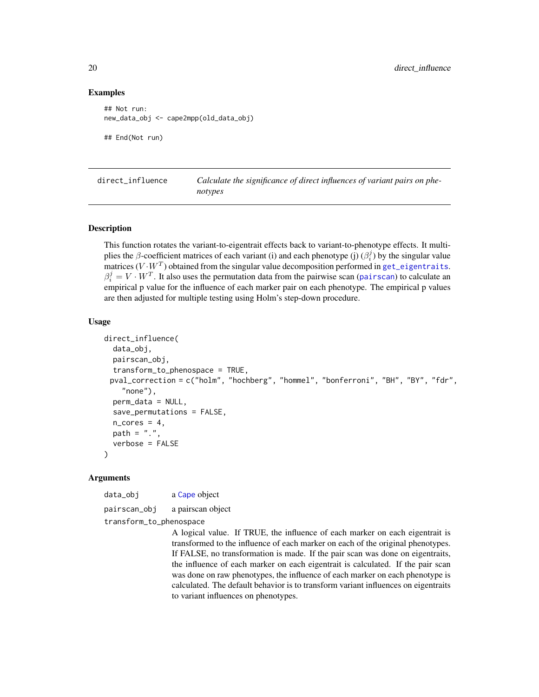#### Examples

```
## Not run:
new_data_obj <- cape2mpp(old_data_obj)
## End(Not run)
```
<span id="page-19-1"></span>direct\_influence *Calculate the significance of direct influences of variant pairs on phenotypes*

#### Description

This function rotates the variant-to-eigentrait effects back to variant-to-phenotype effects. It multiplies the  $\beta$ -coefficient matrices of each variant (i) and each phenotype (j)  $(\beta_i^j)$  by the singular value matrices  $(V \cdot W^T)$  obtained from the singular value decomposition performed in [get\\_eigentraits](#page-22-1).  $\beta_i^j = V \cdot W^T$ . It also uses the permutation data from the pairwise scan ([pairscan](#page-35-1)) to calculate an empirical p value for the influence of each marker pair on each phenotype. The empirical p values are then adjusted for multiple testing using Holm's step-down procedure.

#### Usage

```
direct_influence(
  data_obj,
  pairscan_obj,
  transform_to_phenospace = TRUE,
 pval_correction = c("holm", "hochberg", "hommel", "bonferroni", "BH", "BY", "fdr",
    "none"),
  perm_data = NULL,
  save_permutations = FALSE,
  n\_cores = 4,
 path = ".'',verbose = FALSE
)
```
#### Arguments

data\_obj a [Cape](#page-4-1) object pairscan\_obj a pairscan object

transform\_to\_phenospace

A logical value. If TRUE, the influence of each marker on each eigentrait is transformed to the influence of each marker on each of the original phenotypes. If FALSE, no transformation is made. If the pair scan was done on eigentraits, the influence of each marker on each eigentrait is calculated. If the pair scan was done on raw phenotypes, the influence of each marker on each phenotype is calculated. The default behavior is to transform variant influences on eigentraits to variant influences on phenotypes.

<span id="page-19-0"></span>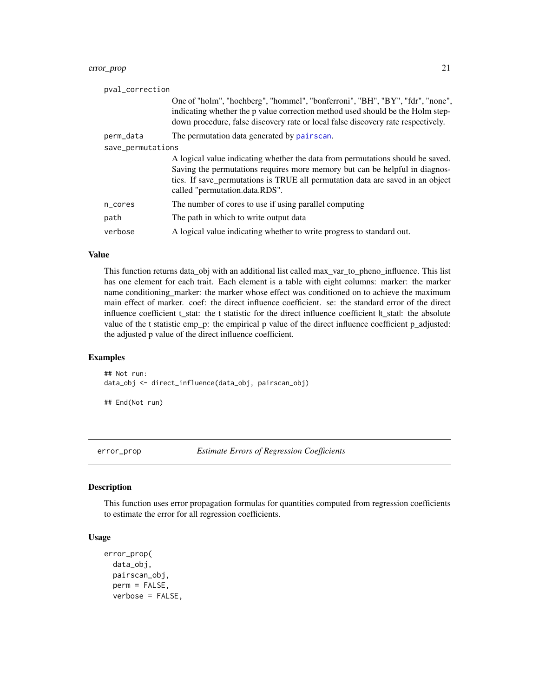## <span id="page-20-0"></span>error\_prop 21

| pval_correction   |                                                                                                                                                                                                                                                                                   |
|-------------------|-----------------------------------------------------------------------------------------------------------------------------------------------------------------------------------------------------------------------------------------------------------------------------------|
|                   | One of "holm", "hochberg", "hommel", "bonferroni", "BH", "BY", "fdr", "none",<br>indicating whether the p value correction method used should be the Holm step-<br>down procedure, false discovery rate or local false discovery rate respectively.                               |
| perm_data         | The permutation data generated by pairscan.                                                                                                                                                                                                                                       |
| save_permutations |                                                                                                                                                                                                                                                                                   |
|                   | A logical value indicating whether the data from permutations should be saved.<br>Saving the permutations requires more memory but can be helpful in diagnos-<br>tics. If save_permutations is TRUE all permutation data are saved in an object<br>called "permutation.data.RDS". |
| n_cores           | The number of cores to use if using parallel computing                                                                                                                                                                                                                            |
| path              | The path in which to write output data                                                                                                                                                                                                                                            |
| verbose           | A logical value indicating whether to write progress to standard out.                                                                                                                                                                                                             |

#### Value

This function returns data\_obj with an additional list called max\_var\_to\_pheno\_influence. This list has one element for each trait. Each element is a table with eight columns: marker: the marker name conditioning marker: the marker whose effect was conditioned on to achieve the maximum main effect of marker. coef: the direct influence coefficient. se: the standard error of the direct influence coefficient t\_stat: the t statistic for the direct influence coefficient |t\_stat|: the absolute value of the t statistic emp\_p: the empirical p value of the direct influence coefficient p\_adjusted: the adjusted p value of the direct influence coefficient.

#### Examples

## Not run: data\_obj <- direct\_influence(data\_obj, pairscan\_obj)

## End(Not run)

<span id="page-20-1"></span>error\_prop *Estimate Errors of Regression Coefficients*

#### Description

This function uses error propagation formulas for quantities computed from regression coefficients to estimate the error for all regression coefficients.

## Usage

```
error_prop(
  data_obj,
  pairscan_obj,
  perm = FALSE,
  verbose = FALSE,
```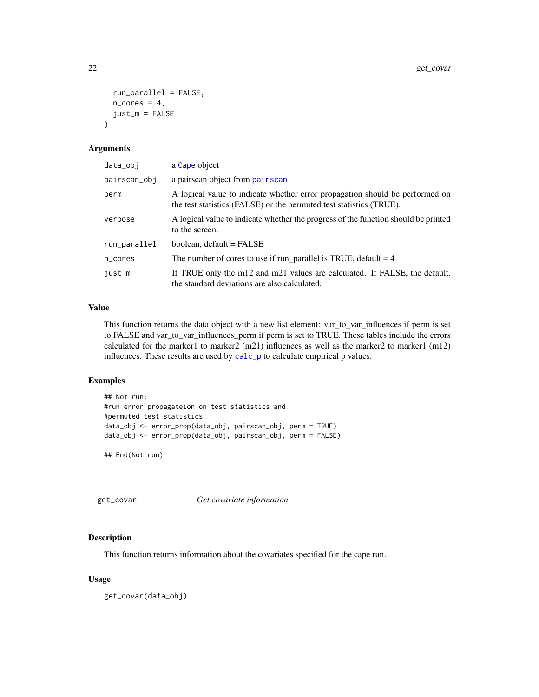```
run_parallel = FALSE,
  n\_cores = 4,
  just_m = FALSE
\lambda
```
## Arguments

| data_obj     | a Cape object                                                                                                                                       |
|--------------|-----------------------------------------------------------------------------------------------------------------------------------------------------|
| pairscan_obi | a pairscan object from pairscan                                                                                                                     |
| perm         | A logical value to indicate whether error propagation should be performed on<br>the test statistics (FALSE) or the permuted test statistics (TRUE). |
| verbose      | A logical value to indicate whether the progress of the function should be printed<br>to the screen.                                                |
| run_parallel | boolean, default = FALSE                                                                                                                            |
| n_cores      | The number of cores to use if $run$ parallel is TRUE, default = 4                                                                                   |
| just_m       | If TRUE only the m12 and m21 values are calculated. If FALSE, the default,<br>the standard deviations are also calculated.                          |

## Value

This function returns the data object with a new list element: var\_to\_var\_influences if perm is set to FALSE and var\_to\_var\_influences\_perm if perm is set to TRUE. These tables include the errors calculated for the marker1 to marker2  $(m21)$  influences as well as the marker2 to marker1  $(m12)$ influences. These results are used by [calc\\_p](#page-3-1) to calculate empirical p values.

#### Examples

```
## Not run:
#run error propagateion on test statistics and
#permuted test statistics
data_obj <- error_prop(data_obj, pairscan_obj, perm = TRUE)
data_obj <- error_prop(data_obj, pairscan_obj, perm = FALSE)
```
## End(Not run)

<span id="page-21-1"></span>get\_covar *Get covariate information*

## Description

This function returns information about the covariates specified for the cape run.

## Usage

get\_covar(data\_obj)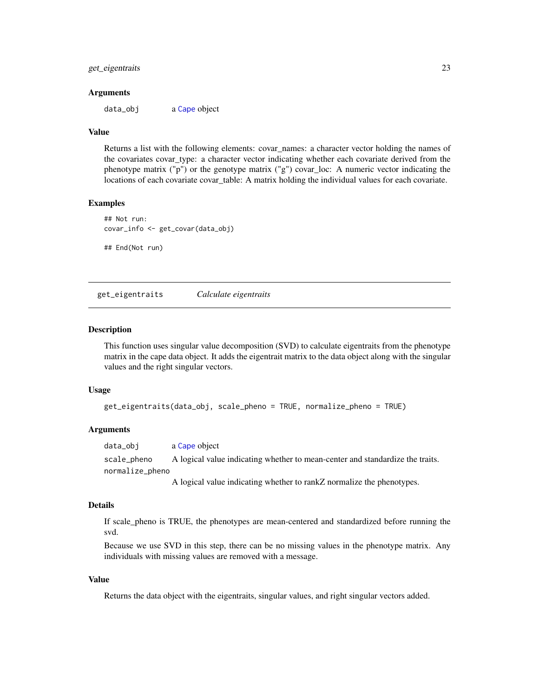#### <span id="page-22-0"></span>get\_eigentraits 23

#### Arguments

data\_obj a [Cape](#page-4-1) object

#### Value

Returns a list with the following elements: covar\_names: a character vector holding the names of the covariates covar\_type: a character vector indicating whether each covariate derived from the phenotype matrix ("p") or the genotype matrix ("g") covar\_loc: A numeric vector indicating the locations of each covariate covar\_table: A matrix holding the individual values for each covariate.

## Examples

## End(Not run)

```
## Not run:
covar_info <- get_covar(data_obj)
```
<span id="page-22-1"></span>get\_eigentraits *Calculate eigentraits*

#### Description

This function uses singular value decomposition (SVD) to calculate eigentraits from the phenotype matrix in the cape data object. It adds the eigentrait matrix to the data object along with the singular values and the right singular vectors.

#### Usage

```
get_eigentraits(data_obj, scale_pheno = TRUE, normalize_pheno = TRUE)
```
#### Arguments

data\_obj a [Cape](#page-4-1) object scale\_pheno A logical value indicating whether to mean-center and standardize the traits. normalize\_pheno

A logical value indicating whether to rankZ normalize the phenotypes.

## Details

If scale\_pheno is TRUE, the phenotypes are mean-centered and standardized before running the svd.

Because we use SVD in this step, there can be no missing values in the phenotype matrix. Any individuals with missing values are removed with a message.

#### Value

Returns the data object with the eigentraits, singular values, and right singular vectors added.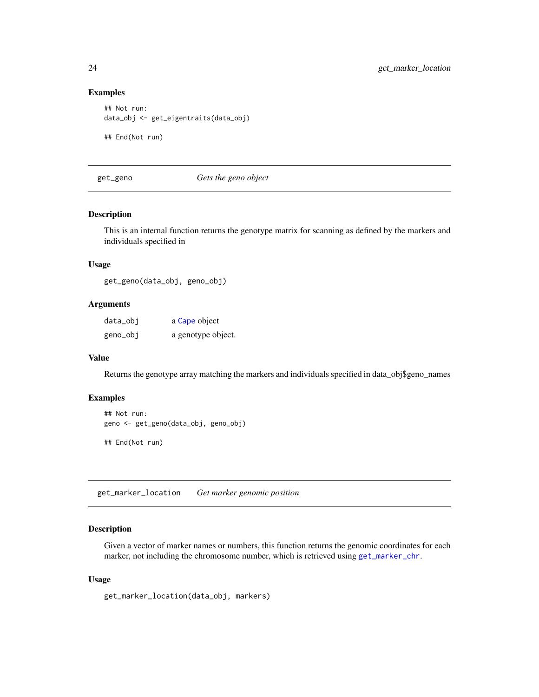## Examples

```
## Not run:
data_obj <- get_eigentraits(data_obj)
## End(Not run)
```
<span id="page-23-1"></span>get\_geno *Gets the geno object*

#### Description

This is an internal function returns the genotype matrix for scanning as defined by the markers and individuals specified in

#### Usage

get\_geno(data\_obj, geno\_obj)

## Arguments

| data_obj | a Cape object      |
|----------|--------------------|
| geno_obj | a genotype object. |

## Value

Returns the genotype array matching the markers and individuals specified in data\_obj\$geno\_names

## Examples

```
## Not run:
geno <- get_geno(data_obj, geno_obj)
## End(Not run)
```
get\_marker\_location *Get marker genomic position*

## Description

Given a vector of marker names or numbers, this function returns the genomic coordinates for each marker, not including the chromosome number, which is retrieved using [get\\_marker\\_chr](#page-0-0).

#### Usage

get\_marker\_location(data\_obj, markers)

<span id="page-23-0"></span>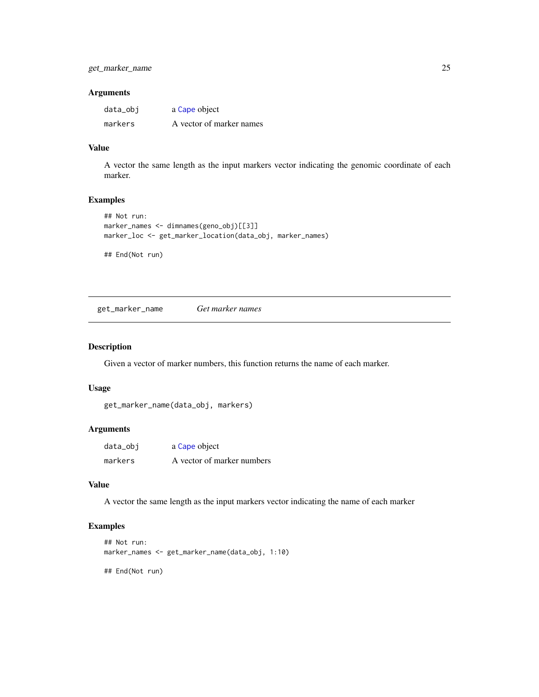## <span id="page-24-0"></span>Arguments

| data_obj | a Cape object            |
|----------|--------------------------|
| markers  | A vector of marker names |

#### Value

A vector the same length as the input markers vector indicating the genomic coordinate of each marker.

## Examples

```
## Not run:
marker_names <- dimnames(geno_obj)[[3]]
marker_loc <- get_marker_location(data_obj, marker_names)
```
## End(Not run)

get\_marker\_name *Get marker names*

## Description

Given a vector of marker numbers, this function returns the name of each marker.

## Usage

```
get_marker_name(data_obj, markers)
```
## Arguments

| data_obj | a Cape object              |
|----------|----------------------------|
| markers  | A vector of marker numbers |

## Value

A vector the same length as the input markers vector indicating the name of each marker

## Examples

```
## Not run:
marker_names <- get_marker_name(data_obj, 1:10)
## End(Not run)
```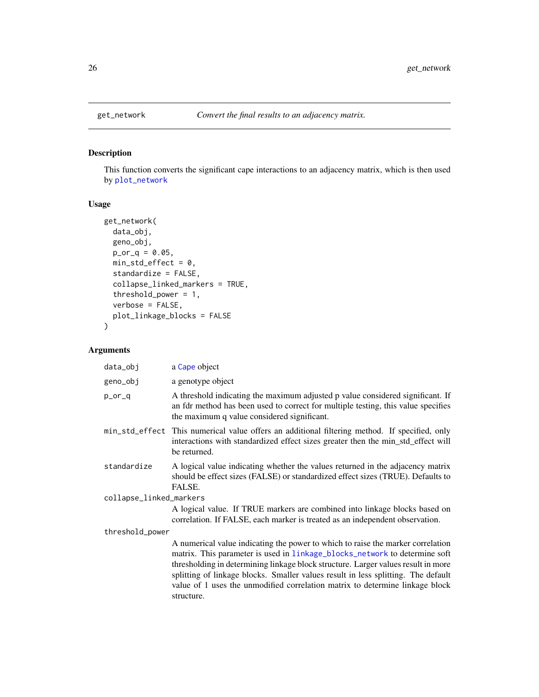## Description

This function converts the significant cape interactions to an adjacency matrix, which is then used by [plot\\_network](#page-44-1)

## Usage

```
get_network(
 data_obj,
 geno_obj,
 p_{0} - q = 0.05,
 min_std_effect = 0,
  standardize = FALSE,
  collapse_linked_markers = TRUE,
  threshold_power = 1,
  verbose = FALSE,
  plot_linkage_blocks = FALSE
\mathcal{L}
```
## Arguments

| data_obj                | a Cape object                                                                                                                                                                                                                                                                                                                                                                                                                         |
|-------------------------|---------------------------------------------------------------------------------------------------------------------------------------------------------------------------------------------------------------------------------------------------------------------------------------------------------------------------------------------------------------------------------------------------------------------------------------|
| geno_obj                | a genotype object                                                                                                                                                                                                                                                                                                                                                                                                                     |
| p_or_q                  | A threshold indicating the maximum adjusted p value considered significant. If<br>an fdr method has been used to correct for multiple testing, this value specifies<br>the maximum q value considered significant.                                                                                                                                                                                                                    |
|                         | min_std_effect This numerical value offers an additional filtering method. If specified, only<br>interactions with standardized effect sizes greater then the min_std_effect will<br>be returned.                                                                                                                                                                                                                                     |
| standardize             | A logical value indicating whether the values returned in the adjacency matrix<br>should be effect sizes (FALSE) or standardized effect sizes (TRUE). Defaults to<br>FALSE.                                                                                                                                                                                                                                                           |
| collapse_linked_markers |                                                                                                                                                                                                                                                                                                                                                                                                                                       |
|                         | A logical value. If TRUE markers are combined into linkage blocks based on<br>correlation. If FALSE, each marker is treated as an independent observation.                                                                                                                                                                                                                                                                            |
| threshold_power         |                                                                                                                                                                                                                                                                                                                                                                                                                                       |
|                         | A numerical value indicating the power to which to raise the marker correlation<br>matrix. This parameter is used in linkage_blocks_network to determine soft<br>thresholding in determining linkage block structure. Larger values result in more<br>splitting of linkage blocks. Smaller values result in less splitting. The default<br>value of 1 uses the unmodified correlation matrix to determine linkage block<br>structure. |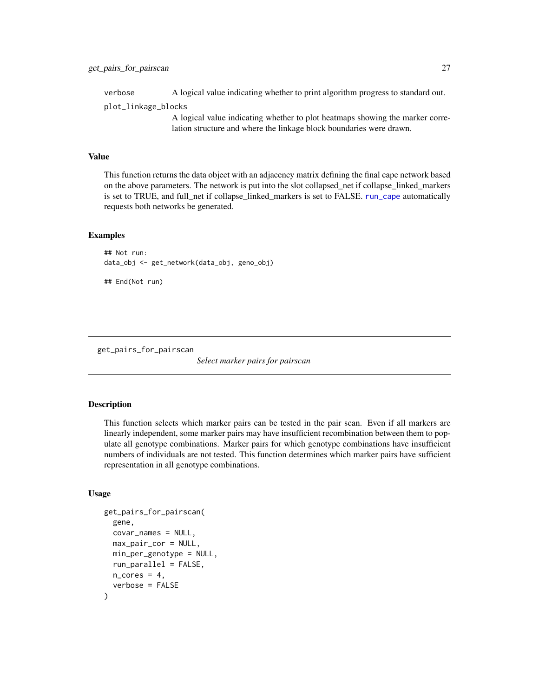<span id="page-26-0"></span>verbose A logical value indicating whether to print algorithm progress to standard out.

plot\_linkage\_blocks

A logical value indicating whether to plot heatmaps showing the marker correlation structure and where the linkage block boundaries were drawn.

## Value

This function returns the data object with an adjacency matrix defining the final cape network based on the above parameters. The network is put into the slot collapsed\_net if collapse\_linked\_markers is set to TRUE, and full\_net if collapse\_linked\_markers is set to FALSE. [run\\_cape](#page-61-1) automatically requests both networks be generated.

#### Examples

```
## Not run:
data_obj <- get_network(data_obj, geno_obj)
```
## End(Not run)

get\_pairs\_for\_pairscan

*Select marker pairs for pairscan*

#### Description

This function selects which marker pairs can be tested in the pair scan. Even if all markers are linearly independent, some marker pairs may have insufficient recombination between them to populate all genotype combinations. Marker pairs for which genotype combinations have insufficient numbers of individuals are not tested. This function determines which marker pairs have sufficient representation in all genotype combinations.

#### Usage

```
get_pairs_for_pairscan(
  gene,
  covar_names = NULL,
 max_pair_cor = NULL,
 min_per_genotype = NULL,
  run_parallel = FALSE,
 n\_cores = 4,verbose = FALSE
)
```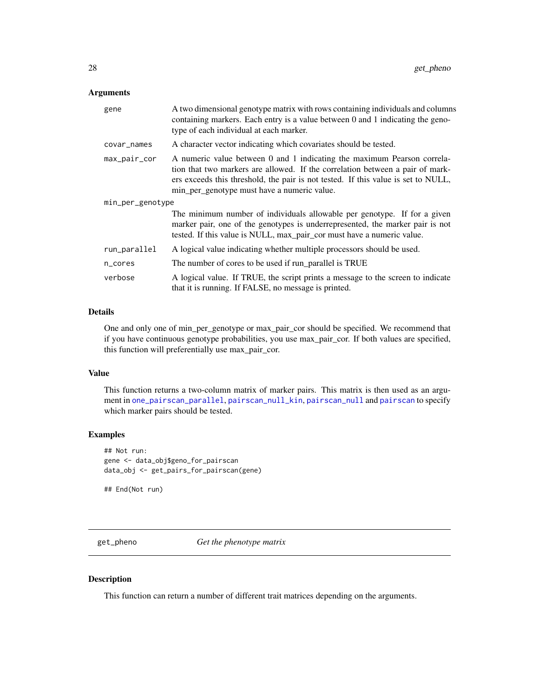## <span id="page-27-0"></span>Arguments

| gene             | A two dimensional genotype matrix with rows containing individuals and columns<br>containing markers. Each entry is a value between 0 and 1 indicating the geno-<br>type of each individual at each marker.                                                                                  |
|------------------|----------------------------------------------------------------------------------------------------------------------------------------------------------------------------------------------------------------------------------------------------------------------------------------------|
| covar_names      | A character vector indicating which covariates should be tested.                                                                                                                                                                                                                             |
| max_pair_cor     | A numeric value between 0 and 1 indicating the maximum Pearson correla-<br>tion that two markers are allowed. If the correlation between a pair of mark-<br>ers exceeds this threshold, the pair is not tested. If this value is set to NULL,<br>min_per_genotype must have a numeric value. |
| min_per_genotype |                                                                                                                                                                                                                                                                                              |
|                  | The minimum number of individuals allowable per genotype. If for a given<br>marker pair, one of the genotypes is underrepresented, the marker pair is not<br>tested. If this value is NULL, max_pair_cor must have a numeric value.                                                          |
| run_parallel     | A logical value indicating whether multiple processors should be used.                                                                                                                                                                                                                       |
| n_cores          | The number of cores to be used if run_parallel is TRUE                                                                                                                                                                                                                                       |
| verbose          | A logical value. If TRUE, the script prints a message to the screen to indicate<br>that it is running. If FALSE, no message is printed.                                                                                                                                                      |

## Details

One and only one of min\_per\_genotype or max\_pair\_cor should be specified. We recommend that if you have continuous genotype probabilities, you use max\_pair\_cor. If both values are specified, this function will preferentially use max\_pair\_cor.

## Value

This function returns a two-column matrix of marker pairs. This matrix is then used as an argument in [one\\_pairscan\\_parallel](#page-0-0), [pairscan\\_null\\_kin](#page-0-0), [pairscan\\_null](#page-0-0) and [pairscan](#page-35-1) to specify which marker pairs should be tested.

## Examples

## Not run: gene <- data\_obj\$geno\_for\_pairscan data\_obj <- get\_pairs\_for\_pairscan(gene)

## End(Not run)

<span id="page-27-1"></span>get\_pheno *Get the phenotype matrix*

## Description

This function can return a number of different trait matrices depending on the arguments.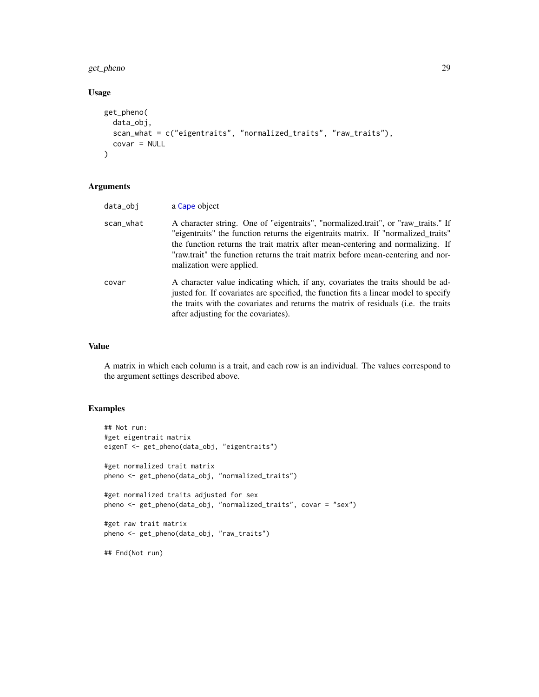## get\_pheno 29

## Usage

```
get_pheno(
  data_obj,
  scan_what = c("eigentraits", "normalized_traits", "raw_traits"),
  covar = NULL
\mathcal{L}
```
## Arguments

| data_obj  | a Cape object                                                                                                                                                                                                                                                                                                                                                            |
|-----------|--------------------------------------------------------------------------------------------------------------------------------------------------------------------------------------------------------------------------------------------------------------------------------------------------------------------------------------------------------------------------|
| scan_what | A character string. One of "eigentraits", "normalized.trait", or "raw_traits." If<br>"eigentraits" the function returns the eigentraits matrix. If "normalized_traits"<br>the function returns the trait matrix after mean-centering and normalizing. If<br>"raw.trait" the function returns the trait matrix before mean-centering and nor-<br>malization were applied. |
| covar     | A character value indicating which, if any, covariates the traits should be ad-<br>justed for. If covariates are specified, the function fits a linear model to specify<br>the traits with the covariates and returns the matrix of residuals (i.e. the traits<br>after adjusting for the covariates).                                                                   |

#### Value

A matrix in which each column is a trait, and each row is an individual. The values correspond to the argument settings described above.

## Examples

```
## Not run:
#get eigentrait matrix
eigenT <- get_pheno(data_obj, "eigentraits")
#get normalized trait matrix
pheno <- get_pheno(data_obj, "normalized_traits")
#get normalized traits adjusted for sex
pheno <- get_pheno(data_obj, "normalized_traits", covar = "sex")
#get raw trait matrix
pheno <- get_pheno(data_obj, "raw_traits")
## End(Not run)
```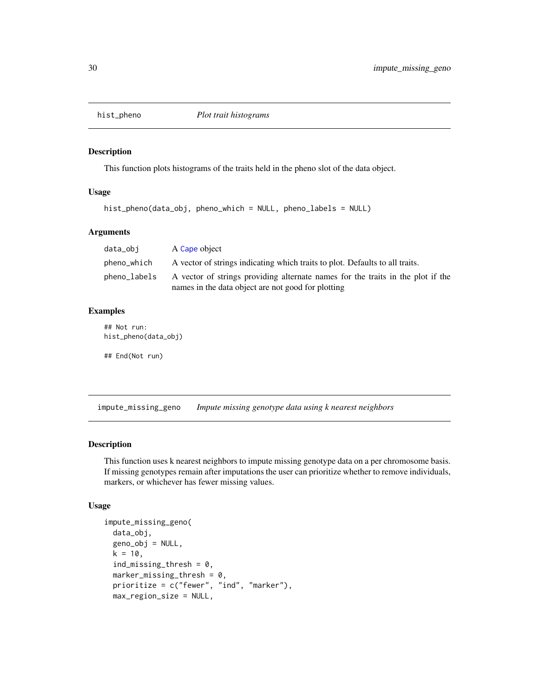<span id="page-29-0"></span>

## Description

This function plots histograms of the traits held in the pheno slot of the data object.

#### Usage

```
hist_pheno(data_obj, pheno_which = NULL, pheno_labels = NULL)
```
## Arguments

| data_obi     | A Cape object                                                                                                                         |
|--------------|---------------------------------------------------------------------------------------------------------------------------------------|
| pheno_which  | A vector of strings indicating which traits to plot. Defaults to all traits.                                                          |
| pheno_labels | A vector of strings providing alternate names for the traits in the plot if the<br>names in the data object are not good for plotting |

## Examples

## Not run: hist\_pheno(data\_obj)

## End(Not run)

impute\_missing\_geno *Impute missing genotype data using k nearest neighbors*

## Description

This function uses k nearest neighbors to impute missing genotype data on a per chromosome basis. If missing genotypes remain after imputations the user can prioritize whether to remove individuals, markers, or whichever has fewer missing values.

## Usage

```
impute_missing_geno(
 data_obj,
  geno_obj = NULL,
 k = 10,
  ind\_missing\_thresh = 0,
 marker_missing_thresh = 0,
 prioritize = c("fewer", "ind", "marker"),
 max_region_size = NULL,
```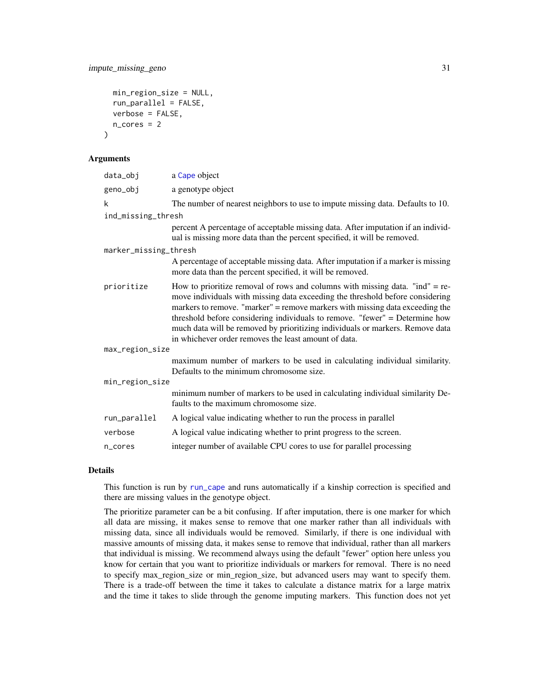```
min_region_size = NULL,
  run_parallel = FALSE,
  verbose = FALSE,
  n\_cores = 2)
```
#### **Arguments**

| a Cape object                                                                                                                                                                                                                                                                                                                                                                                                                                                            |  |  |
|--------------------------------------------------------------------------------------------------------------------------------------------------------------------------------------------------------------------------------------------------------------------------------------------------------------------------------------------------------------------------------------------------------------------------------------------------------------------------|--|--|
| a genotype object                                                                                                                                                                                                                                                                                                                                                                                                                                                        |  |  |
| The number of nearest neighbors to use to impute missing data. Defaults to 10.                                                                                                                                                                                                                                                                                                                                                                                           |  |  |
| ind_missing_thresh                                                                                                                                                                                                                                                                                                                                                                                                                                                       |  |  |
| percent A percentage of acceptable missing data. After imputation if an individ-<br>ual is missing more data than the percent specified, it will be removed.                                                                                                                                                                                                                                                                                                             |  |  |
| marker_missing_thresh                                                                                                                                                                                                                                                                                                                                                                                                                                                    |  |  |
| A percentage of acceptable missing data. After imputation if a marker is missing<br>more data than the percent specified, it will be removed.                                                                                                                                                                                                                                                                                                                            |  |  |
| How to prioritize removal of rows and columns with missing data. "ind" = $re$ -<br>move individuals with missing data exceeding the threshold before considering<br>markers to remove. "marker" = remove markers with missing data exceeding the<br>threshold before considering individuals to remove. "fewer" = Determine how<br>much data will be removed by prioritizing individuals or markers. Remove data<br>in whichever order removes the least amount of data. |  |  |
| max_region_size                                                                                                                                                                                                                                                                                                                                                                                                                                                          |  |  |
| maximum number of markers to be used in calculating individual similarity.<br>Defaults to the minimum chromosome size.                                                                                                                                                                                                                                                                                                                                                   |  |  |
| min_region_size                                                                                                                                                                                                                                                                                                                                                                                                                                                          |  |  |
| minimum number of markers to be used in calculating individual similarity De-<br>faults to the maximum chromosome size.                                                                                                                                                                                                                                                                                                                                                  |  |  |
| A logical value indicating whether to run the process in parallel                                                                                                                                                                                                                                                                                                                                                                                                        |  |  |
| A logical value indicating whether to print progress to the screen.                                                                                                                                                                                                                                                                                                                                                                                                      |  |  |
| integer number of available CPU cores to use for parallel processing                                                                                                                                                                                                                                                                                                                                                                                                     |  |  |
|                                                                                                                                                                                                                                                                                                                                                                                                                                                                          |  |  |

## Details

This function is run by [run\\_cape](#page-61-1) and runs automatically if a kinship correction is specified and there are missing values in the genotype object.

The prioritize parameter can be a bit confusing. If after imputation, there is one marker for which all data are missing, it makes sense to remove that one marker rather than all individuals with missing data, since all individuals would be removed. Similarly, if there is one individual with massive amounts of missing data, it makes sense to remove that individual, rather than all markers that individual is missing. We recommend always using the default "fewer" option here unless you know for certain that you want to prioritize individuals or markers for removal. There is no need to specify max\_region\_size or min\_region\_size, but advanced users may want to specify them. There is a trade-off between the time it takes to calculate a distance matrix for a large matrix and the time it takes to slide through the genome imputing markers. This function does not yet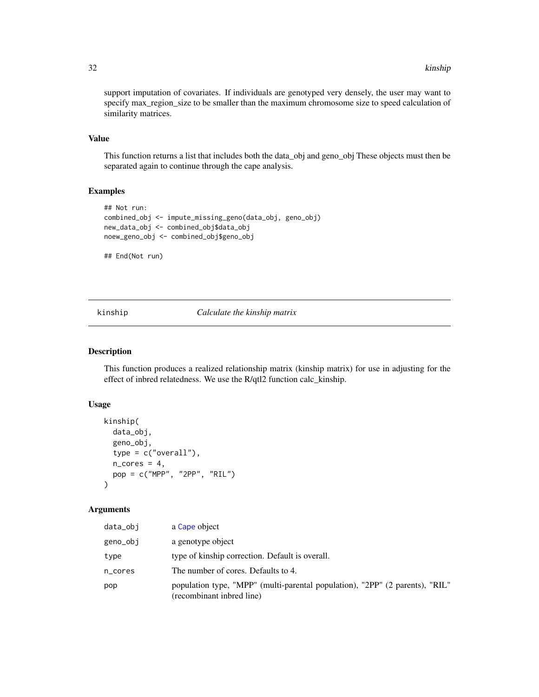<span id="page-31-0"></span>support imputation of covariates. If individuals are genotyped very densely, the user may want to specify max\_region\_size to be smaller than the maximum chromosome size to speed calculation of similarity matrices.

## Value

This function returns a list that includes both the data\_obj and geno\_obj These objects must then be separated again to continue through the cape analysis.

## Examples

```
## Not run:
combined_obj <- impute_missing_geno(data_obj, geno_obj)
new_data_obj <- combined_obj$data_obj
noew_geno_obj <- combined_obj$geno_obj
```
## End(Not run)

kinship *Calculate the kinship matrix*

#### Description

This function produces a realized relationship matrix (kinship matrix) for use in adjusting for the effect of inbred relatedness. We use the R/qtl2 function calc\_kinship.

#### Usage

```
kinship(
  data_obj,
  geno_obj,
  type = c("overall"),
  n\_cores = 4,
 pop = c("MPP", "2PP", "RIL")
)
```
## Arguments

| data_obi | a Cape object                                                                                             |
|----------|-----------------------------------------------------------------------------------------------------------|
| geno_obj | a genotype object                                                                                         |
| type     | type of kinship correction. Default is overall.                                                           |
| n_cores  | The number of cores. Defaults to 4.                                                                       |
| pop      | population type, "MPP" (multi-parental population), "2PP" (2 parents), "RIL"<br>(recombinant inbred line) |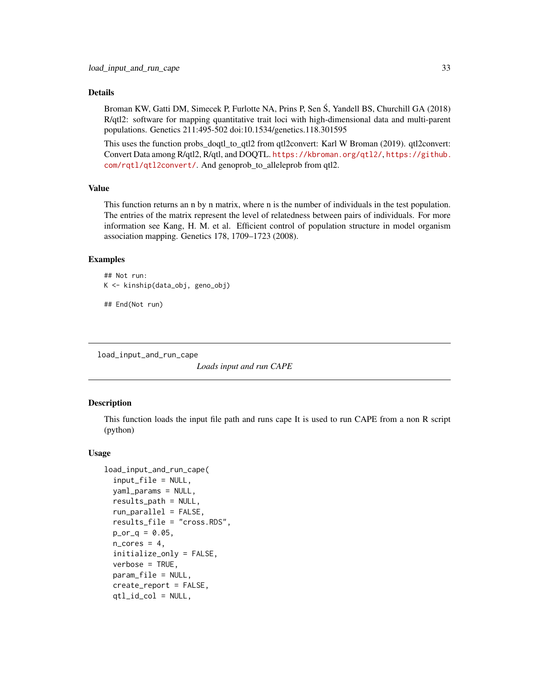## <span id="page-32-0"></span>Details

Broman KW, Gatti DM, Simecek P, Furlotte NA, Prins P, Sen S, Yandell BS, Churchill GA (2018) R/qtl2: software for mapping quantitative trait loci with high-dimensional data and multi-parent populations. Genetics 211:495-502 doi:10.1534/genetics.118.301595

This uses the function probs\_doqtl\_to\_qtl2 from qtl2convert: Karl W Broman (2019). qtl2convert: Convert Data among R/qtl2, R/qtl, and DOQTL. <https://kbroman.org/qtl2/>, [https://github.](https://github.com/rqtl/qtl2convert/) [com/rqtl/qtl2convert/](https://github.com/rqtl/qtl2convert/). And genoprob\_to\_alleleprob from qtl2.

## Value

This function returns an n by n matrix, where n is the number of individuals in the test population. The entries of the matrix represent the level of relatedness between pairs of individuals. For more information see Kang, H. M. et al. Efficient control of population structure in model organism association mapping. Genetics 178, 1709–1723 (2008).

#### Examples

```
## Not run:
K <- kinship(data_obj, geno_obj)
```
## End(Not run)

load\_input\_and\_run\_cape

*Loads input and run CAPE*

#### Description

This function loads the input file path and runs cape It is used to run CAPE from a non R script (python)

#### Usage

```
load_input_and_run_cape(
  input_file = NULL,
  yaml_params = NULL,
  results_path = NULL,
  run_parallel = FALSE,
  results_file = "cross.RDS",
 p_{0} - q = 0.05,
  n\_cores = 4,
  initialize_only = FALSE,
  verbose = TRUE,
  param_file = NULL,
  create_report = FALSE,
  qtl_id_col = NULL,
```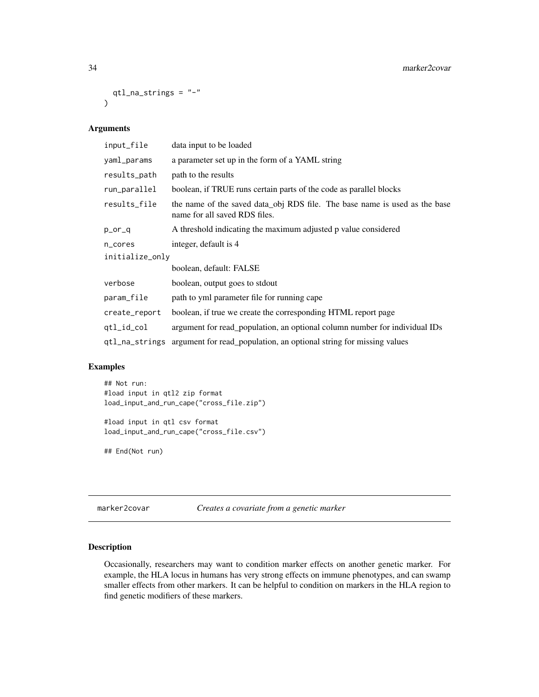```
qtl_na_strings = "-"
\lambda
```
## Arguments

| data input to be loaded                                                                                     |  |  |
|-------------------------------------------------------------------------------------------------------------|--|--|
| a parameter set up in the form of a YAML string                                                             |  |  |
| path to the results                                                                                         |  |  |
| boolean, if TRUE runs certain parts of the code as parallel blocks                                          |  |  |
| the name of the saved data_obj RDS file. The base name is used as the base<br>name for all saved RDS files. |  |  |
| A threshold indicating the maximum adjusted p value considered                                              |  |  |
| integer, default is 4                                                                                       |  |  |
| initialize_only                                                                                             |  |  |
| boolean, default: FALSE                                                                                     |  |  |
| boolean, output goes to stdout                                                                              |  |  |
| path to yml parameter file for running cape                                                                 |  |  |
| boolean, if true we create the corresponding HTML report page                                               |  |  |
| argument for read_population, an optional column number for individual IDs                                  |  |  |
| argument for read_population, an optional string for missing values                                         |  |  |
|                                                                                                             |  |  |

## Examples

## Not run: #load input in qtl2 zip format load\_input\_and\_run\_cape("cross\_file.zip") #load input in qtl csv format load\_input\_and\_run\_cape("cross\_file.csv")

## End(Not run)

<span id="page-33-1"></span>marker2covar *Creates a covariate from a genetic marker*

## Description

Occasionally, researchers may want to condition marker effects on another genetic marker. For example, the HLA locus in humans has very strong effects on immune phenotypes, and can swamp smaller effects from other markers. It can be helpful to condition on markers in the HLA region to find genetic modifiers of these markers.

<span id="page-33-0"></span>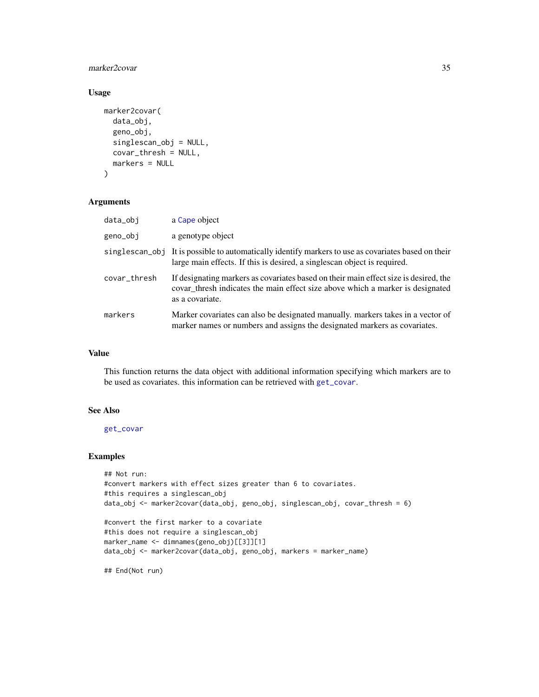## marker2covar 35

## Usage

```
marker2covar(
  data_obj,
  geno_obj,
  singlescan_obj = NULL,
  covar_thresh = NULL,
 markers = NULL
)
```
#### Arguments

| data_obj     | a Cape object                                                                                                                                                                             |
|--------------|-------------------------------------------------------------------------------------------------------------------------------------------------------------------------------------------|
| geno_obj     | a genotype object                                                                                                                                                                         |
|              | singlescan_obj It is possible to automatically identify markers to use as covariates based on their<br>large main effects. If this is desired, a singlescan object is required.           |
| covar_thresh | If designating markers as covariates based on their main effect size is desired, the<br>covar_thresh indicates the main effect size above which a marker is designated<br>as a covariate. |
| markers      | Marker covariates can also be designated manually, markers takes in a vector of<br>marker names or numbers and assigns the designated markers as covariates.                              |

## Value

This function returns the data object with additional information specifying which markers are to be used as covariates. this information can be retrieved with [get\\_covar](#page-21-1).

## See Also

[get\\_covar](#page-21-1)

#### Examples

```
## Not run:
#convert markers with effect sizes greater than 6 to covariates.
#this requires a singlescan_obj
data_obj <- marker2covar(data_obj, geno_obj, singlescan_obj, covar_thresh = 6)
```

```
#convert the first marker to a covariate
#this does not require a singlescan_obj
marker_name <- dimnames(geno_obj)[[3]][1]
data_obj <- marker2covar(data_obj, geno_obj, markers = marker_name)
```
## End(Not run)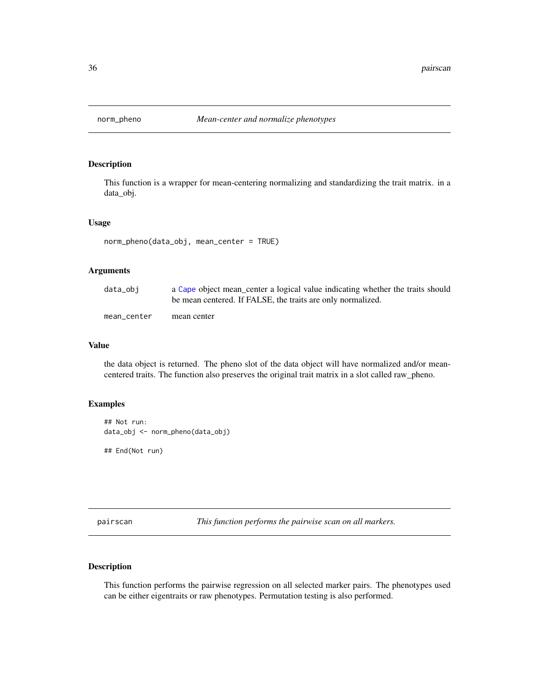<span id="page-35-0"></span>

## Description

This function is a wrapper for mean-centering normalizing and standardizing the trait matrix. in a data\_obj.

#### Usage

```
norm_pheno(data_obj, mean_center = TRUE)
```
## Arguments

| data_obi    | a Cape object mean_center a logical value indicating whether the traits should<br>be mean centered. If FALSE, the traits are only normalized. |
|-------------|-----------------------------------------------------------------------------------------------------------------------------------------------|
| mean center | mean center                                                                                                                                   |

#### Value

the data object is returned. The pheno slot of the data object will have normalized and/or meancentered traits. The function also preserves the original trait matrix in a slot called raw\_pheno.

#### Examples

```
## Not run:
data_obj <- norm_pheno(data_obj)
```
## End(Not run)

<span id="page-35-1"></span>pairscan *This function performs the pairwise scan on all markers.*

## Description

This function performs the pairwise regression on all selected marker pairs. The phenotypes used can be either eigentraits or raw phenotypes. Permutation testing is also performed.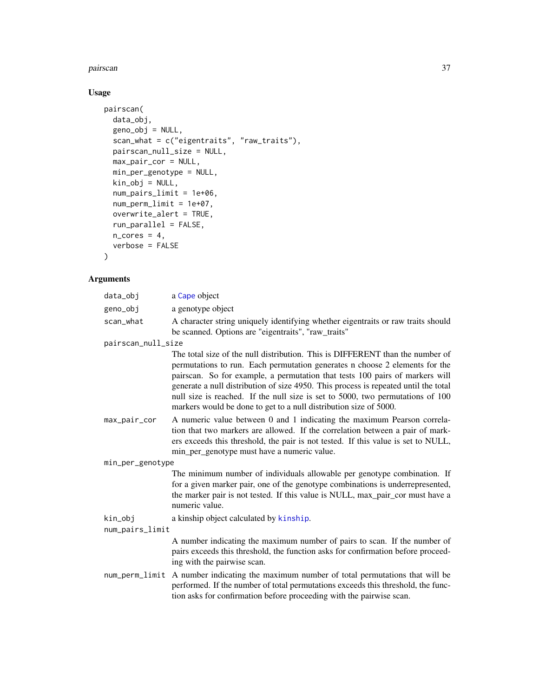#### <span id="page-36-0"></span>pairscan 37

# Usage

```
pairscan(
 data_obj,
  geno_obj = NULL,
 scan_what = c("eigentraits", "raw_traits"),
 pairscan_null_size = NULL,
 max_pair_cor = NULL,
 min_per_genotype = NULL,
 kin_obj = NULL,
 num_pairs_limit = 1e+06,
 num_perm_limit = 1e+07,
 overwrite_alert = TRUE,
 run_parallel = FALSE,
 n\_cores = 4,verbose = FALSE
)
```

| data_obj           | a Cape object                                                                                                                                                                                                                                                                                                                                                                                                                                                                              |
|--------------------|--------------------------------------------------------------------------------------------------------------------------------------------------------------------------------------------------------------------------------------------------------------------------------------------------------------------------------------------------------------------------------------------------------------------------------------------------------------------------------------------|
| geno_obj           | a genotype object                                                                                                                                                                                                                                                                                                                                                                                                                                                                          |
| scan_what          | A character string uniquely identifying whether eigentraits or raw traits should<br>be scanned. Options are "eigentraits", "raw_traits"                                                                                                                                                                                                                                                                                                                                                    |
| pairscan_null_size |                                                                                                                                                                                                                                                                                                                                                                                                                                                                                            |
|                    | The total size of the null distribution. This is DIFFERENT than the number of<br>permutations to run. Each permutation generates n choose 2 elements for the<br>pairscan. So for example, a permutation that tests 100 pairs of markers will<br>generate a null distribution of size 4950. This process is repeated until the total<br>null size is reached. If the null size is set to 5000, two permutations of 100<br>markers would be done to get to a null distribution size of 5000. |
| max_pair_cor       | A numeric value between 0 and 1 indicating the maximum Pearson correla-<br>tion that two markers are allowed. If the correlation between a pair of mark-<br>ers exceeds this threshold, the pair is not tested. If this value is set to NULL,<br>min_per_genotype must have a numeric value.                                                                                                                                                                                               |
| min_per_genotype   |                                                                                                                                                                                                                                                                                                                                                                                                                                                                                            |
|                    | The minimum number of individuals allowable per genotype combination. If<br>for a given marker pair, one of the genotype combinations is underrepresented,<br>the marker pair is not tested. If this value is NULL, max_pair_cor must have a<br>numeric value.                                                                                                                                                                                                                             |
| kin_obj            | a kinship object calculated by kinship.                                                                                                                                                                                                                                                                                                                                                                                                                                                    |
| num_pairs_limit    |                                                                                                                                                                                                                                                                                                                                                                                                                                                                                            |
|                    | A number indicating the maximum number of pairs to scan. If the number of<br>pairs exceeds this threshold, the function asks for confirmation before proceed-<br>ing with the pairwise scan.                                                                                                                                                                                                                                                                                               |
|                    | num_perm_limit A number indicating the maximum number of total permutations that will be<br>performed. If the number of total permutations exceeds this threshold, the func-<br>tion asks for confirmation before proceeding with the pairwise scan.                                                                                                                                                                                                                                       |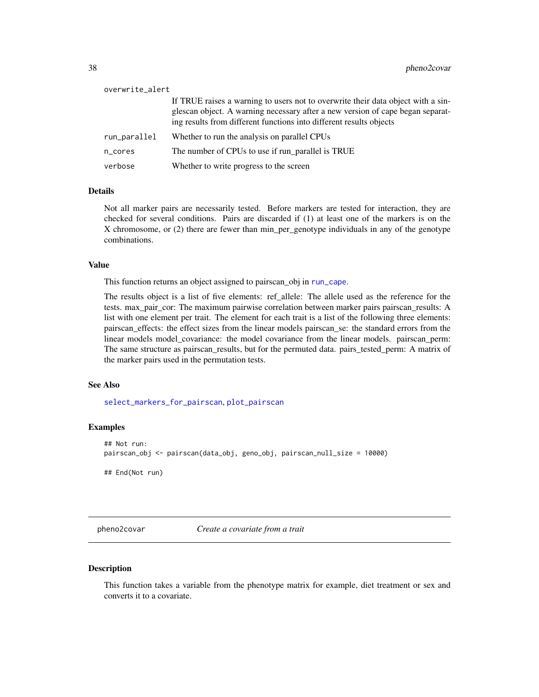<span id="page-37-1"></span>

| overwrite_alert |                                                                                                                                                                                                                                           |
|-----------------|-------------------------------------------------------------------------------------------------------------------------------------------------------------------------------------------------------------------------------------------|
|                 | If TRUE raises a warning to users not to overwrite their data object with a sin-<br>glescan object. A warning necessary after a new version of cape began separat-<br>ing results from different functions into different results objects |
| run_parallel    | Whether to run the analysis on parallel CPUs                                                                                                                                                                                              |
| n_cores         | The number of CPUs to use if run_parallel is TRUE                                                                                                                                                                                         |
| verbose         | Whether to write progress to the screen                                                                                                                                                                                                   |

#### **Details**

Not all marker pairs are necessarily tested. Before markers are tested for interaction, they are checked for several conditions. Pairs are discarded if (1) at least one of the markers is on the X chromosome, or (2) there are fewer than min\_per\_genotype individuals in any of the genotype combinations.

#### Value

This function returns an object assigned to pairscan\_obj in [run\\_cape](#page-61-0).

The results object is a list of five elements: ref\_allele: The allele used as the reference for the tests. max\_pair\_cor: The maximum pairwise correlation between marker pairs pairscan\_results: A list with one element per trait. The element for each trait is a list of the following three elements: pairscan\_effects: the effect sizes from the linear models pairscan\_se: the standard errors from the linear models model\_covariance: the model covariance from the linear models. pairscan\_perm: The same structure as pairscan\_results, but for the permuted data. pairs\_tested\_perm: A matrix of the marker pairs used in the permutation tests.

#### See Also

[select\\_markers\\_for\\_pairscan](#page-64-0), [plot\\_pairscan](#page-46-0)

#### Examples

```
## Not run:
pairscan_obj <- pairscan(data_obj, geno_obj, pairscan_null_size = 10000)
## End(Not run)
```
<span id="page-37-0"></span>pheno2covar *Create a covariate from a trait*

#### Description

This function takes a variable from the phenotype matrix for example, diet treatment or sex and converts it to a covariate.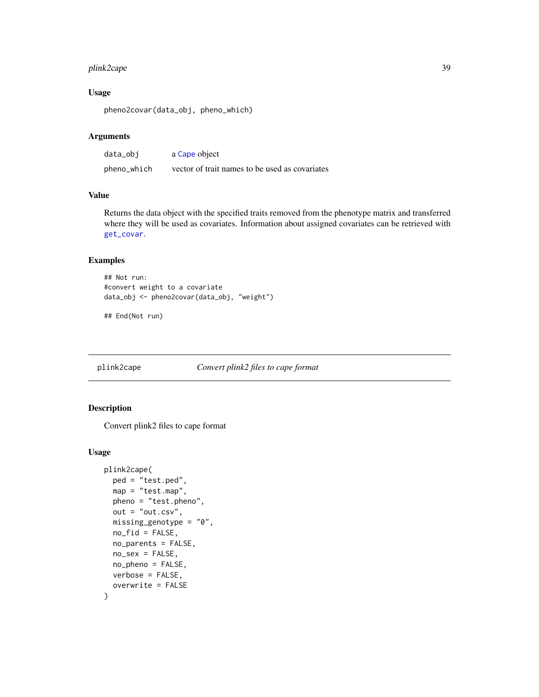# <span id="page-38-0"></span>plink2cape 39

# Usage

pheno2covar(data\_obj, pheno\_which)

# Arguments

| data_obi    | a Cape object                                  |
|-------------|------------------------------------------------|
| pheno_which | vector of trait names to be used as covariates |

# Value

Returns the data object with the specified traits removed from the phenotype matrix and transferred where they will be used as covariates. Information about assigned covariates can be retrieved with [get\\_covar](#page-21-0).

# Examples

```
## Not run:
#convert weight to a covariate
data_obj <- pheno2covar(data_obj, "weight")
```

```
## End(Not run)
```
plink2cape *Convert plink2 files to cape format*

# Description

Convert plink2 files to cape format

#### Usage

```
plink2cape(
 ped = "test.ped",
 map = "test.map",
  pheno = "test.pheno",
  out = "out.csv",
  missing_genotype = "0",
  no_fid = FALSE,
  no_parents = FALSE,
  no_sex = FALSE,
  no_pheno = FALSE,
  verbose = FALSE,
  overwrite = FALSE
)
```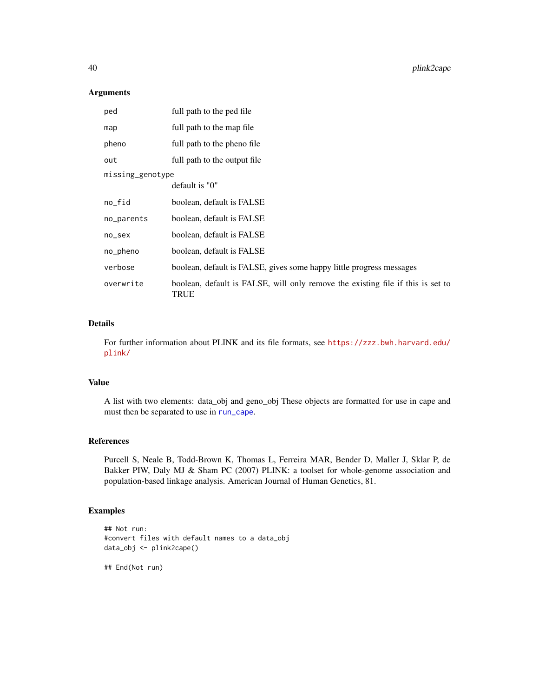#### Arguments

| ped              | full path to the ped file                                                                      |  |
|------------------|------------------------------------------------------------------------------------------------|--|
| map              | full path to the map file                                                                      |  |
| pheno            | full path to the pheno file                                                                    |  |
| out              | full path to the output file                                                                   |  |
| missing_genotype |                                                                                                |  |
|                  | default is "0"                                                                                 |  |
| no_fid           | boolean, default is FALSE                                                                      |  |
| no_parents       | boolean, default is FALSE                                                                      |  |
| no_sex           | boolean, default is FALSE                                                                      |  |
| no_pheno         | boolean, default is FALSE                                                                      |  |
| verbose          | boolean, default is FALSE, gives some happy little progress messages                           |  |
| overwrite        | boolean, default is FALSE, will only remove the existing file if this is set to<br><b>TRUE</b> |  |

# Details

For further information about PLINK and its file formats, see [https://zzz.bwh.harvard.edu/](https://zzz.bwh.harvard.edu/plink/) [plink/](https://zzz.bwh.harvard.edu/plink/)

#### Value

A list with two elements: data\_obj and geno\_obj These objects are formatted for use in cape and must then be separated to use in [run\\_cape](#page-61-0).

#### References

Purcell S, Neale B, Todd-Brown K, Thomas L, Ferreira MAR, Bender D, Maller J, Sklar P, de Bakker PIW, Daly MJ & Sham PC (2007) PLINK: a toolset for whole-genome association and population-based linkage analysis. American Journal of Human Genetics, 81.

# Examples

```
## Not run:
#convert files with default names to a data_obj
data_obj <- plink2cape()
```
## End(Not run)

<span id="page-39-0"></span>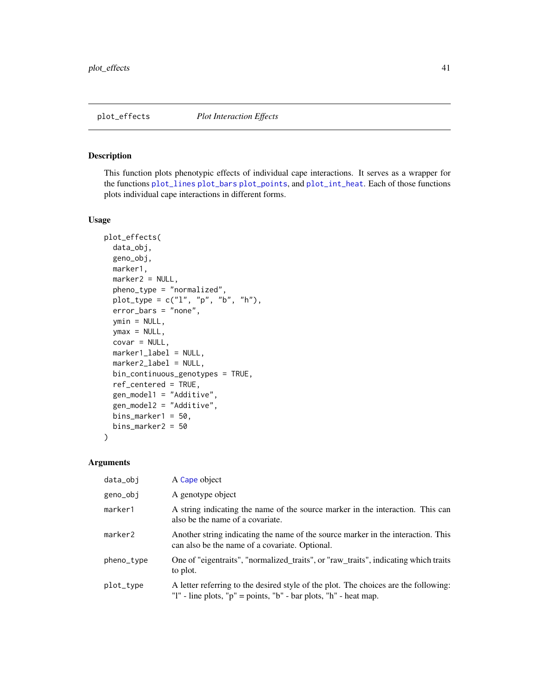#### <span id="page-40-0"></span>Description

This function plots phenotypic effects of individual cape interactions. It serves as a wrapper for the functions [plot\\_lines](#page-0-0) [plot\\_bars](#page-0-0) [plot\\_points](#page-0-0), and [plot\\_int\\_heat](#page-0-0). Each of those functions plots individual cape interactions in different forms.

#### Usage

```
plot_effects(
  data_obj,
  geno_obj,
 marker1,
  marker2 = NULL,
  pheno_type = "normalized",
 plot_type = c("l", "p", "b", "h"),
  error_bars = "none",
  ymin = NULL,
  ymax = NULL,
  covar = NULL,
  marker1_label = NULL,
  marker2_label = NULL,
 bin_continuous_genotypes = TRUE,
  ref_centered = TRUE,
  gen_model1 = "Additive",
  gen_model2 = "Additive",
  bins_marker1 = 50,
  bins_marker2 = 50
\lambda
```

| data_obj   | A Cape object                                                                                                                                                       |
|------------|---------------------------------------------------------------------------------------------------------------------------------------------------------------------|
| geno_obj   | A genotype object                                                                                                                                                   |
| marker1    | A string indicating the name of the source marker in the interaction. This can<br>also be the name of a covariate.                                                  |
| marker2    | Another string indicating the name of the source marker in the interaction. This<br>can also be the name of a covariate. Optional.                                  |
| pheno_type | One of "eigentraits", "normalized_traits", or "raw_traits", indicating which traits<br>to plot.                                                                     |
| plot_type  | A letter referring to the desired style of the plot. The choices are the following:<br>"I" - line plots, " $p$ " = points, " $b$ " - bar plots, " $h$ " - heat map. |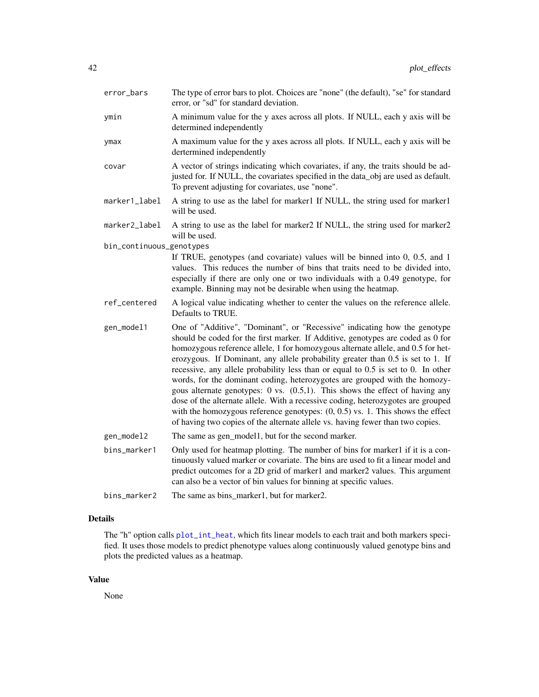<span id="page-41-0"></span>

| error_bars               | The type of error bars to plot. Choices are "none" (the default), "se" for standard<br>error, or "sd" for standard deviation.                                                                                                                                                                                                                                                                                                                                                                                                                                                                                                                                                                                                                                                                                                                         |
|--------------------------|-------------------------------------------------------------------------------------------------------------------------------------------------------------------------------------------------------------------------------------------------------------------------------------------------------------------------------------------------------------------------------------------------------------------------------------------------------------------------------------------------------------------------------------------------------------------------------------------------------------------------------------------------------------------------------------------------------------------------------------------------------------------------------------------------------------------------------------------------------|
| ymin                     | A minimum value for the y axes across all plots. If NULL, each y axis will be<br>determined independently                                                                                                                                                                                                                                                                                                                                                                                                                                                                                                                                                                                                                                                                                                                                             |
| ymax                     | A maximum value for the y axes across all plots. If NULL, each y axis will be<br>dertermined independently                                                                                                                                                                                                                                                                                                                                                                                                                                                                                                                                                                                                                                                                                                                                            |
| covar                    | A vector of strings indicating which covariates, if any, the traits should be ad-<br>justed for. If NULL, the covariates specified in the data_obj are used as default.<br>To prevent adjusting for covariates, use "none".                                                                                                                                                                                                                                                                                                                                                                                                                                                                                                                                                                                                                           |
| marker1_label            | A string to use as the label for marker1 If NULL, the string used for marker1<br>will be used.                                                                                                                                                                                                                                                                                                                                                                                                                                                                                                                                                                                                                                                                                                                                                        |
| marker2_label            | A string to use as the label for marker2 If NULL, the string used for marker2<br>will be used.                                                                                                                                                                                                                                                                                                                                                                                                                                                                                                                                                                                                                                                                                                                                                        |
| bin_continuous_genotypes | If TRUE, genotypes (and covariate) values will be binned into $0$ , $0.5$ , and $1$<br>values. This reduces the number of bins that traits need to be divided into,<br>especially if there are only one or two individuals with a 0.49 genotype, for<br>example. Binning may not be desirable when using the heatmap.                                                                                                                                                                                                                                                                                                                                                                                                                                                                                                                                 |
| ref_centered             | A logical value indicating whether to center the values on the reference allele.<br>Defaults to TRUE.                                                                                                                                                                                                                                                                                                                                                                                                                                                                                                                                                                                                                                                                                                                                                 |
| gen_model1               | One of "Additive", "Dominant", or "Recessive" indicating how the genotype<br>should be coded for the first marker. If Additive, genotypes are coded as 0 for<br>homozygous reference allele, 1 for homozygous alternate allele, and 0.5 for het-<br>erozygous. If Dominant, any allele probability greater than 0.5 is set to 1. If<br>recessive, any allele probability less than or equal to 0.5 is set to 0. In other<br>words, for the dominant coding, heterozygotes are grouped with the homozy-<br>gous alternate genotypes: $0$ vs. $(0.5,1)$ . This shows the effect of having any<br>dose of the alternate allele. With a recessive coding, heterozygotes are grouped<br>with the homozygous reference genotypes: $(0, 0.5)$ vs. 1. This shows the effect<br>of having two copies of the alternate allele vs. having fewer than two copies. |
| gen_model2               | The same as gen_model1, but for the second marker.                                                                                                                                                                                                                                                                                                                                                                                                                                                                                                                                                                                                                                                                                                                                                                                                    |
| bins_marker1             | Only used for heatmap plotting. The number of bins for marker1 if it is a con-<br>tinuously valued marker or covariate. The bins are used to fit a linear model and<br>predict outcomes for a 2D grid of marker1 and marker2 values. This argument<br>can also be a vector of bin values for binning at specific values.                                                                                                                                                                                                                                                                                                                                                                                                                                                                                                                              |
| bins_marker2             | The same as bins_marker1, but for marker2.                                                                                                                                                                                                                                                                                                                                                                                                                                                                                                                                                                                                                                                                                                                                                                                                            |

# Details

The "h" option calls [plot\\_int\\_heat](#page-0-0), which fits linear models to each trait and both markers specified. It uses those models to predict phenotype values along continuously valued genotype bins and plots the predicted values as a heatmap.

# Value

None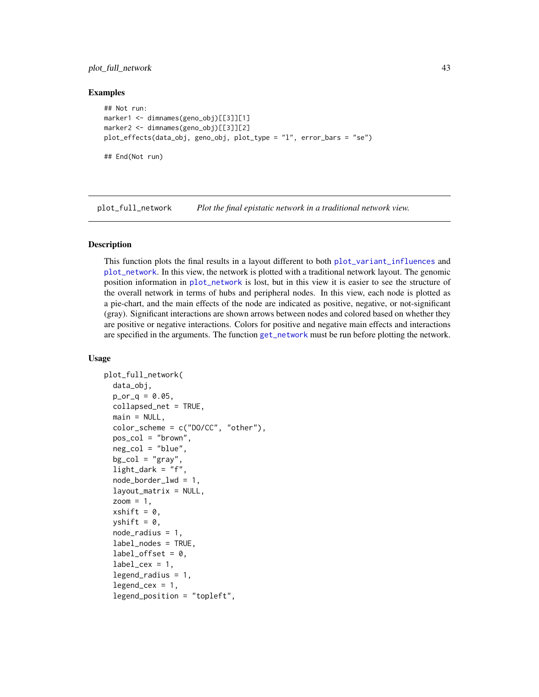# <span id="page-42-0"></span>plot\_full\_network 43

#### Examples

```
## Not run:
marker1 <- dimnames(geno_obj)[[3]][1]
marker2 <- dimnames(geno_obj)[[3]][2]
plot_effects(data_obj, geno_obj, plot_type = "l", error_bars = "se")
## End(Not run)
```
plot\_full\_network *Plot the final epistatic network in a traditional network view.*

#### Description

This function plots the final results in a layout different to both [plot\\_variant\\_influences](#page-51-0) and [plot\\_network](#page-44-0). In this view, the network is plotted with a traditional network layout. The genomic position information in [plot\\_network](#page-44-0) is lost, but in this view it is easier to see the structure of the overall network in terms of hubs and peripheral nodes. In this view, each node is plotted as a pie-chart, and the main effects of the node are indicated as positive, negative, or not-significant (gray). Significant interactions are shown arrows between nodes and colored based on whether they are positive or negative interactions. Colors for positive and negative main effects and interactions are specified in the arguments. The function [get\\_network](#page-25-0) must be run before plotting the network.

#### Usage

```
plot_full_network(
  data_obj,
  p_{or_q} = 0.05,
  collapsed_net = TRUE,
  main = NULL,color\_scheme = c("DO/CC", "other"),pos_col = "brown",
  neg_col = "blue",
  bg\_col = "gray",light\_dark = "f",node_border_lwd = 1,
  layout_matrix = NULL,
  zoom = 1,
  xshift = 0,yshift = 0,
  node_radius = 1,
  label_nodes = TRUE,
  label_{offset} = 0,
  label_cex = 1,
  legend_radius = 1,
  legend_cex = 1,
  legend_position = "topleft",
```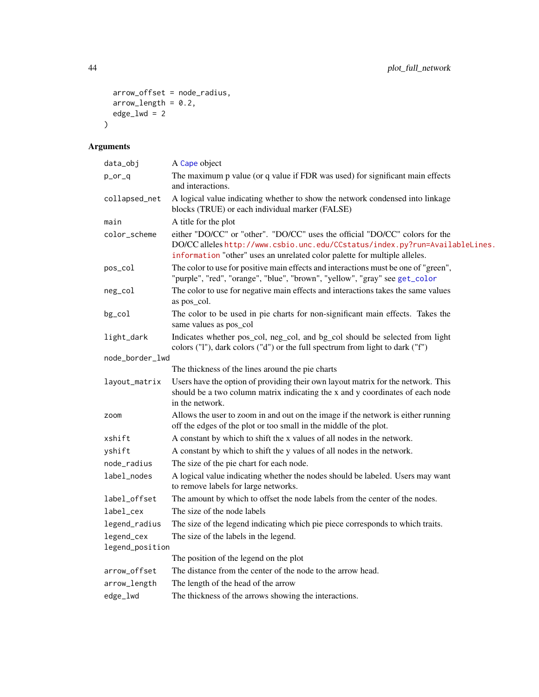```
arrow_offset = node_radius,
 arrow\_length = 0.2,
 edge\_1wd = 2
)
```

| data_obj                      | A Cape object                                                                                                                                                                                                                            |
|-------------------------------|------------------------------------------------------------------------------------------------------------------------------------------------------------------------------------------------------------------------------------------|
| $p_$ or $_q$                  | The maximum p value (or q value if FDR was used) for significant main effects<br>and interactions.                                                                                                                                       |
| collapsed_net                 | A logical value indicating whether to show the network condensed into linkage<br>blocks (TRUE) or each individual marker (FALSE)                                                                                                         |
| main                          | A title for the plot                                                                                                                                                                                                                     |
| color_scheme                  | either "DO/CC" or "other". "DO/CC" uses the official "DO/CC" colors for the<br>DO/CC alleles http://www.csbio.unc.edu/CCstatus/index.py?run=AvailableLines.<br>information "other" uses an unrelated color palette for multiple alleles. |
| pos_col                       | The color to use for positive main effects and interactions must be one of "green",<br>"purple", "red", "orange", "blue", "brown", "yellow", "gray" see get_color                                                                        |
| neg_col                       | The color to use for negative main effects and interactions takes the same values<br>as pos_col.                                                                                                                                         |
| bg_col                        | The color to be used in pie charts for non-significant main effects. Takes the<br>same values as pos_col                                                                                                                                 |
| light_dark                    | Indicates whether pos_col, neg_col, and bg_col should be selected from light<br>colors ("1"), dark colors ("d") or the full spectrum from light to dark ("f")                                                                            |
| node_border_lwd               |                                                                                                                                                                                                                                          |
|                               | The thickness of the lines around the pie charts                                                                                                                                                                                         |
| layout_matrix                 | Users have the option of providing their own layout matrix for the network. This<br>should be a two column matrix indicating the x and y coordinates of each node<br>in the network.                                                     |
| zoom                          | Allows the user to zoom in and out on the image if the network is either running<br>off the edges of the plot or too small in the middle of the plot.                                                                                    |
| xshift                        | A constant by which to shift the x values of all nodes in the network.                                                                                                                                                                   |
| yshift                        | A constant by which to shift the y values of all nodes in the network.                                                                                                                                                                   |
| node_radius                   | The size of the pie chart for each node.                                                                                                                                                                                                 |
| label_nodes                   | A logical value indicating whether the nodes should be labeled. Users may want<br>to remove labels for large networks.                                                                                                                   |
| label_offset                  | The amount by which to offset the node labels from the center of the nodes.                                                                                                                                                              |
| label_cex                     | The size of the node labels                                                                                                                                                                                                              |
| legend_radius                 | The size of the legend indicating which pie piece corresponds to which traits.                                                                                                                                                           |
| legend_cex<br>legend_position | The size of the labels in the legend.                                                                                                                                                                                                    |
|                               | The position of the legend on the plot                                                                                                                                                                                                   |
| arrow_offset                  | The distance from the center of the node to the arrow head.                                                                                                                                                                              |
| arrow_length                  | The length of the head of the arrow                                                                                                                                                                                                      |
| edge_lwd                      | The thickness of the arrows showing the interactions.                                                                                                                                                                                    |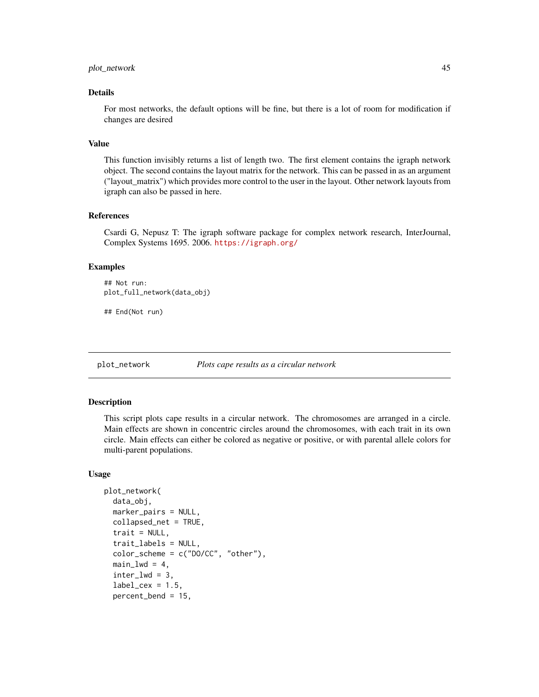# <span id="page-44-1"></span>plot\_network 45

#### Details

For most networks, the default options will be fine, but there is a lot of room for modification if changes are desired

#### Value

This function invisibly returns a list of length two. The first element contains the igraph network object. The second contains the layout matrix for the network. This can be passed in as an argument ("layout\_matrix") which provides more control to the user in the layout. Other network layouts from igraph can also be passed in here.

#### References

Csardi G, Nepusz T: The igraph software package for complex network research, InterJournal, Complex Systems 1695. 2006. <https://igraph.org/>

#### Examples

```
## Not run:
plot_full_network(data_obj)
```
## End(Not run)

<span id="page-44-0"></span>

plot\_network *Plots cape results as a circular network*

#### Description

This script plots cape results in a circular network. The chromosomes are arranged in a circle. Main effects are shown in concentric circles around the chromosomes, with each trait in its own circle. Main effects can either be colored as negative or positive, or with parental allele colors for multi-parent populations.

#### Usage

```
plot_network(
  data_obj,
  marker_pairs = NULL,
  collapsed_net = TRUE,
  trait = NULL,trait_labels = NULL,
  color\_scheme = c("DO/CC", "other"),main_lwd = 4,
  inter_lwd = 3,
  label_cex = 1.5,percent_bend = 15,
```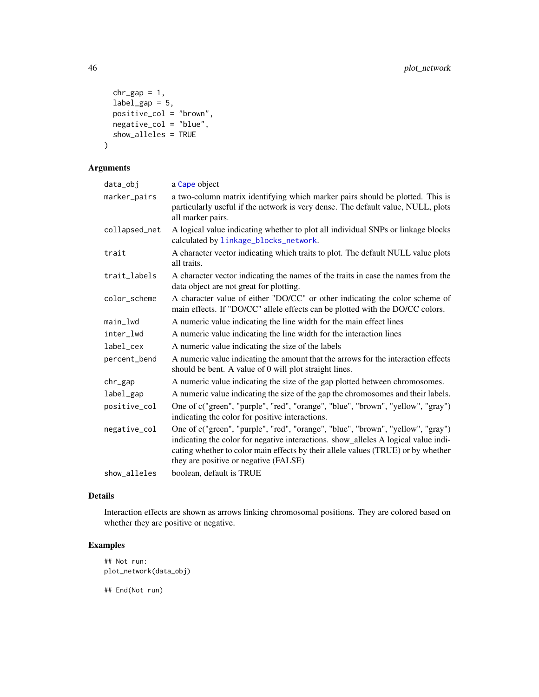```
chr\_gap = 1,
 label\_gap = 5,
 positive_col = "brown",
 negative_col = "blue",
 show_alleles = TRUE
)
```
# Arguments

| data_obj      | a Cape object                                                                                                                                                                                                                                                                                      |
|---------------|----------------------------------------------------------------------------------------------------------------------------------------------------------------------------------------------------------------------------------------------------------------------------------------------------|
| marker_pairs  | a two-column matrix identifying which marker pairs should be plotted. This is<br>particularly useful if the network is very dense. The default value, NULL, plots<br>all marker pairs.                                                                                                             |
| collapsed_net | A logical value indicating whether to plot all individual SNPs or linkage blocks<br>calculated by linkage_blocks_network.                                                                                                                                                                          |
| trait         | A character vector indicating which traits to plot. The default NULL value plots<br>all traits.                                                                                                                                                                                                    |
| trait_labels  | A character vector indicating the names of the traits in case the names from the<br>data object are not great for plotting.                                                                                                                                                                        |
| color_scheme  | A character value of either "DO/CC" or other indicating the color scheme of<br>main effects. If "DO/CC" allele effects can be plotted with the DO/CC colors.                                                                                                                                       |
| $main_l$      | A numeric value indicating the line width for the main effect lines                                                                                                                                                                                                                                |
| inter_lwd     | A numeric value indicating the line width for the interaction lines                                                                                                                                                                                                                                |
| label_cex     | A numeric value indicating the size of the labels                                                                                                                                                                                                                                                  |
| percent_bend  | A numeric value indicating the amount that the arrows for the interaction effects<br>should be bent. A value of 0 will plot straight lines.                                                                                                                                                        |
| $chr_{gap}$   | A numeric value indicating the size of the gap plotted between chromosomes.                                                                                                                                                                                                                        |
| label_gap     | A numeric value indicating the size of the gap the chromosomes and their labels.                                                                                                                                                                                                                   |
| positive_col  | One of c("green", "purple", "red", "orange", "blue", "brown", "yellow", "gray")<br>indicating the color for positive interactions.                                                                                                                                                                 |
| negative_col  | One of c("green", "purple", "red", "orange", "blue", "brown", "yellow", "gray")<br>indicating the color for negative interactions. show_alleles A logical value indi-<br>cating whether to color main effects by their allele values (TRUE) or by whether<br>they are positive or negative (FALSE) |
| show_alleles  | boolean, default is TRUE                                                                                                                                                                                                                                                                           |

# Details

Interaction effects are shown as arrows linking chromosomal positions. They are colored based on whether they are positive or negative.

# Examples

```
## Not run:
plot_network(data_obj)
```
<span id="page-45-0"></span>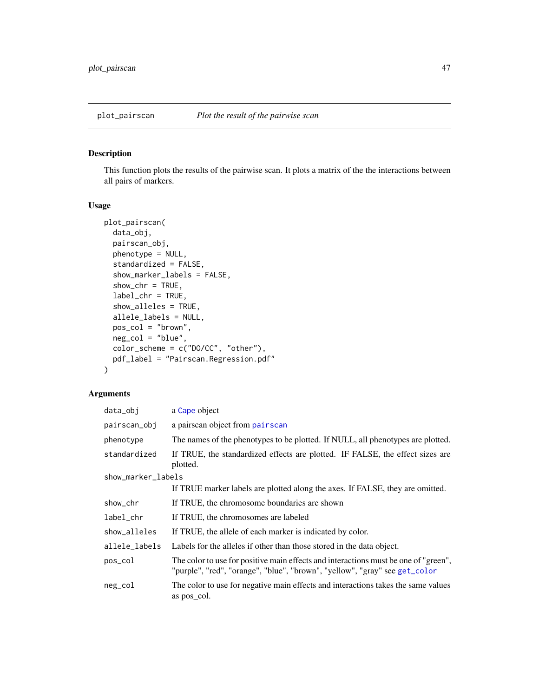<span id="page-46-1"></span><span id="page-46-0"></span>

# Description

This function plots the results of the pairwise scan. It plots a matrix of the the interactions between all pairs of markers.

# Usage

```
plot_pairscan(
  data_obj,
  pairscan_obj,
 phenotype = NULL,
  standardized = FALSE,
  show_marker_labels = FALSE,
  show_{chr} = TRUE,label_chr = TRUE,
  show_alleles = TRUE,
  allele_labels = NULL,
  pos_col = "brown",
  neg_col = "blue",
 color_scheme = c("DO/CC", "other"),
 pdf_label = "Pairscan.Regression.pdf"
\mathcal{L}
```

| data_obj           | a Cape object                                                                                                                                                     |  |
|--------------------|-------------------------------------------------------------------------------------------------------------------------------------------------------------------|--|
| pairscan_obj       | a pairscan object from pairscan                                                                                                                                   |  |
| phenotype          | The names of the phenotypes to be plotted. If NULL, all phenotypes are plotted.                                                                                   |  |
| standardized       | If TRUE, the standardized effects are plotted. IF FALSE, the effect sizes are<br>plotted.                                                                         |  |
| show_marker_labels |                                                                                                                                                                   |  |
|                    | If TRUE marker labels are plotted along the axes. If FALSE, they are omitted.                                                                                     |  |
| show_chr           | If TRUE, the chromosome boundaries are shown                                                                                                                      |  |
| label_chr          | If TRUE, the chromosomes are labeled                                                                                                                              |  |
| show_alleles       | If TRUE, the allele of each marker is indicated by color.                                                                                                         |  |
| allele_labels      | Labels for the alleles if other than those stored in the data object.                                                                                             |  |
| pos_col            | The color to use for positive main effects and interactions must be one of "green",<br>"purple", "red", "orange", "blue", "brown", "yellow", "gray" see get_color |  |
| neg_col            | The color to use for negative main effects and interactions takes the same values<br>as pos_col.                                                                  |  |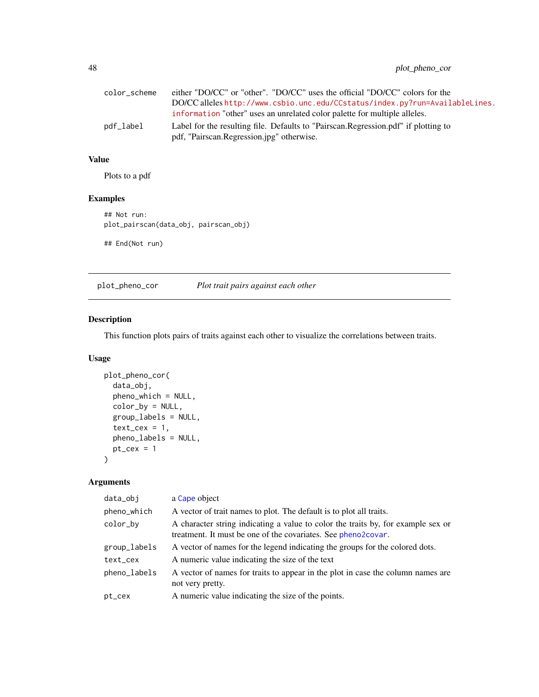# <span id="page-47-0"></span>48 plot\_pheno\_cor

| color scheme | either "DO/CC" or "other". "DO/CC" uses the official "DO/CC" colors for the                                                       |
|--------------|-----------------------------------------------------------------------------------------------------------------------------------|
|              | DO/CC alleles http://www.csbio.unc.edu/CCstatus/index.py?run=AvailableLines.                                                      |
|              | information "other" uses an unrelated color palette for multiple alleles.                                                         |
| pdf_label    | Label for the resulting file. Defaults to "Pairscan. Regression. pdf" if plotting to<br>pdf, "Pairscan.Regression.jpg" otherwise. |

# Value

Plots to a pdf

# Examples

## Not run: plot\_pairscan(data\_obj, pairscan\_obj) ## End(Not run)

plot\_pheno\_cor *Plot trait pairs against each other*

# Description

This function plots pairs of traits against each other to visualize the correlations between traits.

# Usage

```
plot_pheno_cor(
  data_obj,
 pheno_which = NULL,
 color_by = NULL,
  group_labels = NULL,
  text_{cex} = 1,
 pheno_labels = NULL,
 pt\_cex = 1)
```

| data_obj     | a Cape object                                                                                                                                     |
|--------------|---------------------------------------------------------------------------------------------------------------------------------------------------|
| pheno_which  | A vector of trait names to plot. The default is to plot all traits.                                                                               |
| color_by     | A character string indicating a value to color the traits by, for example sex or<br>treatment. It must be one of the covariates. See pheno2covar. |
| group_labels | A vector of names for the legend indicating the groups for the colored dots.                                                                      |
| text_cex     | A numeric value indicating the size of the text                                                                                                   |
| pheno_labels | A vector of names for traits to appear in the plot in case the column names are<br>not very pretty.                                               |
| pt_cex       | A numeric value indicating the size of the points.                                                                                                |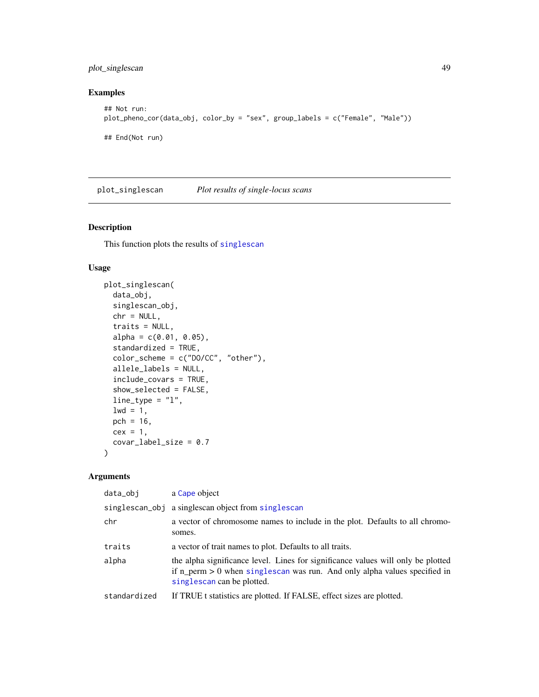# <span id="page-48-1"></span>plot\_singlescan 49

# Examples

```
## Not run:
plot_pheno_cor(data_obj, color_by = "sex", group_labels = c("Female", "Male"))
## End(Not run)
```
<span id="page-48-0"></span>plot\_singlescan *Plot results of single-locus scans*

# Description

This function plots the results of [singlescan](#page-67-0)

#### Usage

```
plot_singlescan(
  data_obj,
  singlescan_obj,
  chr = NULL,traits = NULL,
  alpha = c(0.01, 0.05),
  standardized = TRUE,
  color_scheme = c("DO/CC", "other"),
  allele_labels = NULL,
  include_covars = TRUE,
  show_selected = FALSE,
  line_type = "l",1wd = 1,
 pch = 16,
 cex = 1,
  covar_label_size = 0.7
)
```

| data_obj     | a Cape object                                                                                                                                                                                   |
|--------------|-------------------------------------------------------------------------------------------------------------------------------------------------------------------------------------------------|
|              | singlescan_obj a singlescan object from singlescan                                                                                                                                              |
| chr          | a vector of chromosome names to include in the plot. Defaults to all chromo-<br>somes.                                                                                                          |
| traits       | a vector of trait names to plot. Defaults to all traits.                                                                                                                                        |
| alpha        | the alpha significance level. Lines for significance values will only be plotted<br>if $n_{perm} > 0$ when singlescan was run. And only alpha values specified in<br>singlescan can be plotted. |
| standardized | If TRUE t statistics are plotted. If FALSE, effect sizes are plotted.                                                                                                                           |
|              |                                                                                                                                                                                                 |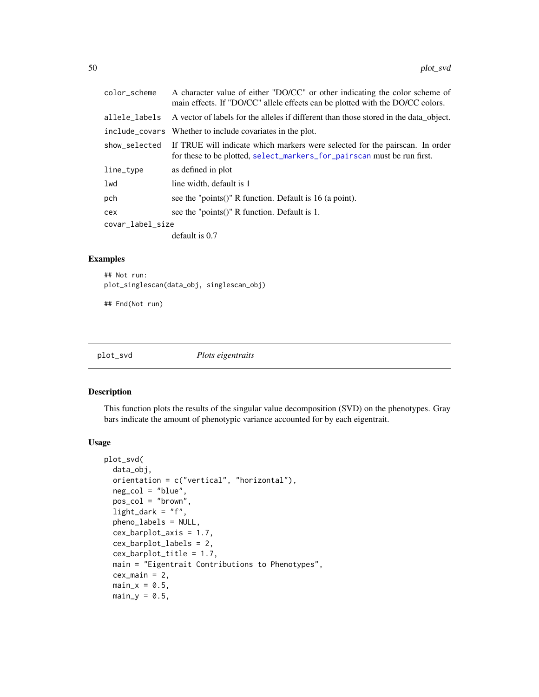<span id="page-49-1"></span>

| color_scheme     | A character value of either "DO/CC" or other indicating the color scheme of<br>main effects. If "DO/CC" allele effects can be plotted with the DO/CC colors. |  |
|------------------|--------------------------------------------------------------------------------------------------------------------------------------------------------------|--|
| allele_labels    | A vector of labels for the alleles if different than those stored in the data object.                                                                        |  |
|                  | include_covars Whether to include covariates in the plot.                                                                                                    |  |
| show_selected    | If TRUE will indicate which markers were selected for the pairscan. In order<br>for these to be plotted, select_markers_for_pairscan must be run first.      |  |
| line_type        | as defined in plot                                                                                                                                           |  |
| lwd              | line width, default is 1                                                                                                                                     |  |
| pch              | see the "points()" R function. Default is 16 (a point).                                                                                                      |  |
| cex              | see the "points()" R function. Default is 1.                                                                                                                 |  |
| covar_label_size |                                                                                                                                                              |  |
|                  | default is 0.7                                                                                                                                               |  |

#### Examples

```
## Not run:
plot_singlescan(data_obj, singlescan_obj)
```
## End(Not run)

<span id="page-49-0"></span>plot\_svd *Plots eigentraits*

# Description

This function plots the results of the singular value decomposition (SVD) on the phenotypes. Gray bars indicate the amount of phenotypic variance accounted for by each eigentrait.

#### Usage

```
plot_svd(
  data_obj,
  orientation = c("vertical", "horizontal"),
  neg_col = "blue",
  pos_col = "brown",
  light_dark = "f",
  pheno_labels = NULL,
  cex_barplot_axis = 1.7,
  cex_barplot_labels = 2,
  cex_barplot_title = 1.7,
  main = "Eigentrait Contributions to Phenotypes",
  cex\_main = 2,
  main_x = 0.5,
 main_y = 0.5,
```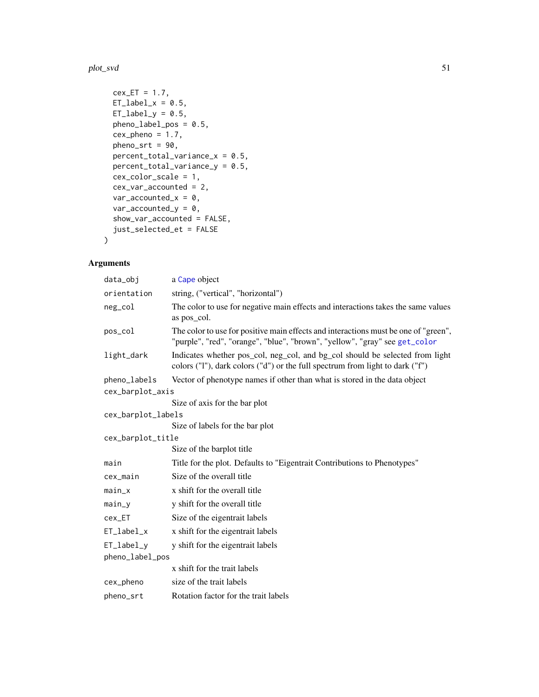#### <span id="page-50-0"></span>plot\_svd 51

```
cex\_ET = 1.7,
ET\_label_x = 0.5,
ET\_label\_y = 0.5,
pheno_label_pos = 0.5,
cex\_pheno = 1.7,pheno\_srt = 90,percent\_total\_variance_x = 0.5,
percent_total_variance_y = 0.5,
cex_color_scale = 1,
cex_var_accounted = 2,
var_accounted_x = 0,
var_accounted_y = 0,
show_var_accounted = FALSE,
just_selected_et = FALSE
```
# Arguments

)

| data_obi                      | a Cape object                                                                                                                                                     |
|-------------------------------|-------------------------------------------------------------------------------------------------------------------------------------------------------------------|
| orientation                   | string, ("vertical", "horizontal")                                                                                                                                |
| neg_col                       | The color to use for negative main effects and interactions takes the same values<br>as pos col.                                                                  |
| pos_col                       | The color to use for positive main effects and interactions must be one of "green",<br>"purple", "red", "orange", "blue", "brown", "yellow", "gray" see get_color |
| light_dark                    | Indicates whether pos_col, neg_col, and bg_col should be selected from light<br>colors ("1"), dark colors ("d") or the full spectrum from light to dark ("f")     |
| pheno_labels                  | Vector of phenotype names if other than what is stored in the data object                                                                                         |
| cex_barplot_axis              |                                                                                                                                                                   |
|                               | Size of axis for the bar plot                                                                                                                                     |
| cex_barplot_labels            |                                                                                                                                                                   |
|                               | Size of labels for the bar plot                                                                                                                                   |
| cex_barplot_title             |                                                                                                                                                                   |
|                               | Size of the barplot title                                                                                                                                         |
| main                          | Title for the plot. Defaults to "Eigentrait Contributions to Phenotypes"                                                                                          |
| cex_main                      | Size of the overall title                                                                                                                                         |
| main_x                        | x shift for the overall title                                                                                                                                     |
| main_y                        | y shift for the overall title                                                                                                                                     |
| cex_ET                        | Size of the eigentrait labels                                                                                                                                     |
| ET_label_x                    | x shift for the eigentrait labels                                                                                                                                 |
| ET_label_y<br>pheno_label_pos | y shift for the eigentrait labels                                                                                                                                 |
|                               | x shift for the trait labels                                                                                                                                      |
| cex_pheno                     | size of the trait labels                                                                                                                                          |
| pheno_srt                     | Rotation factor for the trait labels                                                                                                                              |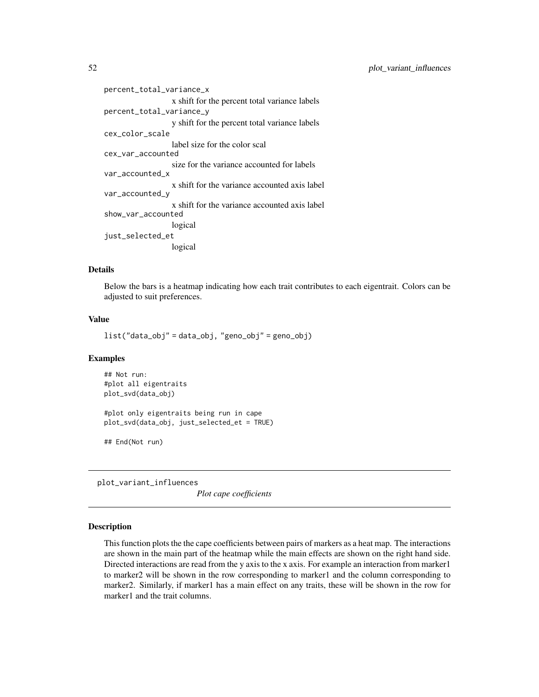```
percent_total_variance_x
                  x shift for the percent total variance labels
percent_total_variance_y
                  y shift for the percent total variance labels
cex_color_scale
                  label size for the color scal
cex_var_accounted
                  size for the variance accounted for labels
var_accounted_x
                  x shift for the variance accounted axis label
var_accounted_y
                  x shift for the variance accounted axis label
show_var_accounted
                  logical
just_selected_et
                  logical
```
#### Details

Below the bars is a heatmap indicating how each trait contributes to each eigentrait. Colors can be adjusted to suit preferences.

# Value

```
list("data_obj" = data_obj, "geno_obj" = geno_obj)
```
#### Examples

```
## Not run:
#plot all eigentraits
plot_svd(data_obj)
#plot only eigentraits being run in cape
plot_svd(data_obj, just_selected_et = TRUE)
```
## End(Not run)

<span id="page-51-0"></span>plot\_variant\_influences

*Plot cape coefficients*

#### Description

This function plots the the cape coefficients between pairs of markers as a heat map. The interactions are shown in the main part of the heatmap while the main effects are shown on the right hand side. Directed interactions are read from the y axis to the x axis. For example an interaction from marker1 to marker2 will be shown in the row corresponding to marker1 and the column corresponding to marker2. Similarly, if marker1 has a main effect on any traits, these will be shown in the row for marker1 and the trait columns.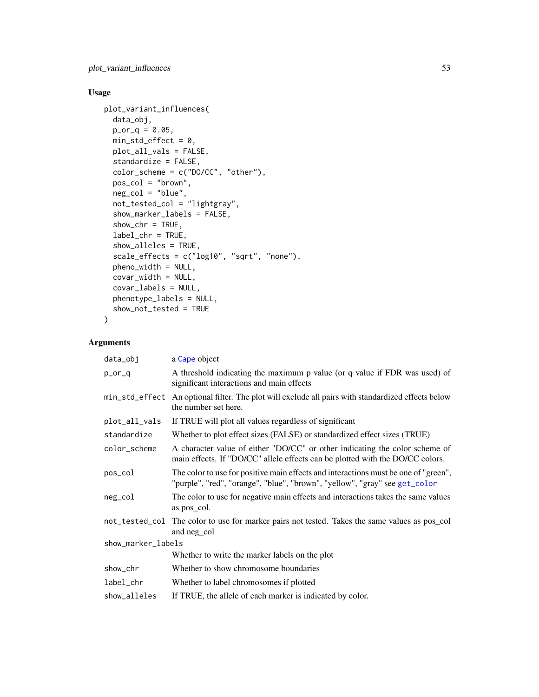<span id="page-52-0"></span>plot\_variant\_influences 53

# Usage

```
plot_variant_influences(
 data_obj,
 p_{0} - q = 0.05,
 min\_std\_effect = 0,
 plot_all_vals = FALSE,
  standardize = FALSE,
  color_scheme = c("DO/CC", "other"),
  pos_col = "brown",
 neg_col = "blue",
  not_tested_col = "lightgray",
  show_marker_labels = FALSE,
  show_{chr} = TRUE,label_chr = TRUE,
  show_alleles = TRUE,
  scale_effects = c("log10", "sqrt", "none"),
 pheno_width = NULL,
 covar_width = NULL,
  covar_labels = NULL,
 phenotype_labels = NULL,
  show_not_tested = TRUE
)
```

| a Cape object                                                                                                                                                     |  |  |
|-------------------------------------------------------------------------------------------------------------------------------------------------------------------|--|--|
| A threshold indicating the maximum p value (or q value if FDR was used) of<br>significant interactions and main effects                                           |  |  |
| An optional filter. The plot will exclude all pairs with standardized effects below<br>the number set here.                                                       |  |  |
| If TRUE will plot all values regardless of significant                                                                                                            |  |  |
| Whether to plot effect sizes (FALSE) or standardized effect sizes (TRUE)                                                                                          |  |  |
| A character value of either "DO/CC" or other indicating the color scheme of<br>main effects. If "DO/CC" allele effects can be plotted with the DO/CC colors.      |  |  |
| The color to use for positive main effects and interactions must be one of "green",<br>"purple", "red", "orange", "blue", "brown", "yellow", "gray" see get_color |  |  |
| The color to use for negative main effects and interactions takes the same values<br>as pos_col.                                                                  |  |  |
| not_tested_col The color to use for marker pairs not tested. Takes the same values as pos_col<br>and neg_col                                                      |  |  |
| show_marker_labels                                                                                                                                                |  |  |
| Whether to write the marker labels on the plot                                                                                                                    |  |  |
| Whether to show chromosome boundaries                                                                                                                             |  |  |
| Whether to label chromosomes if plotted                                                                                                                           |  |  |
| If TRUE, the allele of each marker is indicated by color.                                                                                                         |  |  |
|                                                                                                                                                                   |  |  |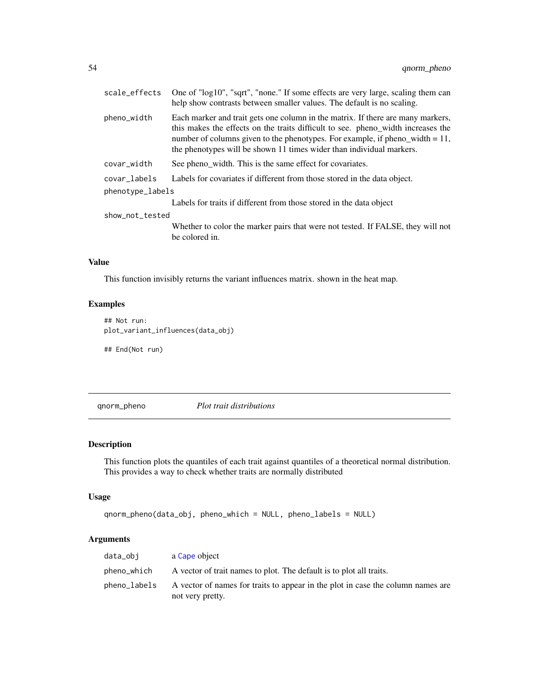<span id="page-53-0"></span>

| scale_effects    | One of "log10", "sqrt", "none." If some effects are very large, scaling them can<br>help show contrasts between smaller values. The default is no scaling.                                                                                                                                                                     |  |
|------------------|--------------------------------------------------------------------------------------------------------------------------------------------------------------------------------------------------------------------------------------------------------------------------------------------------------------------------------|--|
| pheno_width      | Each marker and trait gets one column in the matrix. If there are many markers,<br>this makes the effects on the traits difficult to see. pheno_width increases the<br>number of columns given to the phenotypes. For example, if pheno_width $= 11$ ,<br>the phenotypes will be shown 11 times wider than individual markers. |  |
| covar_width      | See pheno_width. This is the same effect for covariates.                                                                                                                                                                                                                                                                       |  |
| covar labels     | Labels for covariates if different from those stored in the data object.                                                                                                                                                                                                                                                       |  |
| phenotype_labels |                                                                                                                                                                                                                                                                                                                                |  |
|                  | Labels for traits if different from those stored in the data object                                                                                                                                                                                                                                                            |  |
| show_not_tested  |                                                                                                                                                                                                                                                                                                                                |  |
|                  | Whether to color the marker pairs that were not tested. If FALSE, they will not<br>be colored in.                                                                                                                                                                                                                              |  |

# Value

This function invisibly returns the variant influences matrix. shown in the heat map.

# Examples

```
## Not run:
plot_variant_influences(data_obj)
```
## End(Not run)

qnorm\_pheno *Plot trait distributions*

# Description

This function plots the quantiles of each trait against quantiles of a theoretical normal distribution. This provides a way to check whether traits are normally distributed

#### Usage

```
qnorm_pheno(data_obj, pheno_which = NULL, pheno_labels = NULL)
```

| data_obi     | a Cape object                                                                   |
|--------------|---------------------------------------------------------------------------------|
| pheno_which  | A vector of trait names to plot. The default is to plot all traits.             |
| pheno_labels | A vector of names for traits to appear in the plot in case the column names are |
|              | not very pretty.                                                                |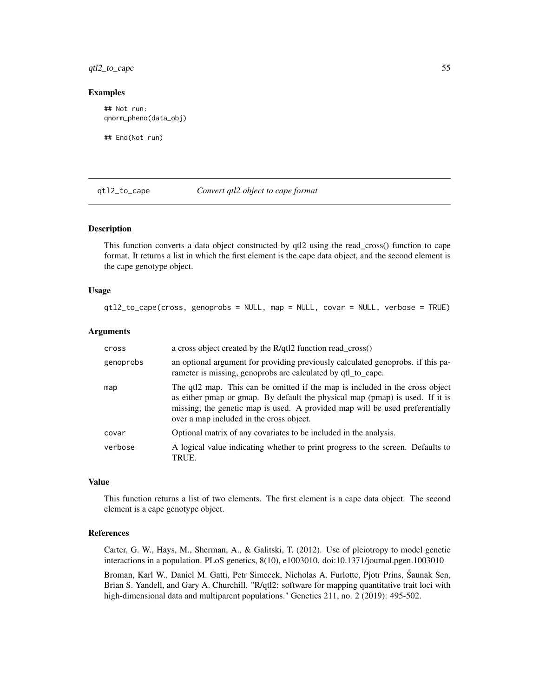# <span id="page-54-0"></span>qtl2\_to\_cape 55

#### Examples

```
## Not run:
qnorm_pheno(data_obj)
```
## End(Not run)

#### qtl2\_to\_cape *Convert qtl2 object to cape format*

# Description

This function converts a data object constructed by qtl2 using the read\_cross() function to cape format. It returns a list in which the first element is the cape data object, and the second element is the cape genotype object.

#### Usage

```
qtl2_to_cape(cross, genoprobs = NULL, map = NULL, covar = NULL, verbose = TRUE)
```
#### Arguments

| cross     | a cross object created by the R/qtl2 function read_cross()                                                                                                                                                                                                                               |
|-----------|------------------------------------------------------------------------------------------------------------------------------------------------------------------------------------------------------------------------------------------------------------------------------------------|
| genoprobs | an optional argument for providing previously calculated genoprobs. if this pa-<br>rameter is missing, genoprobs are calculated by qtl_to_cape.                                                                                                                                          |
| map       | The qtl2 map. This can be omitted if the map is included in the cross object<br>as either pmap or gmap. By default the physical map (pmap) is used. If it is<br>missing, the genetic map is used. A provided map will be used preferentially<br>over a map included in the cross object. |
| covar     | Optional matrix of any covariates to be included in the analysis.                                                                                                                                                                                                                        |
| verbose   | A logical value indicating whether to print progress to the screen. Defaults to<br>TRUE.                                                                                                                                                                                                 |

#### Value

This function returns a list of two elements. The first element is a cape data object. The second element is a cape genotype object.

#### References

Carter, G. W., Hays, M., Sherman, A., & Galitski, T. (2012). Use of pleiotropy to model genetic interactions in a population. PLoS genetics, 8(10), e1003010. doi:10.1371/journal.pgen.1003010

Broman, Karl W., Daniel M. Gatti, Petr Simecek, Nicholas A. Furlotte, Pjotr Prins, Saunak Sen, ´ Brian S. Yandell, and Gary A. Churchill. "R/qtl2: software for mapping quantitative trait loci with high-dimensional data and multiparent populations." Genetics 211, no. 2 (2019): 495-502.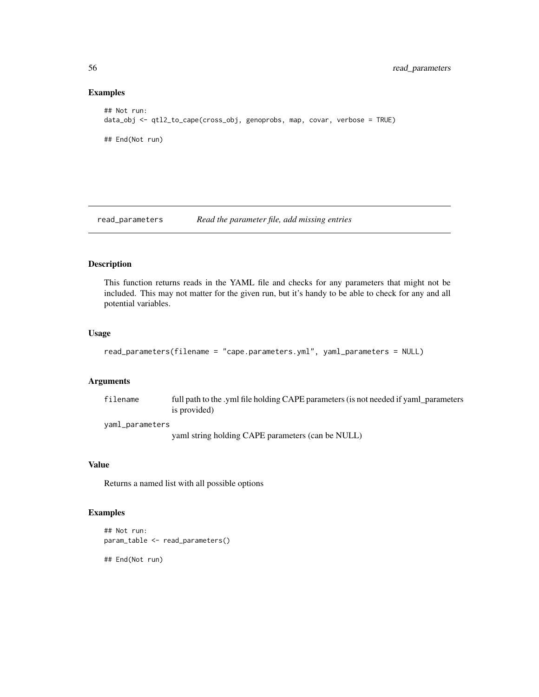#### Examples

```
## Not run:
data_obj <- qtl2_to_cape(cross_obj, genoprobs, map, covar, verbose = TRUE)
## End(Not run)
```
read\_parameters *Read the parameter file, add missing entries*

# Description

This function returns reads in the YAML file and checks for any parameters that might not be included. This may not matter for the given run, but it's handy to be able to check for any and all potential variables.

#### Usage

```
read_parameters(filename = "cape.parameters.yml", yaml_parameters = NULL)
```
#### Arguments

| filename | full path to the .yml file holding CAPE parameters (is not needed if yaml_parameters |
|----------|--------------------------------------------------------------------------------------|
|          | is provided)                                                                         |
|          |                                                                                      |

yaml\_parameters

yaml string holding CAPE parameters (can be NULL)

# Value

Returns a named list with all possible options

# Examples

```
## Not run:
param_table <- read_parameters()
```
## End(Not run)

<span id="page-55-0"></span>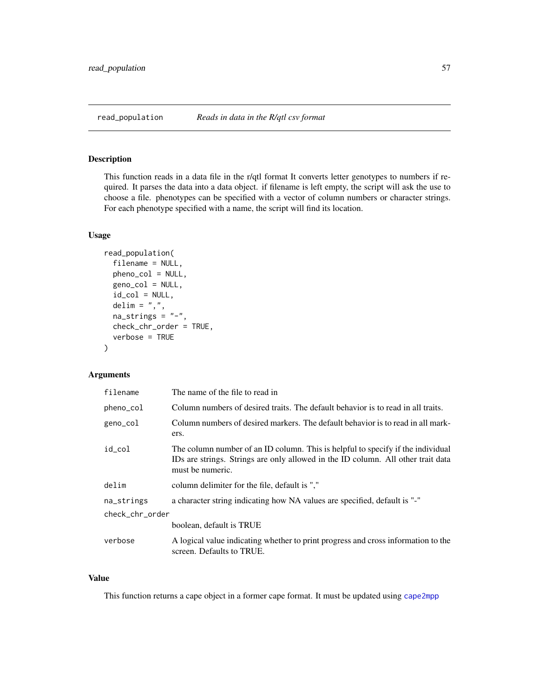# <span id="page-56-1"></span><span id="page-56-0"></span>Description

This function reads in a data file in the r/qtl format It converts letter genotypes to numbers if required. It parses the data into a data object. if filename is left empty, the script will ask the use to choose a file. phenotypes can be specified with a vector of column numbers or character strings. For each phenotype specified with a name, the script will find its location.

#### Usage

```
read_population(
  filename = NULL,
  pheno_col = NULL,
  geno_col = NULL,
  id\_col = NULL,delim = ",",na\_strings = "-",
  check_chr_order = TRUE,
  verbose = TRUE
\mathcal{L}
```
# Arguments

| filename        | The name of the file to read in                                                                                                                                                         |  |
|-----------------|-----------------------------------------------------------------------------------------------------------------------------------------------------------------------------------------|--|
| pheno_col       | Column numbers of desired traits. The default behavior is to read in all traits.                                                                                                        |  |
| geno_col        | Column numbers of desired markers. The default behavior is to read in all mark-<br>ers.                                                                                                 |  |
| id_col          | The column number of an ID column. This is helpful to specify if the individual<br>IDs are strings. Strings are only allowed in the ID column. All other trait data<br>must be numeric. |  |
| delim           | column delimiter for the file, default is ","                                                                                                                                           |  |
| na_strings      | a character string indicating how NA values are specified, default is "-"                                                                                                               |  |
| check_chr_order |                                                                                                                                                                                         |  |
|                 | boolean, default is TRUE                                                                                                                                                                |  |
| verbose         | A logical value indicating whether to print progress and cross information to the<br>screen. Defaults to TRUE.                                                                          |  |

#### Value

This function returns a cape object in a former cape format. It must be updated using [cape2mpp](#page-18-0)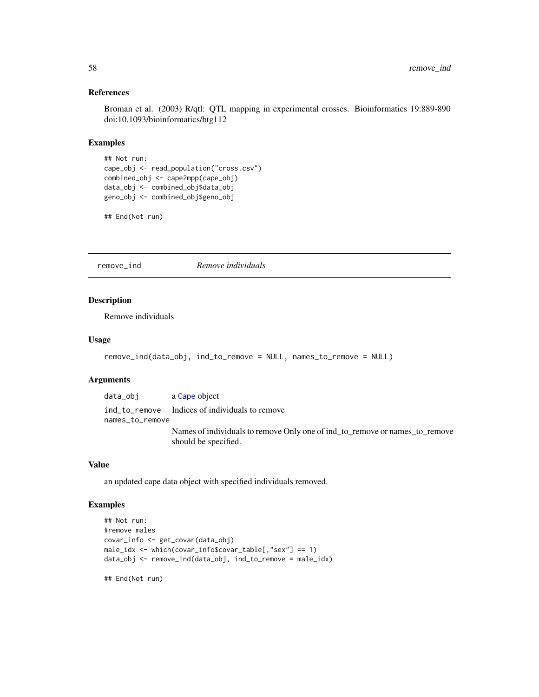# <span id="page-57-0"></span>References

Broman et al. (2003) R/qtl: QTL mapping in experimental crosses. Bioinformatics 19:889-890 doi:10.1093/bioinformatics/btg112

# Examples

```
## Not run:
cape_obj <- read_population("cross.csv")
combined_obj <- cape2mpp(cape_obj)
data_obj <- combined_obj$data_obj
geno_obj <- combined_obj$geno_obj
```
## End(Not run)

remove\_ind *Remove individuals*

# Description

Remove individuals

# Usage

```
remove_ind(data_obj, ind_to_remove = NULL, names_to_remove = NULL)
```
#### Arguments

| data_obj        | a Cape object                                                                                       |
|-----------------|-----------------------------------------------------------------------------------------------------|
|                 | ind to remove Indices of individuals to remove                                                      |
| names_to_remove |                                                                                                     |
|                 | Names of individuals to remove Only one of ind to remove or names to remove<br>should be specified. |

# Value

an updated cape data object with specified individuals removed.

#### Examples

```
## Not run:
#remove males
covar_info <- get_covar(data_obj)
male_idx <- which(covar_info$covar_table[,"sex"] == 1)
data_obj <- remove_ind(data_obj, ind_to_remove = male_idx)
```
## End(Not run)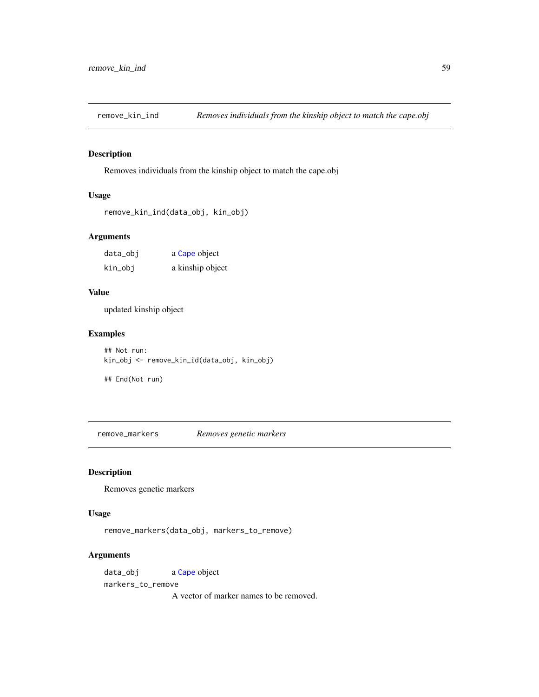<span id="page-58-0"></span>

# Description

Removes individuals from the kinship object to match the cape.obj

# Usage

```
remove_kin_ind(data_obj, kin_obj)
```
# Arguments

| data_obj | a Cape object    |
|----------|------------------|
| kin_obj  | a kinship object |

#### Value

updated kinship object

# Examples

## Not run: kin\_obj <- remove\_kin\_id(data\_obj, kin\_obj)

## End(Not run)

remove\_markers *Removes genetic markers*

# Description

Removes genetic markers

# Usage

```
remove_markers(data_obj, markers_to_remove)
```
# Arguments

data\_obj a [Cape](#page-4-0) object markers\_to\_remove

A vector of marker names to be removed.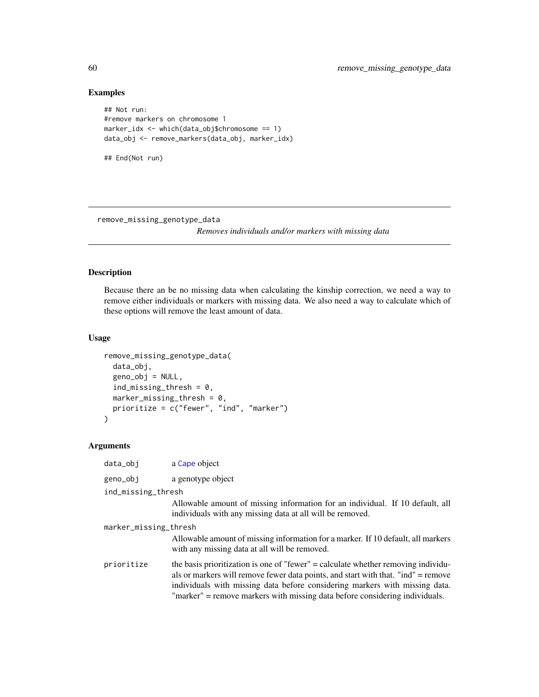# Examples

```
## Not run:
#remove markers on chromosome 1
marker_idx <- which(data_obj$chromosome == 1)
data_obj <- remove_markers(data_obj, marker_idx)
## End(Not run)
```
<span id="page-59-0"></span>remove\_missing\_genotype\_data

*Removes individuals and/or markers with missing data*

#### Description

Because there an be no missing data when calculating the kinship correction, we need a way to remove either individuals or markers with missing data. We also need a way to calculate which of these options will remove the least amount of data.

#### Usage

```
remove_missing_genotype_data(
  data_obj,
 geno_obj = NULL,
  ind\_missing\_thresh = 0,marker_missing_thresh = 0,
 prioritize = c("fewer", "ind", "marker")
)
```

| data_obj              | a Cape object                                                                                                                                                                                                                                                                                                                        |  |
|-----------------------|--------------------------------------------------------------------------------------------------------------------------------------------------------------------------------------------------------------------------------------------------------------------------------------------------------------------------------------|--|
| geno_obj              | a genotype object                                                                                                                                                                                                                                                                                                                    |  |
| ind_missing_thresh    |                                                                                                                                                                                                                                                                                                                                      |  |
|                       | Allowable amount of missing information for an individual. If 10 default, all<br>individuals with any missing data at all will be removed.                                                                                                                                                                                           |  |
| marker_missing_thresh |                                                                                                                                                                                                                                                                                                                                      |  |
|                       | Allowable amount of missing information for a marker. If 10 default, all markers<br>with any missing data at all will be removed.                                                                                                                                                                                                    |  |
| prioritize            | the basis prioritization is one of "fewer" = calculate whether removing individu-<br>als or markers will remove fewer data points, and start with that. "ind" = remove<br>individuals with missing data before considering markers with missing data.<br>"marker" = remove markers with missing data before considering individuals. |  |

<span id="page-59-1"></span>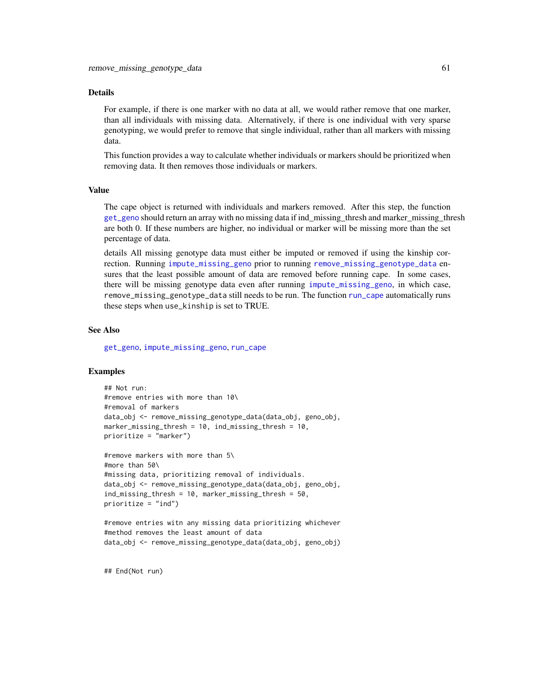#### <span id="page-60-0"></span>Details

For example, if there is one marker with no data at all, we would rather remove that one marker, than all individuals with missing data. Alternatively, if there is one individual with very sparse genotyping, we would prefer to remove that single individual, rather than all markers with missing data.

This function provides a way to calculate whether individuals or markers should be prioritized when removing data. It then removes those individuals or markers.

#### Value

The cape object is returned with individuals and markers removed. After this step, the function [get\\_geno](#page-23-0) should return an array with no missing data if ind\_missing\_thresh and marker\_missing\_thresh are both 0. If these numbers are higher, no individual or marker will be missing more than the set percentage of data.

details All missing genotype data must either be imputed or removed if using the kinship correction. Running [impute\\_missing\\_geno](#page-29-0) prior to running [remove\\_missing\\_genotype\\_data](#page-59-0) ensures that the least possible amount of data are removed before running cape. In some cases, there will be missing genotype data even after running [impute\\_missing\\_geno](#page-29-0), in which case, remove\_missing\_genotype\_data still needs to be run. The function [run\\_cape](#page-61-0) automatically runs these steps when use\_kinship is set to TRUE.

#### See Also

[get\\_geno](#page-23-0), [impute\\_missing\\_geno](#page-29-0), [run\\_cape](#page-61-0)

#### Examples

```
## Not run:
#remove entries with more than 10\
#removal of markers
data_obj <- remove_missing_genotype_data(data_obj, geno_obj,
marker_missing_thresh = 10, ind_missing_thresh = 10,
prioritize = "marker")
#remove markers with more than 5\
#more than 50\
#missing data, prioritizing removal of individuals.
```

```
data_obj <- remove_missing_genotype_data(data_obj, geno_obj,
ind_missing_thresh = 10, marker_missing_thresh = 50,
prioritize = "ind")
```

```
#remove entries witn any missing data prioritizing whichever
#method removes the least amount of data
data_obj <- remove_missing_genotype_data(data_obj, geno_obj)
```
## End(Not run)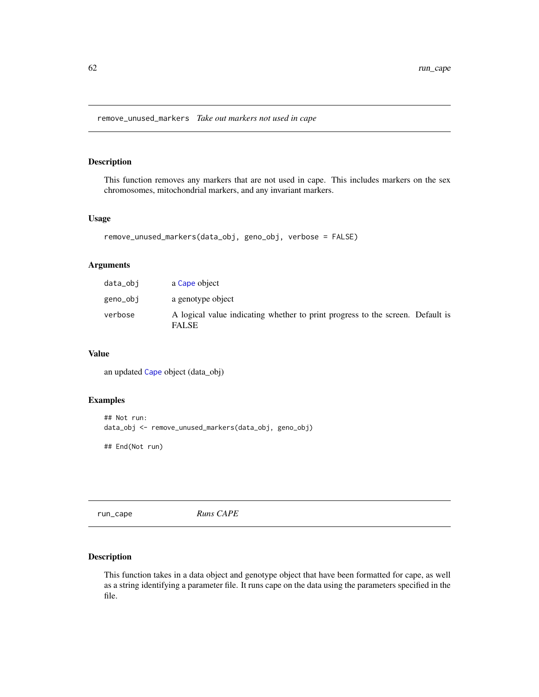<span id="page-61-1"></span>remove\_unused\_markers *Take out markers not used in cape*

#### Description

This function removes any markers that are not used in cape. This includes markers on the sex chromosomes, mitochondrial markers, and any invariant markers.

#### Usage

```
remove_unused_markers(data_obj, geno_obj, verbose = FALSE)
```
#### Arguments

| data_obi | a Cape object                                                                                  |  |
|----------|------------------------------------------------------------------------------------------------|--|
| geno_obj | a genotype object                                                                              |  |
| verbose  | A logical value indicating whether to print progress to the screen. Default is<br><b>FALSE</b> |  |

#### Value

an updated [Cape](#page-4-0) object (data\_obj)

#### Examples

```
## Not run:
data_obj <- remove_unused_markers(data_obj, geno_obj)
```
## End(Not run)

<span id="page-61-0"></span>run\_cape *Runs CAPE*

#### Description

This function takes in a data object and genotype object that have been formatted for cape, as well as a string identifying a parameter file. It runs cape on the data using the parameters specified in the file.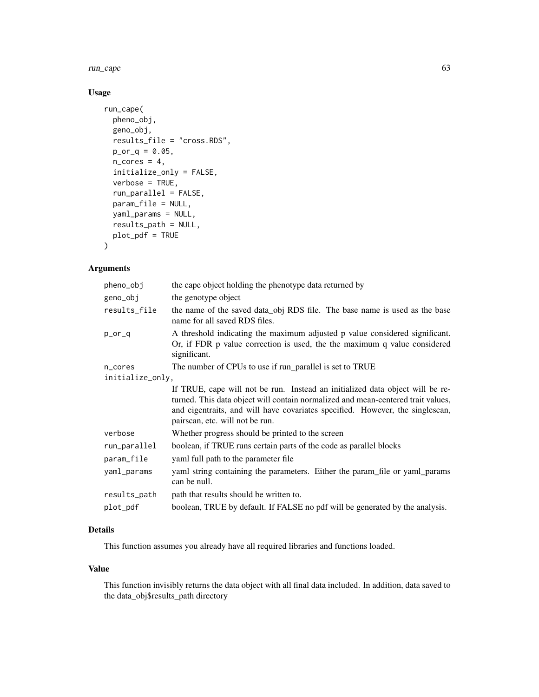run\_cape 63

# Usage

```
run_cape(
 pheno_obj,
  geno_obj,
 results_file = "cross.RDS",
 p_{0}r_{q} = 0.05,
 n\_cores = 4,initialize_only = FALSE,
 verbose = TRUE,
  run_parallel = FALSE,
 param_file = NULL,
 yaml_params = NULL,
 results_path = NULL,
 plot_pdf = TRUE
)
```
# Arguments

| pheno_obj        | the cape object holding the phenotype data returned by                                                                                                                                                                                                                                |
|------------------|---------------------------------------------------------------------------------------------------------------------------------------------------------------------------------------------------------------------------------------------------------------------------------------|
| geno_obj         | the genotype object                                                                                                                                                                                                                                                                   |
| results_file     | the name of the saved data_obj RDS file. The base name is used as the base<br>name for all saved RDS files.                                                                                                                                                                           |
| p_or_q           | A threshold indicating the maximum adjusted p value considered significant.<br>Or, if FDR p value correction is used, the the maximum q value considered<br>significant.                                                                                                              |
| n_cores          | The number of CPUs to use if run_parallel is set to TRUE                                                                                                                                                                                                                              |
| initialize_only, |                                                                                                                                                                                                                                                                                       |
|                  | If TRUE, cape will not be run. Instead an initialized data object will be re-<br>turned. This data object will contain normalized and mean-centered trait values,<br>and eigentraits, and will have covariates specified. However, the singlescan,<br>pairscan, etc. will not be run. |
| verbose          | Whether progress should be printed to the screen                                                                                                                                                                                                                                      |
| run_parallel     | boolean, if TRUE runs certain parts of the code as parallel blocks                                                                                                                                                                                                                    |
| param_file       | yaml full path to the parameter file                                                                                                                                                                                                                                                  |
| yaml_params      | yaml string containing the parameters. Either the param_file or yaml_params<br>can be null.                                                                                                                                                                                           |
| results_path     | path that results should be written to.                                                                                                                                                                                                                                               |
| plot_pdf         | boolean, TRUE by default. If FALSE no pdf will be generated by the analysis.                                                                                                                                                                                                          |

### Details

This function assumes you already have all required libraries and functions loaded.

#### Value

This function invisibly returns the data object with all final data included. In addition, data saved to the data\_obj\$results\_path directory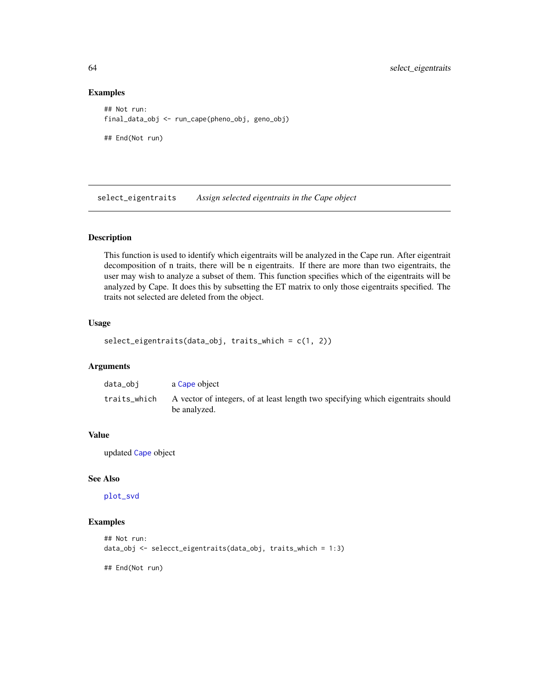#### Examples

```
## Not run:
final_data_obj <- run_cape(pheno_obj, geno_obj)
## End(Not run)
```
select\_eigentraits *Assign selected eigentraits in the Cape object*

# Description

This function is used to identify which eigentraits will be analyzed in the Cape run. After eigentrait decomposition of n traits, there will be n eigentraits. If there are more than two eigentraits, the user may wish to analyze a subset of them. This function specifies which of the eigentraits will be analyzed by Cape. It does this by subsetting the ET matrix to only those eigentraits specified. The traits not selected are deleted from the object.

#### Usage

```
select_eigentraits(data_obj, traits_which = c(1, 2))
```
# Arguments

| data_obi     | a Cape object                                                                                    |
|--------------|--------------------------------------------------------------------------------------------------|
| traits which | A vector of integers, of at least length two specifying which eigentraits should<br>be analyzed. |

# Value

updated [Cape](#page-4-0) object

#### See Also

[plot\\_svd](#page-49-0)

# Examples

```
## Not run:
data_obj <- selecct_eigentraits(data_obj, traits_which = 1:3)
```
## End(Not run)

<span id="page-63-0"></span>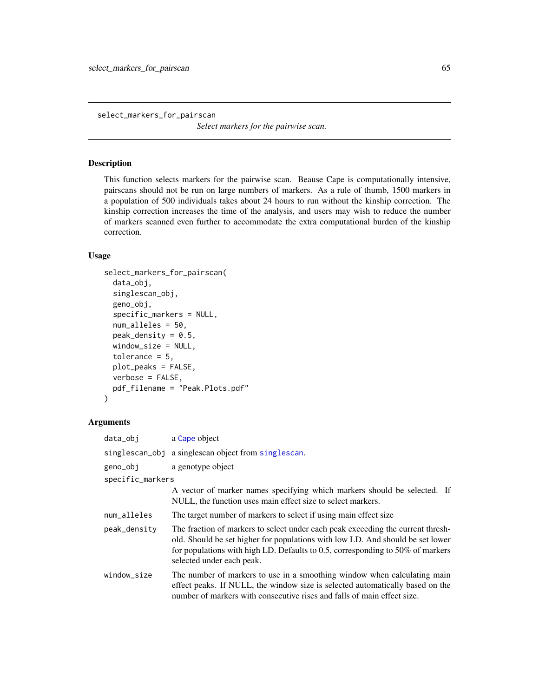<span id="page-64-1"></span><span id="page-64-0"></span>select\_markers\_for\_pairscan

*Select markers for the pairwise scan.*

#### Description

This function selects markers for the pairwise scan. Beause Cape is computationally intensive, pairscans should not be run on large numbers of markers. As a rule of thumb, 1500 markers in a population of 500 individuals takes about 24 hours to run without the kinship correction. The kinship correction increases the time of the analysis, and users may wish to reduce the number of markers scanned even further to accommodate the extra computational burden of the kinship correction.

# Usage

```
select_markers_for_pairscan(
  data_obj,
  singlescan_obj,
  geno_obj,
  specific_markers = NULL,
  num_alleles = 50,
 peak\_density = 0.5,
 window_size = NULL,
  tolerance = 5,
  plot_peaks = FALSE,
  verbose = FALSE,
 pdf_filename = "Peak.Plots.pdf"
)
```

| data_obj         | a Cape object                                                                                                                                                                                                                                                                    |
|------------------|----------------------------------------------------------------------------------------------------------------------------------------------------------------------------------------------------------------------------------------------------------------------------------|
|                  | singlescan_obj a singlescan object from singlescan.                                                                                                                                                                                                                              |
| geno_obj         | a genotype object                                                                                                                                                                                                                                                                |
| specific_markers |                                                                                                                                                                                                                                                                                  |
|                  | A vector of marker names specifying which markers should be selected. If<br>NULL, the function uses main effect size to select markers.                                                                                                                                          |
| num_alleles      | The target number of markers to select if using main effect size                                                                                                                                                                                                                 |
| peak_density     | The fraction of markers to select under each peak exceeding the current thresh-<br>old. Should be set higher for populations with low LD. And should be set lower<br>for populations with high LD. Defaults to 0.5, corresponding to 50% of markers<br>selected under each peak. |
| window_size      | The number of markers to use in a smoothing window when calculating main<br>effect peaks. If NULL, the window size is selected automatically based on the<br>number of markers with consecutive rises and falls of main effect size.                                             |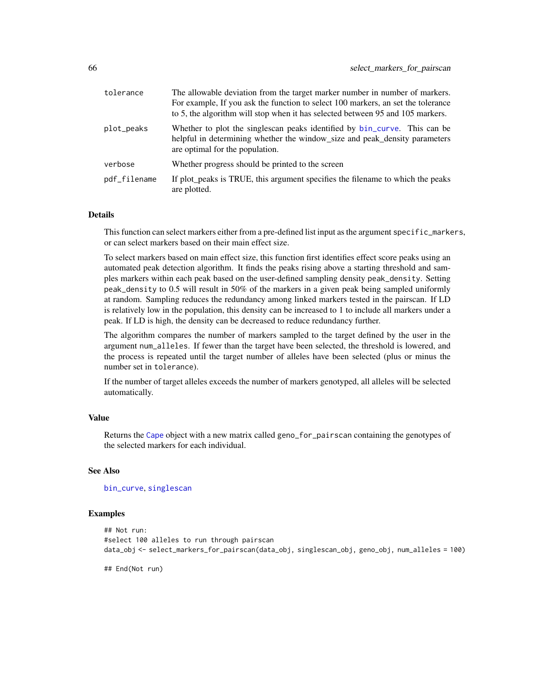<span id="page-65-0"></span>

| tolerance    | The allowable deviation from the target marker number in number of markers.<br>For example, If you ask the function to select 100 markers, an set the tolerance<br>to 5, the algorithm will stop when it has selected between 95 and 105 markers. |
|--------------|---------------------------------------------------------------------------------------------------------------------------------------------------------------------------------------------------------------------------------------------------|
| plot_peaks   | Whether to plot the singlescan peaks identified by bin_curve. This can be<br>helpful in determining whether the window_size and peak_density parameters<br>are optimal for the population.                                                        |
| verbose      | Whether progress should be printed to the screen                                                                                                                                                                                                  |
| pdf_filename | If plot_peaks is TRUE, this argument specifies the filename to which the peaks<br>are plotted.                                                                                                                                                    |

#### Details

This function can select markers either from a pre-defined list input as the argument specific\_markers, or can select markers based on their main effect size.

To select markers based on main effect size, this function first identifies effect score peaks using an automated peak detection algorithm. It finds the peaks rising above a starting threshold and samples markers within each peak based on the user-defined sampling density peak\_density. Setting peak\_density to 0.5 will result in 50% of the markers in a given peak being sampled uniformly at random. Sampling reduces the redundancy among linked markers tested in the pairscan. If LD is relatively low in the population, this density can be increased to 1 to include all markers under a peak. If LD is high, the density can be decreased to reduce redundancy further.

The algorithm compares the number of markers sampled to the target defined by the user in the argument num\_alleles. If fewer than the target have been selected, the threshold is lowered, and the process is repeated until the target number of alleles have been selected (plus or minus the number set in tolerance).

If the number of target alleles exceeds the number of markers genotyped, all alleles will be selected automatically.

#### Value

Returns the [Cape](#page-4-0) object with a new matrix called geno\_for\_pairscan containing the genotypes of the selected markers for each individual.

# See Also

[bin\\_curve](#page-0-0), [singlescan](#page-67-0)

#### Examples

```
## Not run:
#select 100 alleles to run through pairscan
data_obj <- select_markers_for_pairscan(data_obj, singlescan_obj, geno_obj, num_alleles = 100)
```
## End(Not run)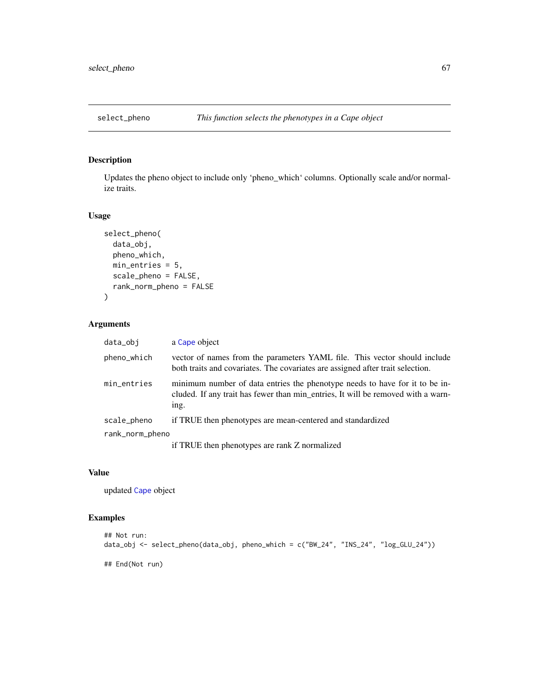<span id="page-66-0"></span>

# Description

Updates the pheno object to include only 'pheno\_which' columns. Optionally scale and/or normalize traits.

#### Usage

```
select_pheno(
  data_obj,
  pheno_which,
  min_entries = 5,
  scale_pheno = FALSE,
  rank_norm_pheno = FALSE
\mathcal{L}
```
# Arguments

| data_obj        | a Cape object                                                                                                                                                           |
|-----------------|-------------------------------------------------------------------------------------------------------------------------------------------------------------------------|
| pheno_which     | vector of names from the parameters YAML file. This vector should include<br>both traits and covariates. The covariates are assigned after trait selection.             |
| min_entries     | minimum number of data entries the phenotype needs to have for it to be in-<br>cluded. If any trait has fewer than min_entries, It will be removed with a warn-<br>ing. |
| scale_pheno     | if TRUE then phenotypes are mean-centered and standardized                                                                                                              |
| rank_norm_pheno |                                                                                                                                                                         |
|                 | if TRUE then phenotypes are rank Z normalized                                                                                                                           |

#### Value

updated [Cape](#page-4-0) object

# Examples

```
## Not run:
data_obj <- select_pheno(data_obj, pheno_which = c("BW_24", "INS_24", "log_GLU_24"))
## End(Not run)
```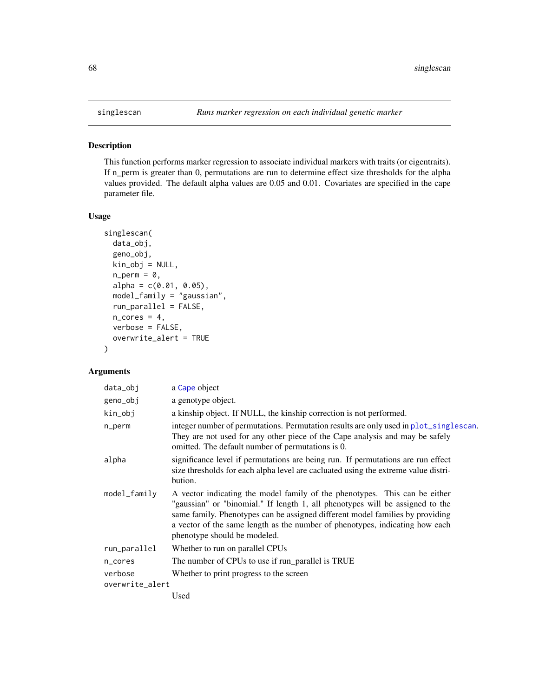# <span id="page-67-1"></span><span id="page-67-0"></span>Description

This function performs marker regression to associate individual markers with traits (or eigentraits). If n\_perm is greater than 0, permutations are run to determine effect size thresholds for the alpha values provided. The default alpha values are 0.05 and 0.01. Covariates are specified in the cape parameter file.

#### Usage

```
singlescan(
  data_obj,
  geno_obj,
 kin_obj = NULL,
  n\_perm = 0,alpha = c(0.01, 0.05),
  model_family = "gaussian",
  run_parallel = FALSE,
  n\_cores = 4,verbose = FALSE,
  overwrite_alert = TRUE
)
```

| data_obj        | a Cape object                                                                                                                                                                                                                                                                                                                                                |
|-----------------|--------------------------------------------------------------------------------------------------------------------------------------------------------------------------------------------------------------------------------------------------------------------------------------------------------------------------------------------------------------|
| geno_obj        | a genotype object.                                                                                                                                                                                                                                                                                                                                           |
| kin_obj         | a kinship object. If NULL, the kinship correction is not performed.                                                                                                                                                                                                                                                                                          |
| n_perm          | integer number of permutations. Permutation results are only used in plot_singlescan.<br>They are not used for any other piece of the Cape analysis and may be safely<br>omitted. The default number of permutations is 0.                                                                                                                                   |
| alpha           | significance level if permutations are being run. If permutations are run effect<br>size thresholds for each alpha level are cacluated using the extreme value distri-<br>bution.                                                                                                                                                                            |
| model_family    | A vector indicating the model family of the phenotypes. This can be either<br>"gaussian" or "binomial." If length 1, all phenotypes will be assigned to the<br>same family. Phenotypes can be assigned different model families by providing<br>a vector of the same length as the number of phenotypes, indicating how each<br>phenotype should be modeled. |
| run_parallel    | Whether to run on parallel CPUs                                                                                                                                                                                                                                                                                                                              |
| n_cores         | The number of CPUs to use if run_parallel is TRUE                                                                                                                                                                                                                                                                                                            |
| verbose         | Whether to print progress to the screen                                                                                                                                                                                                                                                                                                                      |
| overwrite_alert |                                                                                                                                                                                                                                                                                                                                                              |
|                 | Used                                                                                                                                                                                                                                                                                                                                                         |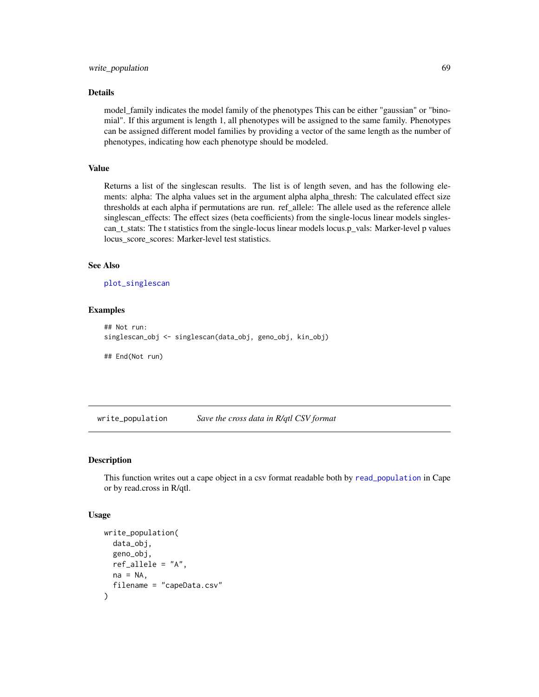#### <span id="page-68-0"></span>Details

model\_family indicates the model family of the phenotypes This can be either "gaussian" or "binomial". If this argument is length 1, all phenotypes will be assigned to the same family. Phenotypes can be assigned different model families by providing a vector of the same length as the number of phenotypes, indicating how each phenotype should be modeled.

# Value

Returns a list of the singlescan results. The list is of length seven, and has the following elements: alpha: The alpha values set in the argument alpha alpha\_thresh: The calculated effect size thresholds at each alpha if permutations are run. ref\_allele: The allele used as the reference allele singlescan\_effects: The effect sizes (beta coefficients) from the single-locus linear models singlescan\_t\_stats: The t statistics from the single-locus linear models locus.p\_vals: Marker-level p values locus score scores: Marker-level test statistics.

# See Also

[plot\\_singlescan](#page-48-0)

#### Examples

```
## Not run:
singlescan_obj <- singlescan(data_obj, geno_obj, kin_obj)
## End(Not run)
```
write\_population *Save the cross data in R/qtl CSV format*

#### Description

This function writes out a cape object in a csv format readable both by [read\\_population](#page-56-0) in Cape or by read.cross in R/qtl.

#### Usage

```
write_population(
  data_obj,
  geno_obj,
  ref_allele = "A",
  na = NA,
  filename = "capeData.csv"
)
```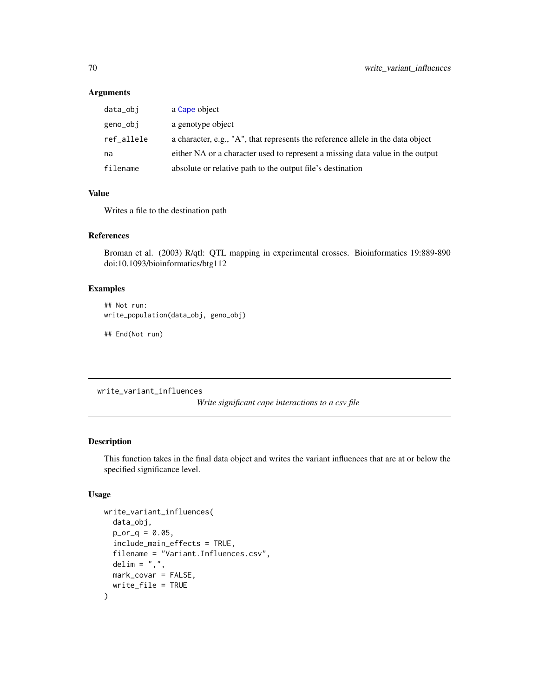# Arguments

| data_obj   | a Cape object                                                                   |
|------------|---------------------------------------------------------------------------------|
| geno_obj   | a genotype object                                                               |
| ref_allele | a character, e.g., "A", that represents the reference allele in the data object |
| na         | either NA or a character used to represent a missing data value in the output   |
| filename   | absolute or relative path to the output file's destination                      |

# Value

Writes a file to the destination path

#### References

Broman et al. (2003) R/qtl: QTL mapping in experimental crosses. Bioinformatics 19:889-890 doi:10.1093/bioinformatics/btg112

# Examples

## Not run: write\_population(data\_obj, geno\_obj)

## End(Not run)

write\_variant\_influences

*Write significant cape interactions to a csv file*

# Description

This function takes in the final data object and writes the variant influences that are at or below the specified significance level.

#### Usage

```
write_variant_influences(
  data_obj,
 p_{or_q} = 0.05,
  include_main_effects = TRUE,
  filename = "Variant.Influences.csv",
  delim = ",",mark_covar = FALSE,
  write_file = TRUE
)
```
<span id="page-69-0"></span>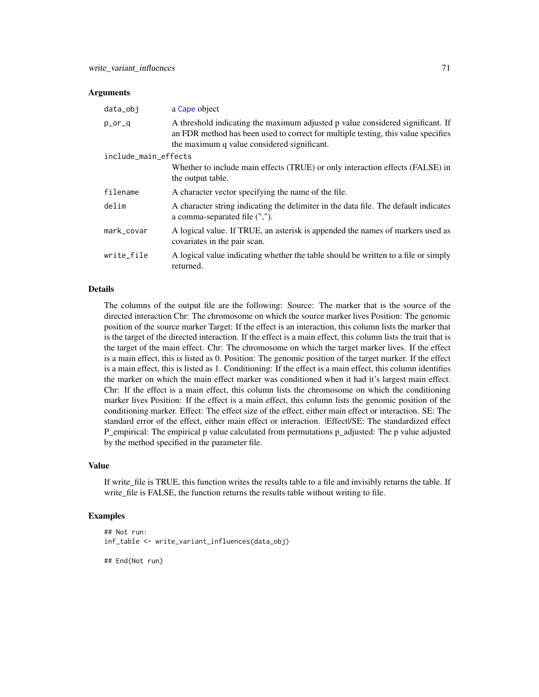#### <span id="page-70-0"></span>Arguments

| data_obj             | a Cape object                                                                                                                                                                                                      |
|----------------------|--------------------------------------------------------------------------------------------------------------------------------------------------------------------------------------------------------------------|
| p_or_q               | A threshold indicating the maximum adjusted p value considered significant. If<br>an FDR method has been used to correct for multiple testing, this value specifies<br>the maximum q value considered significant. |
| include_main_effects |                                                                                                                                                                                                                    |
|                      | Whether to include main effects (TRUE) or only interaction effects (FALSE) in<br>the output table.                                                                                                                 |
| filename             | A character vector specifying the name of the file.                                                                                                                                                                |
| delim                | A character string indicating the delimiter in the data file. The default indicates<br>a comma-separated file (",").                                                                                               |
| mark_covar           | A logical value. If TRUE, an asterisk is appended the names of markers used as<br>covariates in the pair scan.                                                                                                     |
| write file           | A logical value indicating whether the table should be written to a file or simply<br>returned.                                                                                                                    |

#### Details

The columns of the output file are the following: Source: The marker that is the source of the directed interaction Chr: The chromosome on which the source marker lives Position: The genomic position of the source marker Target: If the effect is an interaction, this column lists the marker that is the target of the directed interaction. If the effect is a main effect, this column lists the trait that is the target of the main effect. Chr: The chromosome on which the target marker lives. If the effect is a main effect, this is listed as 0. Position: The genomic position of the target marker. If the effect is a main effect, this is listed as 1. Conditioning: If the effect is a main effect, this column identifies the marker on which the main effect marker was conditioned when it had it's largest main effect. Chr: If the effect is a main effect, this column lists the chromosome on which the conditioning marker lives Position: If the effect is a main effect, this column lists the genomic position of the conditioning marker. Effect: The effect size of the effect, either main effect or interaction. SE: The standard error of the effect, either main effect or interaction. |Effect|/SE: The standardized effect P\_empirical: The empirical p value calculated from permutations p\_adjusted: The p value adjusted by the method specified in the parameter file.

# Value

If write\_file is TRUE, this function writes the results table to a file and invisibly returns the table. If write\_file is FALSE, the function returns the results table without writing to file.

#### Examples

```
## Not run:
inf_table <- write_variant_influences(data_obj)
```
## End(Not run)